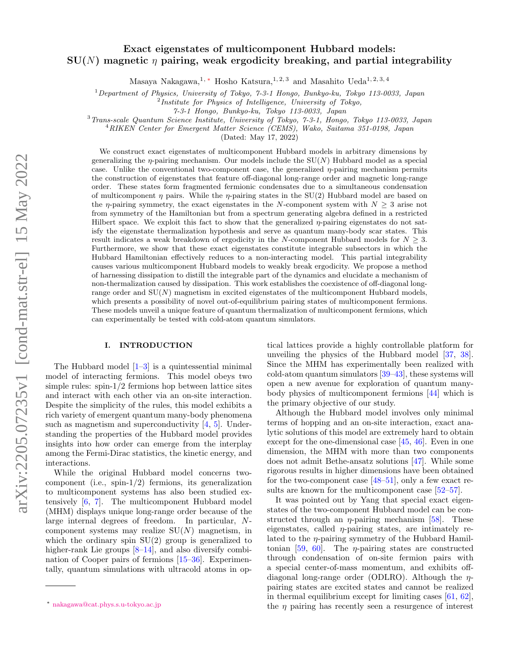# Exact eigenstates of multicomponent Hubbard models:  $SU(N)$  magnetic  $\eta$  pairing, weak ergodicity breaking, and partial integrability

Masaya Nakagawa,<sup>1, [∗](#page-0-0)</sup> Hosho Katsura,<sup>1, 2, 3</sup> and Masahito Ueda<sup>1, 2, 3, 4</sup>

 $1$  Department of Physics, University of Tokyo, 7-3-1 Hongo, Bunkyo-ku, Tokyo 113-0033, Japan

<sup>2</sup>Institute for Physics of Intelligence, University of Tokyo,

7-3-1 Hongo, Bunkyo-ku, Tokyo 113-0033, Japan

<sup>3</sup>Trans-scale Quantum Science Institute, University of Tokyo, 7-3-1, Hongo, Tokyo 113-0033, Japan

<sup>4</sup>RIKEN Center for Emergent Matter Science (CEMS), Wako, Saitama 351-0198, Japan

(Dated: May 17, 2022)

We construct exact eigenstates of multicomponent Hubbard models in arbitrary dimensions by generalizing the  $\eta$ -pairing mechanism. Our models include the SU(N) Hubbard model as a special case. Unlike the conventional two-component case, the generalized  $\eta$ -pairing mechanism permits the construction of eigenstates that feature off-diagonal long-range order and magnetic long-range order. These states form fragmented fermionic condensates due to a simultaneous condensation of multicomponent  $\eta$  pairs. While the  $\eta$ -pairing states in the SU(2) Hubbard model are based on the  $\eta$ -pairing symmetry, the exact eigenstates in the N-component system with  $N \geq 3$  arise not from symmetry of the Hamiltonian but from a spectrum generating algebra defined in a restricted Hilbert space. We exploit this fact to show that the generalized  $\eta$ -pairing eigenstates do not satisfy the eigenstate thermalization hypothesis and serve as quantum many-body scar states. This result indicates a weak breakdown of ergodicity in the N-component Hubbard models for  $N \geq 3$ . Furthermore, we show that these exact eigenstates constitute integrable subsectors in which the Hubbard Hamiltonian effectively reduces to a non-interacting model. This partial integrability causes various multicomponent Hubbard models to weakly break ergodicity. We propose a method of harnessing dissipation to distill the integrable part of the dynamics and elucidate a mechanism of non-thermalization caused by dissipation. This work establishes the coexistence of off-diagonal longrange order and  $SU(N)$  magnetism in excited eigenstates of the multicomponent Hubbard models, which presents a possibility of novel out-of-equilibrium pairing states of multicomponent fermions. These models unveil a unique feature of quantum thermalization of multicomponent fermions, which can experimentally be tested with cold-atom quantum simulators.

## I. INTRODUCTION

The Hubbard model  $[1-3]$  $[1-3]$  is a quintessential minimal model of interacting fermions. This model obeys two simple rules: spin-1/2 fermions hop between lattice sites and interact with each other via an on-site interaction. Despite the simplicity of the rules, this model exhibits a rich variety of emergent quantum many-body phenomena such as magnetism and superconductivity [\[4,](#page-27-2) [5\]](#page-27-3). Understanding the properties of the Hubbard model provides insights into how order can emerge from the interplay among the Fermi-Dirac statistics, the kinetic energy, and interactions.

While the original Hubbard model concerns twocomponent (i.e.,  $spin-1/2$ ) fermions, its generalization to multicomponent systems has also been studied extensively [\[6,](#page-27-4) [7\]](#page-27-5). The multicomponent Hubbard model (MHM) displays unique long-range order because of the large internal degrees of freedom. In particular, Ncomponent systems may realize  $SU(N)$  magnetism, in which the ordinary spin SU(2) group is generalized to higher-rank Lie groups  $[8-14]$ , and also diversify combination of Cooper pairs of fermions [\[15](#page-27-8)[–36\]](#page-28-0). Experimentally, quantum simulations with ultracold atoms in optical lattices provide a highly controllable platform for unveiling the physics of the Hubbard model [\[37,](#page-28-1) [38\]](#page-28-2). Since the MHM has experimentally been realized with cold-atom quantum simulators [\[39](#page-28-3)[–43\]](#page-28-4), these systems will open a new avenue for exploration of quantum manybody physics of multicomponent fermions [\[44\]](#page-28-5) which is the primary objective of our study.

Although the Hubbard model involves only minimal terms of hopping and an on-site interaction, exact analytic solutions of this model are extremely hard to obtain except for the one-dimensional case [\[45,](#page-28-6) [46\]](#page-28-7). Even in one dimension, the MHM with more than two components does not admit Bethe-ansatz solutions [\[47\]](#page-28-8). While some rigorous results in higher dimensions have been obtained for the two-component case [\[48–](#page-28-9)[51\]](#page-28-10), only a few exact results are known for the multicomponent case [\[52–](#page-28-11)[57\]](#page-28-12).

It was pointed out by Yang that special exact eigenstates of the two-component Hubbard model can be constructed through an  $\eta$ -pairing mechanism [\[58\]](#page-29-0). These eigenstates, called  $\eta$ -pairing states, are intimately related to the  $\eta$ -pairing symmetry of the Hubbard Hamil-tonian [\[59,](#page-29-1) [60\]](#page-29-2). The  $\eta$ -pairing states are constructed through condensation of on-site fermion pairs with a special center-of-mass momentum, and exhibits offdiagonal long-range order (ODLRO). Although the  $\eta$ pairing states are excited states and cannot be realized in thermal equilibrium except for limiting cases  $[61, 62]$  $[61, 62]$ , the  $\eta$  pairing has recently seen a resurgence of interest

<span id="page-0-0"></span><sup>∗</sup> [nakagawa@cat.phys.s.u-tokyo.ac.jp](mailto:nakagawa@cat.phys.s.u-tokyo.ac.jp)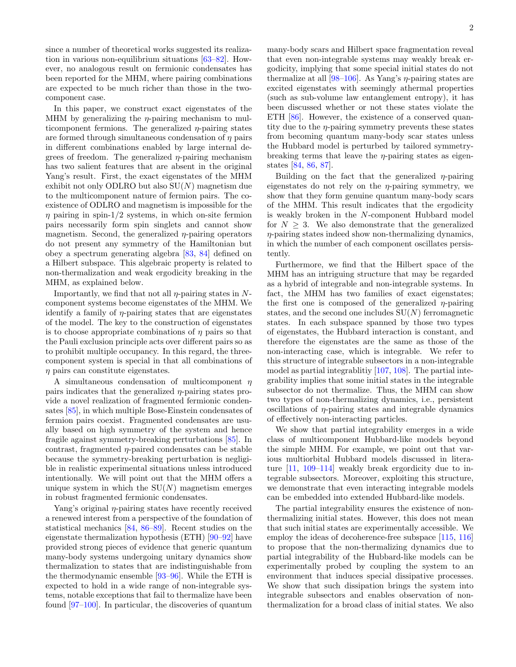since a number of theoretical works suggested its realization in various non-equilibrium situations [\[63–](#page-29-5)[82\]](#page-29-6). However, no analogous result on fermionic condensates has been reported for the MHM, where pairing combinations are expected to be much richer than those in the twocomponent case.

In this paper, we construct exact eigenstates of the MHM by generalizing the  $\eta$ -pairing mechanism to multicomponent fermions. The generalized  $\eta$ -pairing states are formed through simultaneous condensation of  $\eta$  pairs in different combinations enabled by large internal degrees of freedom. The generalized  $\eta$ -pairing mechanism has two salient features that are absent in the original Yang's result. First, the exact eigenstates of the MHM exhibit not only ODLRO but also  $SU(N)$  magnetism due to the multicomponent nature of fermion pairs. The coexistence of ODLRO and magnetism is impossible for the  $\eta$  pairing in spin-1/2 systems, in which on-site fermion pairs necessarily form spin singlets and cannot show magnetism. Second, the generalized  $\eta$ -pairing operators do not present any symmetry of the Hamiltonian but obey a spectrum generating algebra [\[83,](#page-29-7) [84\]](#page-29-8) defined on a Hilbert subspace. This algebraic property is related to non-thermalization and weak ergodicity breaking in the MHM, as explained below.

Importantly, we find that not all  $\eta$ -pairing states in Ncomponent systems become eigenstates of the MHM. We identify a family of  $\eta$ -pairing states that are eigenstates of the model. The key to the construction of eigenstates is to choose appropriate combinations of  $\eta$  pairs so that the Pauli exclusion principle acts over different pairs so as to prohibit multiple occupancy. In this regard, the threecomponent system is special in that all combinations of  $\eta$  pairs can constitute eigenstates.

A simultaneous condensation of multicomponent  $\eta$ pairs indicates that the generalized  $\eta$ -pairing states provide a novel realization of fragmented fermionic condensates [\[85\]](#page-29-9), in which multiple Bose-Einstein condensates of fermion pairs coexist. Fragmented condensates are usually based on high symmetry of the system and hence fragile against symmetry-breaking perturbations [\[85\]](#page-29-9). In contrast, fragmented  $\eta$ -paired condensates can be stable because the symmetry-breaking perturbation is negligible in realistic experimental situations unless introduced intentionally. We will point out that the MHM offers a unique system in which the  $SU(N)$  magnetism emerges in robust fragmented fermionic condensates.

Yang's original η-pairing states have recently received a renewed interest from a perspective of the foundation of statistical mechanics [\[84,](#page-29-8) [86](#page-29-10)[–89\]](#page-29-11). Recent studies on the eigenstate thermalization hypothesis (ETH) [\[90–](#page-29-12)[92\]](#page-29-13) have provided strong pieces of evidence that generic quantum many-body systems undergoing unitary dynamics show thermalization to states that are indistinguishable from the thermodynamic ensemble [\[93–](#page-29-14)[96\]](#page-29-15). While the ETH is expected to hold in a wide range of non-integrable systems, notable exceptions that fail to thermalize have been found [\[97](#page-30-0)[–100\]](#page-30-1). In particular, the discoveries of quantum

many-body scars and Hilbert space fragmentation reveal that even non-integrable systems may weakly break ergodicity, implying that some special initial states do not thermalize at all  $[98-106]$ . As Yang's  $\eta$ -pairing states are excited eigenstates with seemingly athermal properties (such as sub-volume law entanglement entropy), it has been discussed whether or not these states violate the ETH [\[86\]](#page-29-10). However, the existence of a conserved quantity due to the  $\eta$ -pairing symmetry prevents these states from becoming quantum many-body scar states unless the Hubbard model is perturbed by tailored symmetrybreaking terms that leave the  $\eta$ -pairing states as eigenstates [\[84,](#page-29-8) [86,](#page-29-10) [87\]](#page-29-16).

Building on the fact that the generalized  $\eta$ -pairing eigenstates do not rely on the  $\eta$ -pairing symmetry, we show that they form genuine quantum many-body scars of the MHM. This result indicates that the ergodicity is weakly broken in the N-component Hubbard model for  $N \geq 3$ . We also demonstrate that the generalized η-pairing states indeed show non-thermalizing dynamics, in which the number of each component oscillates persistently.

Furthermore, we find that the Hilbert space of the MHM has an intriguing structure that may be regarded as a hybrid of integrable and non-integrable systems. In fact, the MHM has two families of exact eigenstates; the first one is composed of the generalized  $\eta$ -pairing states, and the second one includes  $SU(N)$  ferromagnetic states. In each subspace spanned by those two types of eigenstates, the Hubbard interaction is constant, and therefore the eigenstates are the same as those of the non-interacting case, which is integrable. We refer to this structure of integrable subsectors in a non-integrable model as partial integrablitiy [\[107,](#page-30-4) [108\]](#page-30-5). The partial integrability implies that some initial states in the integrable subsector do not thermalize. Thus, the MHM can show two types of non-thermalizing dynamics, i.e., persistent oscillations of  $\eta$ -pairing states and integrable dynamics of effectively non-interacting particles.

We show that partial integrability emerges in a wide class of multicomponent Hubbard-like models beyond the simple MHM. For example, we point out that various multiorbital Hubbard models discussed in literature [\[11,](#page-27-9) [109–](#page-30-6)[114\]](#page-30-7) weakly break ergordicity due to integrable subsectors. Moreover, exploiting this structure, we demonstrate that even interacting integrable models can be embedded into extended Hubbard-like models.

The partial integrability ensures the existence of nonthermalizing initial states. However, this does not mean that such initial states are experimentally accessible. We employ the ideas of decoherence-free subspace [\[115,](#page-30-8) [116\]](#page-30-9) to propose that the non-thermalizing dynamics due to partial integrability of the Hubbard-like models can be experimentally probed by coupling the system to an environment that induces special dissipative processes. We show that such dissipation brings the system into integrable subsectors and enables observation of nonthermalization for a broad class of initial states. We also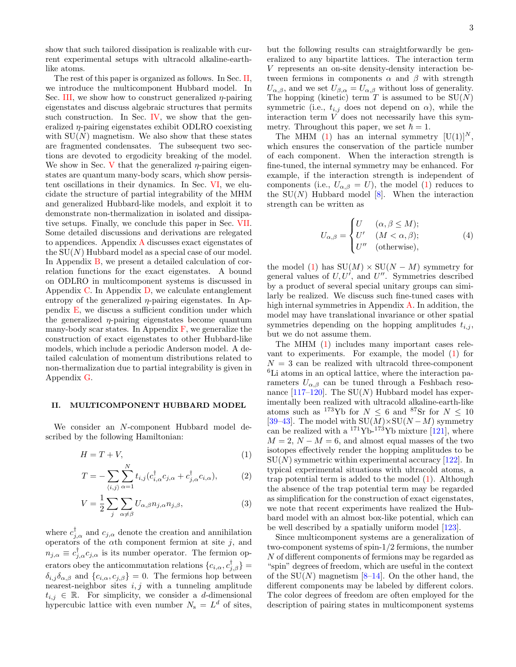like atoms.

The rest of this paper is organized as follows. In Sec. [II,](#page-2-0) we introduce the multicomponent Hubbard model. In Sec. [III,](#page-3-0) we show how to construct generalized  $\eta$ -pairing eigenstates and discuss algebraic structures that permits such construction. In Sec. [IV,](#page-7-0) we show that the generalized  $\eta$ -pairing eigenstates exhibit ODLRO coexisting with  $SU(N)$  magnetism. We also show that these states are fragmented condensates. The subsequent two sections are devoted to ergodicity breaking of the model. We show in Sec. [V](#page-9-0) that the generalized  $\eta$ -pairing eigenstates are quantum many-body scars, which show persistent oscillations in their dynamics. In Sec. [VI,](#page-11-0) we elucidate the structure of partial integrability of the MHM and generalized Hubbard-like models, and exploit it to demonstrate non-thermalization in isolated and dissipative setups. Finally, we conclude this paper in Sec. [VII.](#page-16-0) Some detailed discussions and derivations are relegated to appendices. Appendix [A](#page-17-0) discusses exact eigenstates of the  $SU(N)$  Hubbard model as a special case of our model. In Appendix [B,](#page-18-0) we present a detailed calculation of correlation functions for the exact eigenstates. A bound on ODLRO in multicomponent systems is discussed in Appendix [C.](#page-21-0) In Appendix [D,](#page-22-0) we calculate entanglement entropy of the generalized  $\eta$ -pairing eigenstates. In Appendix [E,](#page-24-0) we discuss a sufficient condition under which the generalized  $\eta$ -pairing eigenstates become quantum many-body scar states. In Appendix  $\bf{F}$ , we generalize the construction of exact eigenstates to other Hubbard-like models, which include a periodic Anderson model. A detailed calculation of momentum distributions related to non-thermalization due to partial integrability is given in Appendix [G.](#page-26-0)

## <span id="page-2-0"></span>II. MULTICOMPONENT HUBBARD MODEL

We consider an N-component Hubbard model described by the following Hamiltonian:

$$
H = T + V,\t\t(1)
$$

$$
T = -\sum_{\langle i,j\rangle} \sum_{\alpha=1}^{N} t_{i,j} (c_{i,\alpha}^{\dagger} c_{j,\alpha} + c_{j,\alpha}^{\dagger} c_{i,\alpha}),
$$
 (2)

$$
V = \frac{1}{2} \sum_{j} \sum_{\alpha \neq \beta} U_{\alpha,\beta} n_{j,\alpha} n_{j,\beta},
$$
\n(3)

where  $c_{j,\alpha}^{\dagger}$  and  $c_{j,\alpha}$  denote the creation and annihilation operators of the  $\alpha$ th component fermion at site j, and  $n_{j,\alpha} \equiv c_{j,\alpha}^{\dagger} c_{j,\alpha}$  is its number operator. The fermion operators obey the anticommutation relations  ${c_{i,\alpha}, c_{j,\beta}^{\dagger}}$  =  $\delta_{i,j}\delta_{\alpha,\beta}$  and  $\{c_{i,\alpha},c_{j,\beta}\}=0$ . The fermions hop between nearest-neighbor sites  $i, j$  with a tunneling amplitude  $t_{i,j} \in \mathbb{R}$ . For simplicity, we consider a *d*-dimensional hypercubic lattice with even number  $N_s = L^d$  of sites, but the following results can straightforwardly be generalized to any bipartite lattices. The interaction term V represents an on-site density-density interaction between fermions in components  $\alpha$  and  $\beta$  with strength  $U_{\alpha,\beta}$ , and we set  $U_{\beta,\alpha} = U_{\alpha,\beta}$  without loss of generality. The hopping (kinetic) term  $T$  is assumed to be  $SU(N)$ symmetric (i.e.,  $t_{i,j}$  does not depend on  $\alpha$ ), while the interaction term V does not necessarily have this symmetry. Throughout this paper, we set  $\hbar = 1$ .

The MHM [\(1\)](#page-2-1) has an internal symmetry  $[U(1)]^N$ , which ensures the conservation of the particle number of each component. When the interaction strength is fine-tuned, the internal symmetry may be enhanced. For example, if the interaction strength is independent of components (i.e.,  $U_{\alpha,\beta} = U$ ), the model [\(1\)](#page-2-1) reduces to the  $SU(N)$  Hubbard model [\[8\]](#page-27-6). When the interaction strength can be written as

$$
U_{\alpha,\beta} = \begin{cases} U & (\alpha, \beta \le M); \\ U' & (M < \alpha, \beta); \\ U'' & (\text{otherwise}), \end{cases}
$$
 (4)

the model [\(1\)](#page-2-1) has  $SU(M) \times SU(N-M)$  symmetry for general values of  $U, U'$ , and  $U''$ . Symmetries described by a product of several special unitary groups can similarly be realized. We discuss such fine-tuned cases with high internal symmetries in Appendix [A.](#page-17-0) In addition, the model may have translational invariance or other spatial symmetries depending on the hopping amplitudes  $t_{i,j}$ , but we do not assume them.

The MHM [\(1\)](#page-2-1) includes many important cases relevant to experiments. For example, the model [\(1\)](#page-2-1) for  $N = 3$  can be realized with ultracold three-component <sup>6</sup>Li atoms in an optical lattice, where the interaction parameters  $U_{\alpha,\beta}$  can be tuned through a Feshbach reso-nance [\[117–](#page-30-10)[120\]](#page-30-11). The  $SU(N)$  Hubbard model has experimentally been realized with ultracold alkaline-earth-like atoms such as <sup>173</sup>Yb for  $N \leq 6$  and <sup>87</sup>Sr for  $N \leq 10$ [\[39–](#page-28-3)[43\]](#page-28-4). The model with  $SU(M) \times SU(N-M)$  symmetry can be realized with a  $^{171}\text{Yb}$ - $^{173}\text{Yb}$  mixture [\[121\]](#page-30-12), where  $M = 2$ ,  $N - M = 6$ , and almost equal masses of the two isotopes effectively render the hopping amplitudes to be  $SU(N)$  symmetric within experimental accuracy [\[122\]](#page-30-13). In typical experimental situations with ultracold atoms, a trap potential term is added to the model [\(1\)](#page-2-1). Although the absence of the trap potential term may be regarded as simplification for the construction of exact eigenstates, we note that recent experiments have realized the Hubbard model with an almost box-like potential, which can be well described by a spatially uniform model [\[123\]](#page-30-14).

<span id="page-2-1"></span>Since multicomponent systems are a generalization of two-component systems of spin-1/2 fermions, the number N of different components of fermions may be regarded as "spin" degrees of freedom, which are useful in the context of the  $SU(N)$  magnetism [\[8](#page-27-6)[–14\]](#page-27-7). On the other hand, the different components may be labeled by different colors. The color degrees of freedom are often employed for the description of pairing states in multicomponent systems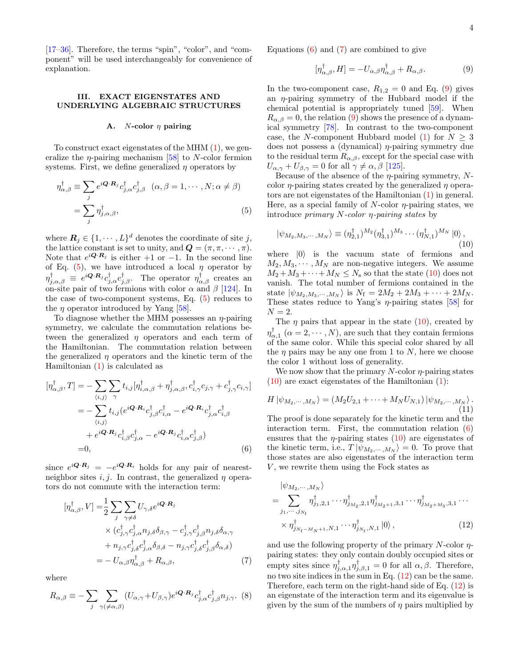[\[17–](#page-27-10)[36\]](#page-28-0). Therefore, the terms "spin", "color", and "component" will be used interchangeably for convenience of explanation.

## <span id="page-3-0"></span>III. EXACT EIGENSTATES AND UNDERLYING ALGEBRAIC STRUCTURES

#### <span id="page-3-8"></span>A. *N*-color  $\eta$  pairing

To construct exact eigenstates of the MHM [\(1\)](#page-2-1), we generalize the  $\eta$ -pairing mechanism [\[58\]](#page-29-0) to N-color fermion systems. First, we define generalized  $\eta$  operators by

$$
\eta_{\alpha,\beta}^{\dagger} \equiv \sum_{j} e^{i\mathbf{Q} \cdot \mathbf{R}_{j}} c_{j,\alpha}^{\dagger} c_{j,\beta}^{\dagger} \quad (\alpha, \beta = 1, \cdots, N; \alpha \neq \beta)
$$

$$
= \sum_{j} \eta_{j,\alpha,\beta}^{\dagger}, \tag{5}
$$

where  $\mathbf{R}_j \in \{1, \cdots, L\}^d$  denotes the coordinate of site j, the lattice constant is set to unity, and  $\mathbf{Q} = (\pi, \pi, \dots, \pi)$ . Note that  $e^{i\mathbf{Q}\cdot\mathbf{R}_j}$  is either  $+1$  or  $-1$ . In the second line of Eq. [\(5\)](#page-3-1), we have introduced a local  $\eta$  operator by  $\eta_{j,\alpha,\beta}^{\dagger} \equiv e^{i\mathbf{Q}\cdot\mathbf{R}_j} c_{j,\alpha}^{\dagger} c_{j,\beta}^{\dagger}$ . The operator  $\eta_{\alpha,\beta}^{\dagger}$  creates an on-site pair of two fermions with color  $\alpha$  and  $\beta$  [\[124\]](#page-30-15). In the case of two-component systems, Eq. [\(5\)](#page-3-1) reduces to the *n* operator introduced by Yang  $[58]$ .

To diagnose whether the MHM possesses an  $\eta$ -pairing symmetry, we calculate the commutation relations between the generalized  $\eta$  operators and each term of the Hamiltonian. The commutation relation between the generalized  $\eta$  operators and the kinetic term of the Hamiltonian  $(1)$  is calculated as

$$
[\eta_{\alpha,\beta}^{\dagger},T] = -\sum_{\langle i,j\rangle} \sum_{\gamma} t_{i,j} [\eta_{i,\alpha,\beta}^{\dagger} + \eta_{j,\alpha,\beta}^{\dagger}, c_{i,\gamma}^{\dagger} c_{j,\gamma} + c_{j,\gamma}^{\dagger} c_{i,\gamma}]
$$
  

$$
= -\sum_{\langle i,j\rangle} t_{i,j} (e^{i\mathbf{Q}\cdot\mathbf{R}_{i}} c_{j,\beta}^{\dagger} c_{i,\alpha}^{\dagger} - e^{i\mathbf{Q}\cdot\mathbf{R}_{i}} c_{j,\alpha}^{\dagger} c_{i,\beta}^{\dagger}
$$

$$
+ e^{i\mathbf{Q}\cdot\mathbf{R}_{j}} c_{i,\beta}^{\dagger} c_{j,\alpha}^{\dagger} - e^{i\mathbf{Q}\cdot\mathbf{R}_{j}} c_{i,\alpha}^{\dagger} c_{j,\beta}^{\dagger})
$$

$$
= 0, \qquad (6)
$$

since  $e^{i\mathbf{Q}\cdot\mathbf{R}_j} = -e^{i\mathbf{Q}\cdot\mathbf{R}_i}$  holds for any pair of nearestneighbor sites i, j. In contrast, the generalized  $\eta$  operators do not commute with the interaction term:

$$
[\eta_{\alpha,\beta}^{\dagger}, V] = \frac{1}{2} \sum_{j} \sum_{\gamma \neq \delta} U_{\gamma,\delta} e^{i\mathbf{Q} \cdot \mathbf{R}_{j}} \times (c_{j,\gamma}^{\dagger} c_{j,\alpha}^{\dagger} n_{j,\delta} \delta_{\beta,\gamma} - c_{j,\gamma}^{\dagger} c_{j,\beta}^{\dagger} n_{j,\delta} \delta_{\alpha,\gamma} + n_{j,\gamma} c_{j,\delta}^{\dagger} c_{j,\alpha}^{\dagger} \delta_{\beta,\delta} - n_{j,\gamma} c_{j,\delta}^{\dagger} c_{j,\beta}^{\dagger} \delta_{\alpha,\delta}) = - U_{\alpha,\beta} \eta_{\alpha,\beta}^{\dagger} + R_{\alpha,\beta}, \tag{7}
$$

where

$$
R_{\alpha,\beta} \equiv -\sum_{j} \sum_{\gamma(\neq \alpha,\beta)} (U_{\alpha,\gamma} + U_{\beta,\gamma}) e^{i\mathbf{Q} \cdot \mathbf{R}_{j}} c_{j,\alpha}^{\dagger} c_{j,\beta}^{\dagger} n_{j,\gamma}.
$$
 (8)

Equations  $(6)$  and  $(7)$  are combined to give

<span id="page-3-4"></span>
$$
[\eta_{\alpha,\beta}^{\dagger},H] = -U_{\alpha,\beta}\eta_{\alpha,\beta}^{\dagger} + R_{\alpha,\beta}.
$$
 (9)

In the two-component case,  $R_{1,2} = 0$  and Eq. [\(9\)](#page-3-4) gives an  $\eta$ -pairing symmetry of the Hubbard model if the chemical potential is appropriately tuned [\[59\]](#page-29-1). When  $R_{\alpha,\beta} = 0$ , the relation [\(9\)](#page-3-4) shows the presence of a dynamical symmetry [\[78\]](#page-29-17). In contrast to the two-component case, the N-component Hubbard model [\(1\)](#page-2-1) for  $N \geq 3$ does not possess a (dynamical)  $\eta$ -pairing symmetry due to the residual term  $R_{\alpha,\beta}$ , except for the special case with  $U_{\alpha,\gamma} + U_{\beta,\gamma} = 0$  for all  $\gamma \neq \alpha, \beta$  [\[125\]](#page-30-16).

<span id="page-3-1"></span>Because of the absence of the  $\eta$ -pairing symmetry, Ncolor  $\eta$ -pairing states created by the generalized  $\eta$  operators are not eigenstates of the Hamiltonian [\(1\)](#page-2-1) in general. Here, as a special family of  $N$ -color  $\eta$ -pairing states, we introduce *primary N-color*  $\eta$ *-pairing states* by

<span id="page-3-5"></span>
$$
|\psi_{M_2,M_3,\cdots,M_N}\rangle \equiv (\eta_{2,1}^{\dagger})^{M_2} (\eta_{3,1}^{\dagger})^{M_3} \cdots (\eta_{N,1}^{\dagger})^{M_N} |0\rangle, \tag{10}
$$

where  $|0\rangle$  is the vacuum state of fermions and  $M_2, M_3, \cdots, M_N$  are non-negative integers. We assume  $M_2 + M_3 + \cdots + M_N \leq N_s$  so that the state [\(10\)](#page-3-5) does not vanish. The total number of fermions contained in the state  $|\psi_{M_2,M_3,\cdots,M_N}\rangle$  is  $N_f = 2M_2 + 2M_3 + \cdots + 2M_N$ . These states reduce to Yang's  $\eta$ -pairing states [\[58\]](#page-29-0) for  $N = 2$ .

The  $\eta$  pairs that appear in the state [\(10\)](#page-3-5), created by  $\eta_{\alpha,1}^{\dagger}$  ( $\alpha = 2, \cdots, N$ ), are such that they contain fermions of the same color. While this special color shared by all the  $\eta$  pairs may be any one from 1 to N, here we choose the color 1 without loss of generality.

We now show that the primary  $N$ -color  $\eta$ -pairing states  $(10)$  are exact eigenstates of the Hamiltonian  $(1)$ :

<span id="page-3-7"></span>
$$
H|\psi_{M_2,\cdots,M_N}\rangle = (M_2U_{2,1}+\cdots+M_NU_{N,1})|\psi_{M_2,\cdots,M_N}\rangle.
$$
\n(11)

<span id="page-3-2"></span>The proof is done separately for the kinetic term and the interaction term. First, the commutation relation [\(6\)](#page-3-2) ensures that the  $\eta$ -pairing states [\(10\)](#page-3-5) are eigenstates of the kinetic term, i.e.,  $T | \psi_{M_2,\cdots,M_N} \rangle = 0$ . To prove that those states are also eigenstates of the interaction term  $V$ , we rewrite them using the Fock states as

<span id="page-3-6"></span>
$$
\begin{split} &|\psi_{M_2,\cdots,M_N}\rangle\\ &=\sum_{j_1,\cdots,j_{N_{\rm f}}} \eta^{\dagger}_{j_1,2,1}\cdots\eta^{\dagger}_{j_{M_2},2,1}\eta^{\dagger}_{j_{M_2+1},3,1}\cdots\eta^{\dagger}_{j_{M_2+M_3},3,1}\cdots\\ &\times\eta^{\dagger}_{j_{N_{\rm f}-M_N+1},N,1}\cdots\eta^{\dagger}_{j_{N_{\rm f}},N,1}\left|0\right\rangle,\end{split} \tag{12}
$$

<span id="page-3-3"></span>and use the following property of the primary  $N$ -color  $\eta$ pairing states: they only contain doubly occupied sites or empty sites since  $\eta_{j,\alpha,1}^{\dagger} \eta_{j,\beta,1}^{\dagger} = 0$  for all  $\alpha, \beta$ . Therefore, no two site indices in the sum in Eq. [\(12\)](#page-3-6) can be the same. Therefore, each term on the right-hand side of Eq. [\(12\)](#page-3-6) is an eigenstate of the interaction term and its eigenvalue is given by the sum of the numbers of  $\eta$  pairs multiplied by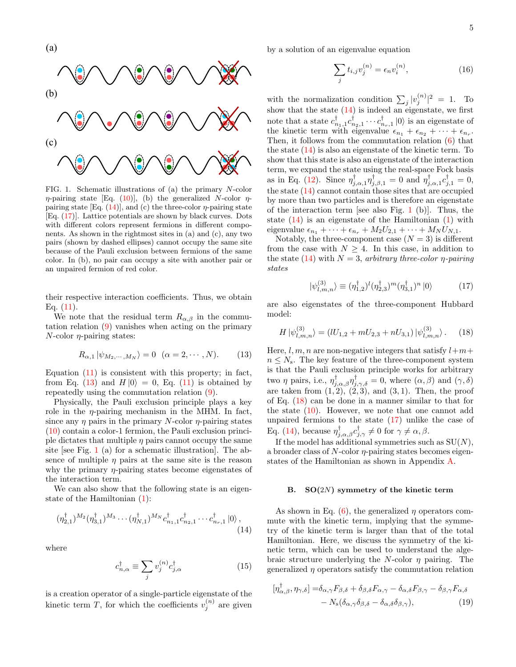

5



<span id="page-4-3"></span>FIG. 1. Schematic illustrations of (a) the primary N-color  $\eta$ -pairing state [Eq. [\(10\)](#page-3-5)], (b) the generalized N-color  $\eta$ pairing state [Eq.  $(14)$ ], and  $(c)$  the three-color  $\eta$ -pairing state [Eq. [\(17\)](#page-4-1)]. Lattice potentials are shown by black curves. Dots with different colors represent fermions in different components. As shown in the rightmost sites in (a) and (c), any two pairs (shown by dashed ellipses) cannot occupy the same site because of the Pauli exclusion between fermions of the same color. In (b), no pair can occupy a site with another pair or an unpaired fermion of red color.

their respective interaction coefficients. Thus, we obtain Eq.  $(11)$ .

We note that the residual term  $R_{\alpha,\beta}$  in the commutation relation [\(9\)](#page-3-4) vanishes when acting on the primary  $N$ -color  $\eta$ -pairing states:

<span id="page-4-2"></span>
$$
R_{\alpha,1} |\psi_{M_2,\cdots,M_N}\rangle = 0 \quad (\alpha = 2,\cdots,N). \tag{13}
$$

Equation [\(11\)](#page-3-7) is consistent with this property; in fact, from Eq. [\(13\)](#page-4-2) and  $H |0\rangle = 0$ , Eq. [\(11\)](#page-3-7) is obtained by repeatedly using the commutation relation [\(9\)](#page-3-4).

Physically, the Pauli exclusion principle plays a key role in the  $\eta$ -pairing mechanism in the MHM. In fact, since any  $\eta$  pairs in the primary N-color  $\eta$ -pairing states [\(10\)](#page-3-5) contain a color-1 fermion, the Pauli exclusion principle dictates that multiple  $\eta$  pairs cannot occupy the same site [see Fig. [1](#page-4-3) (a) for a schematic illustration]. The absence of multiple  $\eta$  pairs at the same site is the reason why the primary  $\eta$ -pairing states become eigenstates of the interaction term.

We can also show that the following state is an eigenstate of the Hamiltonian [\(1\)](#page-2-1):

$$
(\eta_{2,1}^{\dagger})^{M_2}(\eta_{3,1}^{\dagger})^{M_3}\cdots(\eta_{N,1}^{\dagger})^{M_N}c_{n_1,1}^{\dagger}c_{n_2,1}^{\dagger}\cdots c_{n_r,1}^{\dagger}|0\rangle, \tag{14}
$$

where

$$
c_{n,\alpha}^{\dagger} \equiv \sum_{j} v_{j}^{(n)} c_{j,\alpha}^{\dagger} \tag{15}
$$

is a creation operator of a single-particle eigenstate of the kinetic term T, for which the coefficients  $v_j^{(n)}$  are given by a solution of an eigenvalue equation

$$
\sum_{j} t_{i,j} v_j^{(n)} = \epsilon_n v_i^{(n)},\tag{16}
$$

with the normalization condition  $\sum_j |v_j^{(n)}|^2 = 1$ . To show that the state  $(14)$  is indeed an eigenstate, we first note that a state  $c_{n_1,1}^{\dagger}c_{n_2,1}^{\dagger}\cdots c_{n_r,1}^{\dagger}|0\rangle$  is an eigenstate of the kinetic term with eigenvalue  $\epsilon_{n_1} + \epsilon_{n_2} + \cdots + \epsilon_{n_r}$ . Then, it follows from the commutation relation [\(6\)](#page-3-2) that the state [\(14\)](#page-4-0) is also an eigenstate of the kinetic term. To show that this state is also an eigenstate of the interaction term, we expand the state using the real-space Fock basis as in Eq. [\(12\)](#page-3-6). Since  $\eta_{j,\alpha,1}^{\dagger} \eta_{j,\beta,1}^{\dagger} = 0$  and  $\eta_{j,\alpha,1}^{\dagger} c_{j,1}^{\dagger} = 0$ , the state [\(14\)](#page-4-0) cannot contain those sites that are occupied by more than two particles and is therefore an eigenstate of the interaction term [see also Fig. [1](#page-4-3) (b)]. Thus, the state  $(14)$  is an eigenstate of the Hamiltonian  $(1)$  with eigenvalue  $\epsilon_{n_1} + \cdots + \epsilon_{n_r} + M_2U_{2,1} + \cdots + M_NU_{N,1}.$ 

Notably, the three-component case  $(N = 3)$  is different from the case with  $N \geq 4$ . In this case, in addition to the state [\(14\)](#page-4-0) with  $N = 3$ , arbitrary three-color *η-pairing* states

<span id="page-4-4"></span><span id="page-4-1"></span>
$$
|\psi_{l,m,n}^{(3)}\rangle \equiv (\eta_{1,2}^{\dagger})^{l}(\eta_{2,3}^{\dagger})^{m}(\eta_{3,1}^{\dagger})^{n}|0\rangle \tag{17}
$$

are also eigenstates of the three-component Hubbard model:

$$
H \left| \psi_{l,m,n}^{(3)} \right\rangle = (lU_{1,2} + mU_{2,3} + nU_{3,1}) \left| \psi_{l,m,n}^{(3)} \right\rangle. \tag{18}
$$

Here, l, m, n are non-negative integers that satisfy  $l+m+$  $n \leq N_s$ . The key feature of the three-component system is that the Pauli exclusion principle works for arbitrary two  $\eta$  pairs, i.e.,  $\eta^{\dagger}_{j,\alpha,\beta}\eta^{\dagger}_{j,\gamma,\delta}=0$ , where  $(\alpha,\beta)$  and  $(\gamma,\delta)$ are taken from  $(1, 2), (2, 3),$  and  $(3, 1)$ . Then, the proof of Eq. [\(18\)](#page-4-4) can be done in a manner similar to that for the state  $(10)$ . However, we note that one cannot add unpaired fermions to the state  $(17)$  unlike the case of Eq. [\(14\)](#page-4-0), because  $\eta_{j,\alpha,\beta}^{\dagger} c_{j,\gamma}^{\dagger} \neq 0$  for  $\gamma \neq \alpha, \beta$ .

If the model has additional symmetries such as  $SU(N)$ , a broader class of  $N$ -color  $\eta$ -pairing states becomes eigenstates of the Hamiltonian as shown in Appendix [A.](#page-17-0)

#### <span id="page-4-6"></span>B.  $SO(2N)$  symmetry of the kinetic term

<span id="page-4-0"></span>As shown in Eq.  $(6)$ , the generalized  $\eta$  operators commute with the kinetic term, implying that the symmetry of the kinetic term is larger than that of the total Hamiltonian. Here, we discuss the symmetry of the kinetic term, which can be used to understand the algebraic structure underlying the N-color  $\eta$  pairing. The generalized  $\eta$  operators satisfy the commutation relation

<span id="page-4-5"></span>
$$
[\eta_{\alpha,\beta}^{\dagger},\eta_{\gamma,\delta}] = \delta_{\alpha,\gamma}F_{\beta,\delta} + \delta_{\beta,\delta}F_{\alpha,\gamma} - \delta_{\alpha,\delta}F_{\beta,\gamma} - \delta_{\beta,\gamma}F_{\alpha,\delta} - N_{\rm s}(\delta_{\alpha,\gamma}\delta_{\beta,\delta} - \delta_{\alpha,\delta}\delta_{\beta,\gamma}),
$$
(19)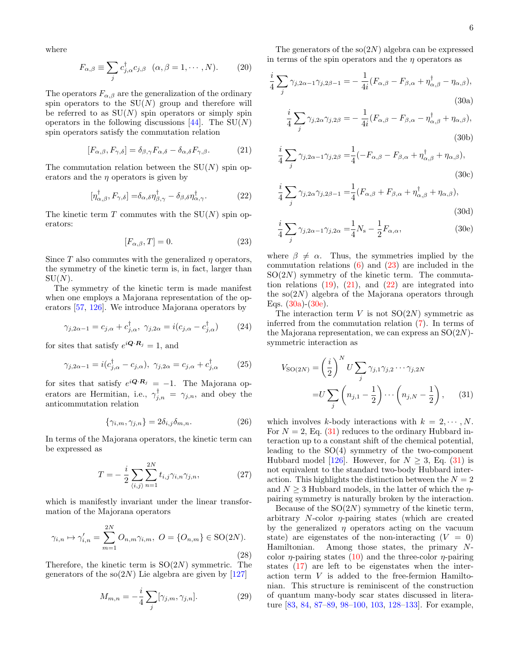where

<span id="page-5-6"></span>
$$
F_{\alpha,\beta} \equiv \sum_{j} c_{j,\alpha}^{\dagger} c_{j,\beta} \quad (\alpha,\beta = 1,\cdots,N). \tag{20}
$$

The operators  $F_{\alpha,\beta}$  are the generalization of the ordinary spin operators to the  $SU(N)$  group and therefore will be referred to as  $SU(N)$  spin operators or simply spin operators in the following discussions [\[44\]](#page-28-5). The  $SU(N)$ spin operators satisfy the commutation relation

$$
[F_{\alpha,\beta}, F_{\gamma,\delta}] = \delta_{\beta,\gamma} F_{\alpha,\delta} - \delta_{\alpha,\delta} F_{\gamma,\beta}.
$$
 (21)

The commutation relation between the  $SU(N)$  spin operators and the  $\eta$  operators is given by

$$
[\eta_{\alpha,\beta}^{\dagger}, F_{\gamma,\delta}] = \delta_{\alpha,\delta} \eta_{\beta,\gamma}^{\dagger} - \delta_{\beta,\delta} \eta_{\alpha,\gamma}^{\dagger}.
$$
 (22)

The kinetic term T commutes with the  $SU(N)$  spin operators:

$$
[F_{\alpha,\beta},T] = 0.\t(23)
$$

Since T also commutes with the generalized  $\eta$  operators, the symmetry of the kinetic term is, in fact, larger than  $SU(N)$ .

The symmetry of the kinetic term is made manifest when one employs a Majorana representation of the operators [\[57,](#page-28-12) [126\]](#page-30-17). We introduce Majorana operators by

$$
\gamma_{j,2\alpha-1} = c_{j,\alpha} + c_{j,\alpha}^{\dagger}, \quad \gamma_{j,2\alpha} = i(c_{j,\alpha} - c_{j,\alpha}^{\dagger}) \tag{24}
$$

for sites that satisfy  $e^{i\mathbf{Q}\cdot\mathbf{R}_j} = 1$ , and

$$
\gamma_{j,2\alpha-1} = i(c_{j,\alpha}^{\dagger} - c_{j,\alpha}), \ \gamma_{j,2\alpha} = c_{j,\alpha} + c_{j,\alpha}^{\dagger} \tag{25}
$$

for sites that satisfy  $e^{i\mathbf{Q}\cdot\mathbf{R}_j} = -1$ . The Majorana operators are Hermitian, i.e.,  $\gamma_{j,n}^{\dagger} = \gamma_{j,n}$ , and obey the anticommutation relation

$$
\{\gamma_{i,m}, \gamma_{j,n}\} = 2\delta_{i,j}\delta_{m,n}.\tag{26}
$$

In terms of the Majorana operators, the kinetic term can be expressed as

$$
T = -\frac{i}{2} \sum_{\langle i,j \rangle} \sum_{n=1}^{2N} t_{i,j} \gamma_{i,n} \gamma_{j,n},
$$
 (27)

which is manifestly invariant under the linear transformation of the Majorana operators

$$
\gamma_{i,n} \mapsto \gamma'_{i,n} = \sum_{m=1}^{2N} O_{n,m} \gamma_{i,m}, \ O = \{O_{n,m}\} \in \text{SO}(2N).
$$
\n(28)

Therefore, the kinetic term is  $SO(2N)$  symmetric. The generators of the  $\text{so}(2N)$  Lie algebra are given by [\[127\]](#page-30-18)

$$
M_{m,n} = -\frac{i}{4} \sum_{j} [\gamma_{j,m}, \gamma_{j,n}]. \tag{29}
$$

The generators of the  $\text{so}(2N)$  algebra can be expressed in terms of the spin operators and the  $\eta$  operators as

$$
\frac{i}{4} \sum_{j} \gamma_{j,2\alpha-1} \gamma_{j,2\beta-1} = -\frac{1}{4i} (F_{\alpha,\beta} - F_{\beta,\alpha} + \eta_{\alpha,\beta}^{\dagger} - \eta_{\alpha,\beta}),
$$
\n(30a)

<span id="page-5-3"></span>
$$
\frac{i}{4} \sum_{j} \gamma_{j,2\alpha} \gamma_{j,2\beta} = -\frac{1}{4i} (F_{\alpha,\beta} - F_{\beta,\alpha} - \eta_{\alpha,\beta}^{\dagger} + \eta_{\alpha,\beta}),
$$
\n(30b)

<span id="page-5-1"></span>
$$
\frac{i}{4} \sum_{j} \gamma_{j,2\alpha-1} \gamma_{j,2\beta} = \frac{1}{4} (-F_{\alpha,\beta} - F_{\beta,\alpha} + \eta^{\dagger}_{\alpha,\beta} + \eta_{\alpha,\beta}),
$$
\n(30c)

<span id="page-5-2"></span>
$$
\frac{i}{4} \sum_{j} \gamma_{j,2\alpha} \gamma_{j,2\beta-1} = \frac{1}{4} (F_{\alpha,\beta} + F_{\beta,\alpha} + \eta_{\alpha,\beta}^{\dagger} + \eta_{\alpha,\beta}),
$$
\n(30d)

<span id="page-5-4"></span>
$$
\frac{i}{4} \sum_{j} \gamma_{j,2\alpha-1} \gamma_{j,2\alpha} = \frac{1}{4} N_{\rm s} - \frac{1}{2} F_{\alpha,\alpha},\tag{30e}
$$

<span id="page-5-0"></span>where  $\beta \neq \alpha$ . Thus, the symmetries implied by the commutation relations  $(6)$  and  $(23)$  are included in the  $SO(2N)$  symmetry of the kinetic term. The commutation relations  $(19)$ ,  $(21)$ , and  $(22)$  are integrated into the  $\text{so}(2N)$  algebra of the Majorana operators through Eqs.  $(30a)-(30e)$  $(30a)-(30e)$ .

The interaction term V is not  $SO(2N)$  symmetric as inferred from the commutation relation [\(7\)](#page-3-3). In terms of the Majorana representation, we can express an  $SO(2N)$ symmetric interaction as

<span id="page-5-5"></span>
$$
V_{\text{SO}(2N)} = \left(\frac{i}{2}\right)^N U \sum_j \gamma_{j,1} \gamma_{j,2} \cdots \gamma_{j,2N}
$$

$$
= U \sum_j \left(n_{j,1} - \frac{1}{2}\right) \cdots \left(n_{j,N} - \frac{1}{2}\right), \qquad (31)
$$

which involves k-body interactions with  $k = 2, \dots, N$ . For  $N = 2$ , Eq. [\(31\)](#page-5-5) reduces to the ordinary Hubbard interaction up to a constant shift of the chemical potential, leading to the  $SO(4)$  symmetry of the two-component Hubbard model  $[126]$ . However, for  $N > 3$ , Eq.  $(31)$  is not equivalent to the standard two-body Hubbard interaction. This highlights the distinction between the  $N = 2$ and  $N > 3$  Hubbard models, in the latter of which the  $\eta$ pairing symmetry is naturally broken by the interaction.

Because of the  $SO(2N)$  symmetry of the kinetic term, arbitrary  $N$ -color  $\eta$ -pairing states (which are created by the generalized  $\eta$  operators acting on the vacuum state) are eigenstates of the non-interacting  $(V = 0)$ Hamiltonian. Among those states, the primary Ncolor  $\eta$ -pairing states [\(10\)](#page-3-5) and the three-color  $\eta$ -pairing states [\(17\)](#page-4-1) are left to be eigenstates when the interaction term V is added to the free-fermion Hamiltonian. This structure is reminiscent of the construction of quantum many-body scar states discussed in literature [\[83,](#page-29-7) [84,](#page-29-8) [87–](#page-29-16)[89,](#page-29-11) [98–](#page-30-2)[100,](#page-30-1) [103,](#page-30-19) [128–](#page-30-20)[133\]](#page-30-21). For example,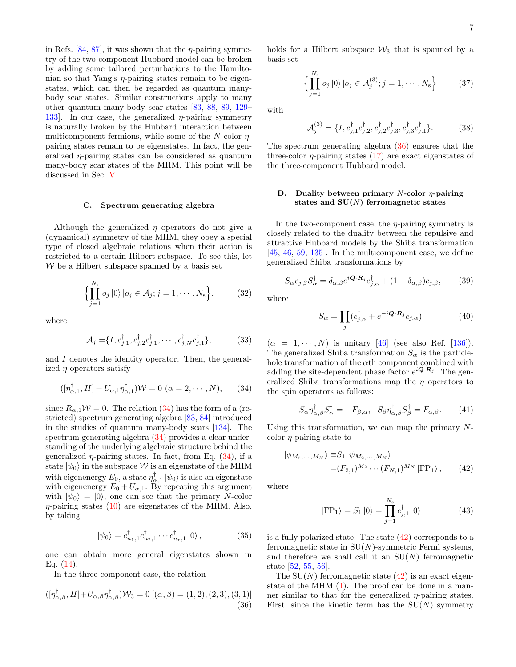in Refs. [\[84,](#page-29-8) [87\]](#page-29-16), it was shown that the  $\eta$ -pairing symmetry of the two-component Hubbard model can be broken by adding some tailored perturbations to the Hamiltonian so that Yang's  $\eta$ -pairing states remain to be eigenstates, which can then be regarded as quantum manybody scar states. Similar constructions apply to many other quantum many-body scar states [\[83,](#page-29-7) [88,](#page-29-18) [89,](#page-29-11) [129–](#page-30-22) 133. In our case, the generalized  $\eta$ -pairing symmetry is naturally broken by the Hubbard interaction between multicomponent fermions, while some of the  $N$ -color  $\eta$ pairing states remain to be eigenstates. In fact, the generalized  $\eta$ -pairing states can be considered as quantum many-body scar states of the MHM. This point will be discussed in Sec. [V.](#page-9-0)

#### C. Spectrum generating algebra

Although the generalized  $\eta$  operators do not give a (dynamical) symmetry of the MHM, they obey a special type of closed algebraic relations when their action is restricted to a certain Hilbert subspace. To see this, let  $W$  be a Hilbert subspace spanned by a basis set

$$
\left\{ \prod_{j=1}^{N_{\rm s}} o_j |0\rangle |o_j \in \mathcal{A}_j; j = 1, \cdots, N_{\rm s} \right\},\tag{32}
$$

where

$$
\mathcal{A}_j = \{I, c_{j,1}^\dagger, c_{j,2}^\dagger c_{j,1}^\dagger, \cdots, c_{j,N}^\dagger c_{j,1}^\dagger\},\tag{33}
$$

and  $I$  denotes the identity operator. Then, the generalized  $\eta$  operators satisfy

<span id="page-6-0"></span>
$$
([\eta^{\dagger}_{\alpha,1},H] + U_{\alpha,1}\eta^{\dagger}_{\alpha,1})\mathcal{W} = 0 \ (\alpha = 2,\cdots,N), \qquad (34)
$$

since  $R_{\alpha,1}W = 0$ . The relation [\(34\)](#page-6-0) has the form of a (restricted) spectrum generating algebra [\[83,](#page-29-7) [84\]](#page-29-8) introduced in the studies of quantum many-body scars [\[134\]](#page-31-0). The spectrum generating algebra [\(34\)](#page-6-0) provides a clear understanding of the underlying algebraic structure behind the generalized  $\eta$ -pairing states. In fact, from Eq. [\(34\)](#page-6-0), if a state  $|\psi_0\rangle$  in the subspace W is an eigenstate of the MHM with eigenenergy  $E_0$ , a state  $\eta_{\alpha,1}^{\dagger} | \psi_0 \rangle$  is also an eigenstate with eigenenergy  $E_0 + U_{\alpha,1}$ . By repeating this argument with  $|\psi_0\rangle = |0\rangle$ , one can see that the primary N-color  $\eta$ -pairing states [\(10\)](#page-3-5) are eigenstates of the MHM. Also, by taking

$$
|\psi_0\rangle = c_{n_1,1}^\dagger c_{n_2,1}^\dagger \cdots c_{n_r,1}^\dagger |0\rangle\,,\tag{35}
$$

one can obtain more general eigenstates shown in Eq. [\(14\)](#page-4-0).

In the three-component case, the relation

<span id="page-6-1"></span>
$$
([\eta^{\dagger}_{\alpha,\beta},H]+U_{\alpha,\beta}\eta^{\dagger}_{\alpha,\beta})\mathcal{W}_3=0\left[(\alpha,\beta)=(1,2),(2,3),(3,1)\right]
$$
\n(36)

holds for a Hilbert subspace  $\mathcal{W}_3$  that is spanned by a basis set

$$
\left\{ \prod_{j=1}^{N_{\rm s}} o_j |0\rangle |o_j \in \mathcal{A}_j^{(3)}; j = 1, \cdots, N_{\rm s} \right\} \tag{37}
$$

with

$$
\mathcal{A}_{j}^{(3)} = \{I, c_{j,1}^{\dagger} c_{j,2}^{\dagger}, c_{j,2}^{\dagger} c_{j,3}^{\dagger}, c_{j,3}^{\dagger} c_{j,1}^{\dagger}\}.
$$
 (38)

The spectrum generating algebra [\(36\)](#page-6-1) ensures that the three-color  $\eta$ -pairing states [\(17\)](#page-4-1) are exact eigenstates of the three-component Hubbard model.

## D. Duality between primary N-color  $\eta$ -pairing states and  $SU(N)$  ferromagnetic states

In the two-component case, the  $\eta$ -pairing symmetry is closely related to the duality between the repulsive and attractive Hubbard models by the Shiba transformation  $[45, 46, 59, 135]$  $[45, 46, 59, 135]$  $[45, 46, 59, 135]$  $[45, 46, 59, 135]$  $[45, 46, 59, 135]$  $[45, 46, 59, 135]$  $[45, 46, 59, 135]$ . In the multicomponent case, we define generalized Shiba transformations by

$$
S_{\alpha}c_{j,\beta}S_{\alpha}^{\dagger} = \delta_{\alpha,\beta}e^{i\mathbf{Q}\cdot\mathbf{R}_j}c_{j,\alpha}^{\dagger} + (1 - \delta_{\alpha,\beta})c_{j,\beta},\tag{39}
$$

where

$$
S_{\alpha} = \prod_{j} (c_{j,\alpha}^{\dagger} + e^{-i\mathbf{Q} \cdot \mathbf{R}_{j}} c_{j,\alpha})
$$
(40)

 $(\alpha = 1, \cdots, N)$  is unitary [\[46\]](#page-28-7) (see also Ref. [\[136\]](#page-31-2)). The generalized Shiba transformation  $S_{\alpha}$  is the particlehole transformation of the  $\alpha$ th component combined with adding the site-dependent phase factor  $e^{i\mathbf{Q}\cdot\mathbf{R}_j}$ . The generalized Shiba transformations map the  $\eta$  operators to the spin operators as follows:

<span id="page-6-3"></span>
$$
S_{\alpha}\eta_{\alpha,\beta}^{\dagger}S_{\alpha}^{\dagger} = -F_{\beta,\alpha}, \quad S_{\beta}\eta_{\alpha,\beta}^{\dagger}S_{\beta}^{\dagger} = F_{\alpha,\beta}.
$$
 (41)

Using this transformation, we can map the primary  $N$ color  $\eta$ -pairing state to

$$
\begin{aligned} \left| \phi_{M_2,\cdots,M_N} \right\rangle & \equiv S_1 \left| \psi_{M_2,\cdots,M_N} \right\rangle \\ & = (F_{2,1})^{M_2} \cdots (F_{N,1})^{M_N} \left| \text{FP}_1 \right\rangle, \end{aligned} \tag{42}
$$

where

<span id="page-6-2"></span>
$$
|\text{FP}_1\rangle = S_1 |0\rangle = \prod_{j=1}^{N_s} c_{j,1}^{\dagger} |0\rangle \tag{43}
$$

is a fully polarized state. The state [\(42\)](#page-6-2) corresponds to a ferromagnetic state in  $SU(N)$ -symmetric Fermi systems, and therefore we shall call it an  $SU(N)$  ferromagnetic state [\[52,](#page-28-11) [55,](#page-28-13) [56\]](#page-28-14).

The  $SU(N)$  ferromagnetic state  $(42)$  is an exact eigenstate of the MHM  $(1)$ . The proof can be done in a manner similar to that for the generalized  $\eta$ -pairing states. First, since the kinetic term has the  $SU(N)$  symmetry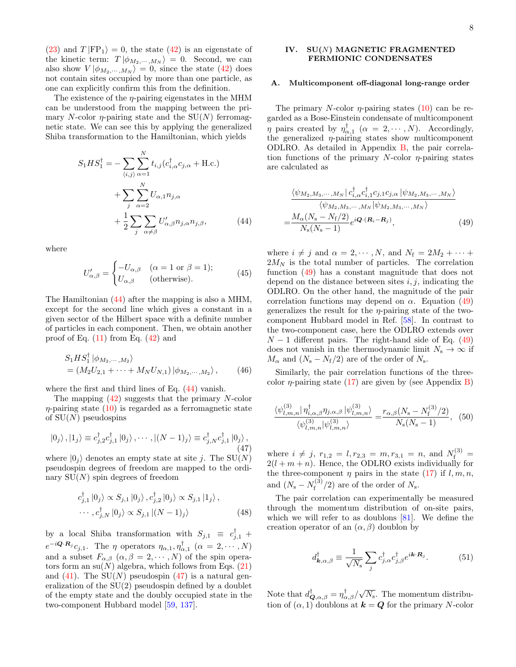[\(23\)](#page-5-0) and  $T|FP_1\rangle = 0$ , the state [\(42\)](#page-6-2) is an eigenstate of the kinetic term:  $T | \phi_{M_2,\dots,M_N} \rangle = 0$ . Second, we can also show  $V | \phi_{M_2,\dots,M_N} \rangle = 0$ , since the state [\(42\)](#page-6-2) does not contain sites occupied by more than one particle, as one can explicitly confirm this from the definition.

The existence of the  $\eta$ -pairing eigenstates in the MHM can be understood from the mapping between the primary N-color  $\eta$ -pairing state and the SU(N) ferromagnetic state. We can see this by applying the generalized Shiba transformation to the Hamiltonian, which yields

$$
S_1 H S_1^{\dagger} = -\sum_{\langle i,j \rangle} \sum_{\alpha=1}^N t_{i,j} (c_{i,\alpha}^{\dagger} c_{j,\alpha} + \text{H.c.})
$$

$$
+ \sum_j \sum_{\alpha=2}^N U_{\alpha,1} n_{j,\alpha}
$$

$$
+ \frac{1}{2} \sum_j \sum_{\alpha \neq \beta} U'_{\alpha,\beta} n_{j,\alpha} n_{j,\beta}, \tag{44}
$$

where

$$
U'_{\alpha,\beta} = \begin{cases} -U_{\alpha,\beta} & (\alpha = 1 \text{ or } \beta = 1); \\ U_{\alpha,\beta} & \text{(otherwise)}. \end{cases}
$$
(45)

The Hamiltonian [\(44\)](#page-7-1) after the mapping is also a MHM, except for the second line which gives a constant in a given sector of the Hilbert space with a definite number of particles in each component. Then, we obtain another proof of Eq.  $(11)$  from Eq.  $(42)$  and

$$
S_1 H S_1^{\dagger} | \phi_{M_2, \cdots, M_2} \rangle
$$
  
=  $(M_2 U_{2,1} + \cdots + M_N U_{N,1}) | \phi_{M_2, \cdots, M_2} \rangle$ , (46)

where the first and third lines of Eq. [\(44\)](#page-7-1) vanish.

The mapping  $(42)$  suggests that the primary N-color  $\eta$ -pairing state [\(10\)](#page-3-5) is regarded as a ferromagnetic state of  $SU(N)$  pseudospins

<span id="page-7-2"></span>
$$
|0_j\rangle, |1_j\rangle \equiv c_{j,2}^{\dagger} c_{j,1}^{\dagger} |0_j\rangle, \cdots, |(N-1)_j\rangle \equiv c_{j,N}^{\dagger} c_{j,1}^{\dagger} |0_j\rangle, \tag{47}
$$

where  $|0_i\rangle$  denotes an empty state at site j. The SU(N) pseudospin degrees of freedom are mapped to the ordinary  $SU(N)$  spin degrees of freedom

$$
c_{j,1}^{\dagger} |0_j\rangle \propto S_{j,1} |0_j\rangle, c_{j,2}^{\dagger} |0_j\rangle \propto S_{j,1} |1_j\rangle,
$$
  
... , 
$$
c_{j,N}^{\dagger} |0_j\rangle \propto S_{j,1} |(N-1)_j\rangle
$$
 (48)

by a local Shiba transformation with  $S_{j,1} \equiv c_{j,1}^{\dagger} +$  $e^{-i\mathbf{Q}\cdot\mathbf{R}_j}c_{j,1}$ . The  $\eta$  operators  $\eta_{\alpha,1},\eta_{\alpha,1}^{\dagger}$   $(\alpha=2,\cdots,N)$ and a subset  $F_{\alpha,\beta}$   $(\alpha,\beta=2,\cdots,N)$  of the spin operators form an  $su(N)$  algebra, which follows from Eqs. [\(21\)](#page-5-1) and  $(41)$ . The SU(N) pseudospin  $(47)$  is a natural generalization of the SU(2) pseudospin defined by a doublet of the empty state and the doubly occupied state in the two-component Hubbard model [\[59,](#page-29-1) [137\]](#page-31-3).

## <span id="page-7-0"></span>IV. SU(N) MAGNETIC FRAGMENTED FERMIONIC CONDENSATES

#### A. Multicomponent off-diagonal long-range order

The primary N-color  $\eta$ -pairing states [\(10\)](#page-3-5) can be regarded as a Bose-Einstein condensate of multicomponent  $\eta$  pairs created by  $\eta_{\alpha,1}^{\dagger}$  ( $\alpha = 2, \cdots, N$ ). Accordingly, the generalized  $\eta$ -pairing states show multicomponent ODLRO. As detailed in Appendix [B,](#page-18-0) the pair correlation functions of the primary  $N$ -color  $\eta$ -pairing states are calculated as

<span id="page-7-3"></span>
$$
\frac{\langle \psi_{M_2,M_3,\cdots,M_N} | c_{i,\alpha}^\dagger c_{i,1}^{\dagger} c_{j,1} c_{j,\alpha} | \psi_{M_2,M_3,\cdots,M_N} \rangle}{\langle \psi_{M_2,M_3,\cdots,M_N} | \psi_{M_2,M_3,\cdots,M_N} \rangle}
$$

$$
=\frac{M_\alpha(N_s-N_{\rm f}/2)}{N_{\rm s}(N_{\rm s}-1)}e^{i\mathbf{Q}\cdot(\mathbf{R}_i-\mathbf{R}_j)},
$$
(49)

<span id="page-7-1"></span>where  $i \neq j$  and  $\alpha = 2, \dots, N$ , and  $N_f = 2M_2 + \dots +$  $2M_N$  is the total number of particles. The correlation function [\(49\)](#page-7-3) has a constant magnitude that does not depend on the distance between sites  $i, j$ , indicating the ODLRO. On the other hand, the magnitude of the pair correlation functions may depend on  $\alpha$ . Equation [\(49\)](#page-7-3) generalizes the result for the  $\eta$ -pairing state of the twocomponent Hubbard model in Ref. [\[58\]](#page-29-0). In contrast to the two-component case, here the ODLRO extends over  $N-1$  different pairs. The right-hand side of Eq. [\(49\)](#page-7-3) does not vanish in the thermodynamic limit  $N_{\rm s} \rightarrow \infty$  if  $M_{\alpha}$  and  $(N_{\rm s}-N_{\rm f}/2)$  are of the order of  $N_{\rm s}$ .

Similarly, the pair correlation functions of the threecolor *η*-pairing state [\(17\)](#page-4-1) are given by (see Appendix [B\)](#page-18-0)

$$
\frac{\langle \psi_{l,m,n}^{(3)} | \eta_{i,\alpha,\beta}^{\dagger} \eta_{j,\alpha,\beta} | \psi_{l,m,n}^{(3)} \rangle}{\langle \psi_{l,m,n}^{(3)} | \psi_{l,m,n}^{(3)} \rangle} = \frac{r_{\alpha,\beta}(N_{\rm s} - N_{\rm f}^{(3)}/2)}{N_{\rm s}(N_{\rm s} - 1)}, \quad (50)
$$

where  $i \neq j$ ,  $r_{1,2} = l, r_{2,3} = m, r_{3,1} = n$ , and  $N_f^{(3)} =$  $2(l + m + n)$ . Hence, the ODLRO exists individually for the three-component  $\eta$  pairs in the state [\(17\)](#page-4-1) if  $l, m, n$ , and  $(N_{\rm s}-N_{\rm f}^{(3)})$  $f_f^{(3)}/2$  are of the order of  $N_s$ .

The pair correlation can experimentally be measured through the momentum distribution of on-site pairs, which we will refer to as doublons [\[81\]](#page-29-19). We define the creation operator of an  $(\alpha, \beta)$  doublon by

$$
d^{\dagger}_{\mathbf{k},\alpha,\beta} \equiv \frac{1}{\sqrt{N_s}} \sum_j c^{\dagger}_{j,\alpha} c^{\dagger}_{j,\beta} e^{i\mathbf{k} \cdot \mathbf{R}_j}.
$$
 (51)

Note that  $d_{\mathbf{Q},\alpha,\beta}^{\dagger} = \eta_{\alpha,\beta}^{\dagger}/\sqrt{N_{\rm s}}$ . The momentum distribution of  $(\alpha, 1)$  doublons at  $k = Q$  for the primary N-color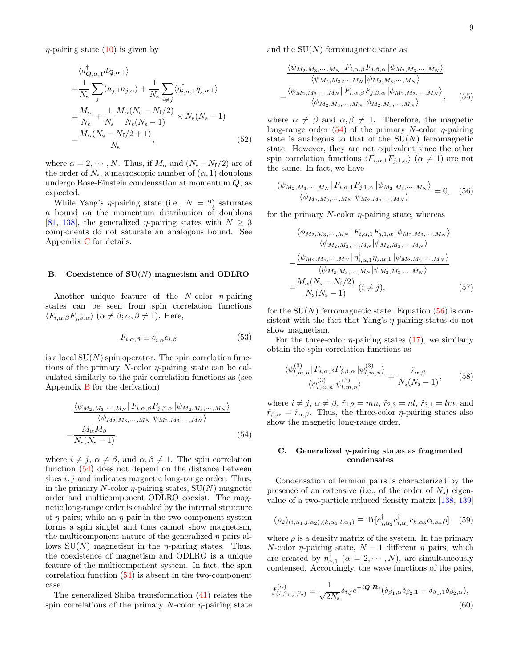$\eta$ -pairing state [\(10\)](#page-3-5) is given by

$$
\langle d_{\mathbf{Q},\alpha,1}^{\dagger} d_{\mathbf{Q},\alpha,1} \rangle
$$
  
\n
$$
= \frac{1}{N_{\rm s}} \sum_{j} \langle n_{j,1} n_{j,\alpha} \rangle + \frac{1}{N_{\rm s}} \sum_{i \neq j} \langle \eta_{i,\alpha,1}^{\dagger} \eta_{j,\alpha,1} \rangle
$$
  
\n
$$
= \frac{M_{\alpha}}{N_{\rm s}} + \frac{1}{N_{\rm s}} \frac{M_{\alpha}(N_{\rm s} - N_{\rm f}/2)}{N_{\rm s}(N_{\rm s} - 1)} \times N_{\rm s}(N_{\rm s} - 1)
$$
  
\n
$$
= \frac{M_{\alpha}(N_{\rm s} - N_{\rm f}/2 + 1)}{N_{\rm s}}, \qquad (52)
$$

where  $\alpha = 2, \dots, N$ . Thus, if  $M_{\alpha}$  and  $(N_s - N_f/2)$  are of the order of  $N_s$ , a macroscopic number of  $(\alpha, 1)$  doublons undergo Bose-Einstein condensation at momentum  $Q$ , as expected.

While Yang's  $\eta$ -pairing state (i.e.,  $N = 2$ ) saturates a bound on the momentum distribution of doublons [\[81,](#page-29-19) [138\]](#page-31-4), the generalized  $\eta$ -pairing states with  $N \geq 3$ components do not saturate an analogous bound. See Appendix [C](#page-21-0) for details.

## B. Coexistence of  $SU(N)$  magnetism and ODLRO

Another unique feature of the  $N$ -color  $\eta$ -pairing states can be seen from spin correlation functions  $\langle F_{i,\alpha,\beta}F_{i,\beta,\alpha}\rangle$   $(\alpha \neq \beta;\alpha,\beta \neq 1)$ . Here,

$$
F_{i,\alpha,\beta} \equiv c_{i,\alpha}^{\dagger} c_{i,\beta} \tag{53}
$$

is a local  $SU(N)$  spin operator. The spin correlation functions of the primary  $N$ -color  $\eta$ -pairing state can be calculated similarly to the pair correlation functions as (see Appendix [B](#page-18-0) for the derivation)

$$
\frac{\langle \psi_{M_2,M_3,\cdots,M_N} | F_{i,\alpha,\beta} F_{j,\beta,\alpha} | \psi_{M_2,M_3,\cdots,M_N} \rangle}{\langle \psi_{M_2,M_3,\cdots,M_N} | \psi_{M_2,M_3,\cdots,M_N} \rangle}
$$
  
= 
$$
\frac{M_\alpha M_\beta}{N_s(N_s-1)},
$$
(54)

where  $i \neq j$ ,  $\alpha \neq \beta$ , and  $\alpha, \beta \neq 1$ . The spin correlation function [\(54\)](#page-8-0) does not depend on the distance between sites  $i, j$  and indicates magnetic long-range order. Thus, in the primary N-color  $\eta$ -pairing states, SU(N) magnetic order and multicomponent ODLRO coexist. The magnetic long-range order is enabled by the internal structure of  $\eta$  pairs; while an  $\eta$  pair in the two-component system forms a spin singlet and thus cannot show magnetism, the multicomponent nature of the generalized  $\eta$  pairs allows  $SU(N)$  magnetism in the *η*-pairing states. Thus, the coexistence of magnetism and ODLRO is a unique feature of the multicomponent system. In fact, the spin correlation function [\(54\)](#page-8-0) is absent in the two-component case.

The generalized Shiba transformation [\(41\)](#page-6-3) relates the spin correlations of the primary  $N$ -color  $\eta$ -pairing state and the  $SU(N)$  ferromagnetic state as

$$
\frac{\langle \psi_{M_2,M_3,\cdots,M_N} | F_{i,\alpha,\beta} F_{j,\beta,\alpha} | \psi_{M_2,M_3,\cdots,M_N} \rangle}{\langle \psi_{M_2,M_3,\cdots,M_N} | \psi_{M_2,M_3,\cdots,M_N} \rangle}
$$

$$
=\frac{\langle \phi_{M_2,M_3,\cdots,M_N} | F_{i,\alpha,\beta} F_{j,\beta,\alpha} | \phi_{M_2,M_3,\cdots,M_N} \rangle}{\langle \phi_{M_2,M_3,\cdots,M_N} | \phi_{M_2,M_3,\cdots,M_N} \rangle}, \qquad (55)
$$

<span id="page-8-3"></span>where  $\alpha \neq \beta$  and  $\alpha, \beta \neq 1$ . Therefore, the magnetic long-range order  $(54)$  of the primary N-color  $\eta$ -pairing state is analogous to that of the  $SU(N)$  ferromagnetic state. However, they are not equivalent since the other spin correlation functions  $\langle F_{i,\alpha,1}F_{j,1,\alpha}\rangle$   $(\alpha \neq 1)$  are not the same. In fact, we have

$$
\frac{\langle \psi_{M_2,M_3,\cdots,M_N} | F_{i,\alpha,1} F_{j,1,\alpha} | \psi_{M_2,M_3,\cdots,M_N} \rangle}{\langle \psi_{M_2,M_3,\cdots,M_N} | \psi_{M_2,M_3,\cdots,M_N} \rangle} = 0, \quad (56)
$$

for the primary  $N$ -color  $\eta$ -pairing state, whereas

<span id="page-8-1"></span>
$$
\frac{\langle \phi_{M_2,M_3,\cdots,M_N} | F_{i,\alpha,1} F_{j,1,\alpha} | \phi_{M_2,M_3,\cdots,M_N} \rangle}{\langle \phi_{M_2,M_3,\cdots,M_N} | \phi_{M_2,M_3,\cdots,M_N} \rangle}
$$

$$
= \frac{\langle \psi_{M_2,M_3,\cdots,M_N} | \eta_{i,\alpha,1}^{\dagger} \eta_{j,\alpha,1} | \psi_{M_2,M_3,\cdots,M_N} \rangle}{\langle \psi_{M_2,M_3,\cdots,M_N} | \psi_{M_2,M_3,\cdots,M_N} \rangle}
$$

$$
= \frac{M_\alpha(N_s - N_f/2)}{N_s(N_s - 1)} \ (i \neq j), \tag{57}
$$

for the  $SU(N)$  ferromagnetic state. Equation [\(56\)](#page-8-1) is consistent with the fact that Yang's  $\eta$ -pairing states do not show magnetism.

For the three-color  $\eta$ -pairing states [\(17\)](#page-4-1), we similarly obtain the spin correlation functions as

$$
\frac{\langle \psi_{l,m,n}^{(3)} | F_{i,\alpha,\beta} F_{j,\beta,\alpha} | \psi_{l,m,n}^{(3)} \rangle}{\langle \psi_{l,m,n}^{(3)} | \psi_{l,m,n}^{(3)} \rangle} = \frac{\tilde{r}_{\alpha,\beta}}{N_{\rm s}(N_{\rm s}-1)},\qquad(58)
$$

<span id="page-8-0"></span>where  $i \neq j$ ,  $\alpha \neq \beta$ ,  $\tilde{r}_{1,2} = mn$ ,  $\tilde{r}_{2,3} = nl$ ,  $\tilde{r}_{3,1} = lm$ , and  $\tilde{r}_{\beta,\alpha} = \tilde{r}_{\alpha,\beta}$ . Thus, the three-color *η*-pairing states also show the magnetic long-range order.

## C. Generalized  $\eta$ -pairing states as fragmented condensates

Condensation of fermion pairs is characterized by the presence of an extensive (i.e., of the order of  $N_s$ ) eigenvalue of a two-particle reduced density matrix [\[138,](#page-31-4) [139\]](#page-31-5)

<span id="page-8-2"></span>
$$
(\rho_2)_{(i,\alpha_1,j,\alpha_2),(k,\alpha_3,l,\alpha_4)} \equiv \text{Tr}[c_{j,\alpha_2}^{\dagger} c_{i,\alpha_1}^{\dagger} c_{k,\alpha_3} c_{l,\alpha_4} \rho], (59)
$$

where  $\rho$  is a density matrix of the system. In the primary N-color  $\eta$ -pairing state,  $N-1$  different  $\eta$  pairs, which are created by  $\eta_{\alpha,1}^{\dagger}$  ( $\alpha = 2, \cdots, N$ ), are simultaneously condensed. Accordingly, the wave functions of the pairs,

$$
f^{(\alpha)}_{(i,\beta_1,j,\beta_2)} \equiv \frac{1}{\sqrt{2N_s}} \delta_{i,j} e^{-i\boldsymbol{Q} \cdot \boldsymbol{R}_j} (\delta_{\beta_1,\alpha} \delta_{\beta_2,1} - \delta_{\beta_1,1} \delta_{\beta_2,\alpha}),
$$
\n(60)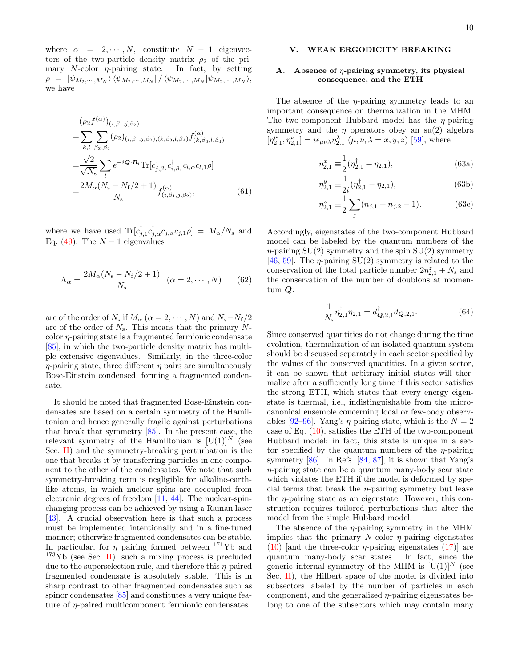where  $\alpha = 2, \dots, N$ , constitute  $N - 1$  eigenvectors of the two-particle density matrix  $\rho_2$  of the primary N-color  $\eta$ -pairing state. In fact, by setting  $\rho = |\psi_{M_2,\cdots,M_N}\rangle \langle \psi_{M_2,\cdots,M_N}| / \langle \psi_{M_2,\cdots,M_N}|\psi_{M_2,\cdots,M_N}\rangle,$ we have

$$
\begin{split} &(\rho_2 f^{(\alpha)})_{(i,\beta_1,j,\beta_2)} \\ &= \sum_{k,l} \sum_{\beta_3,\beta_4} (\rho_2)_{(i,\beta_1,j,\beta_2),(k,\beta_3,l,\beta_4)} f^{(\alpha)}_{(k,\beta_3,l,\beta_4)} \\ &= \frac{\sqrt{2}}{\sqrt{N_s}} \sum_{l} e^{-i\mathbf{Q} \cdot \mathbf{R}_l} \text{Tr}[c_{j,\beta_2}^{\dagger} c_{i,\beta_1}^{\dagger} c_{l,\alpha} c_{l,1} \rho] \\ &= \frac{2M_{\alpha}(N_s - N_{\rm f}/2 + 1)}{N_s} f^{(\alpha)}_{(i,\beta_1,j,\beta_2)}, \end{split} \tag{61}
$$

where we have used  $\text{Tr}[c_{j,1}^{\dagger}c_{j,\alpha}^{\dagger}c_{j,\alpha}c_{j,1}\rho] = M_{\alpha}/N_{\rm s}$  and Eq. [\(49\)](#page-7-3). The  $N-1$  eigenvalues

$$
\Lambda_{\alpha} = \frac{2M_{\alpha}(N_{\rm s} - N_{\rm f}/2 + 1)}{N_{\rm s}} \quad (\alpha = 2, \cdots, N) \tag{62}
$$

are of the order of  $N_s$  if  $M_\alpha$  ( $\alpha = 2, \cdots, N$ ) and  $N_s - N_f/2$ are of the order of  $N_s$ . This means that the primary Ncolor η-pairing state is a fragmented fermionic condensate [\[85\]](#page-29-9), in which the two-particle density matrix has multiple extensive eigenvalues. Similarly, in the three-color  $\eta$ -pairing state, three different  $\eta$  pairs are simultaneously Bose-Einstein condensed, forming a fragmented condensate.

It should be noted that fragmented Bose-Einstein condensates are based on a certain symmetry of the Hamiltonian and hence generally fragile against perturbations that break that symmetry [\[85\]](#page-29-9). In the present case, the relevant symmetry of the Hamiltonian is  $[U(1)]^N$  (see Sec. [II\)](#page-2-0) and the symmetry-breaking perturbation is the one that breaks it by transferring particles in one component to the other of the condensates. We note that such symmetry-breaking term is negligible for alkaline-earthlike atoms, in which nuclear spins are decoupled from electronic degrees of freedom [\[11,](#page-27-9) [44\]](#page-28-5). The nuclear-spinchanging process can be achieved by using a Raman laser [\[43\]](#page-28-4). A crucial observation here is that such a process must be implemented intentionally and in a fine-tuned manner; otherwise fragmented condensates can be stable. In particular, for  $\eta$  pairing formed between <sup>171</sup>Yb and  $173\text{Yb}$  (see Sec. [II\)](#page-2-0), such a mixing process is precluded due to the superselection rule, and therefore this η-paired fragmented condensate is absolutely stable. This is in sharp contrast to other fragmented condensates such as spinor condensates  $[85]$  and constitutes a very unique feature of η-paired multicomponent fermionic condensates.

## <span id="page-9-0"></span>V. WEAK ERGODICITY BREAKING

## Absence of  $\eta$ -pairing symmetry, its physical consequence, and the ETH

The absence of the  $\eta$ -pairing symmetry leads to an important consequence on thermalization in the MHM. The two-component Hubbard model has the  $\eta$ -pairing symmetry and the  $\eta$  operators obey an su(2) algebra  $[\eta_{2,1}^{\mu}, \eta_{2,1}^{\nu}] = i\epsilon_{\mu\nu\lambda}\eta_{2,1}^{\lambda}(\mu,\nu,\lambda=x,y,z)$  [\[59\]](#page-29-1), where

$$
\eta_{2,1}^x \equiv \frac{1}{2} (\eta_{2,1}^\dagger + \eta_{2,1}), \tag{63a}
$$

$$
\eta_{2,1}^y \equiv \frac{1}{2i} (\eta_{2,1}^\dagger - \eta_{2,1}),\tag{63b}
$$

$$
\eta_{2,1}^z \equiv \frac{1}{2} \sum_j (n_{j,1} + n_{j,2} - 1). \tag{63c}
$$

Accordingly, eigenstates of the two-component Hubbard model can be labeled by the quantum numbers of the  $\eta$ -pairing SU(2) symmetry and the spin SU(2) symmetry [\[46,](#page-28-7) [59\]](#page-29-1). The  $\eta$ -pairing SU(2) symmetry is related to the conservation of the total particle number  $2\eta_{2,1}^z + N_s$  and the conservation of the number of doublons at momentum  $Q$ :

<span id="page-9-1"></span>
$$
\frac{1}{N_s} \eta_{2,1}^{\dagger} \eta_{2,1} = d_{\mathbf{Q},2,1}^{\dagger} d_{\mathbf{Q},2,1}.
$$
 (64)

Since conserved quantities do not change during the time evolution, thermalization of an isolated quantum system should be discussed separately in each sector specified by the values of the conserved quantities. In a given sector, it can be shown that arbitrary initial states will thermalize after a sufficiently long time if this sector satisfies the strong ETH, which states that every energy eigenstate is thermal, i.e., indistinguishable from the microcanonical ensemble concerning local or few-body observ-ables [\[92](#page-29-13)[–96\]](#page-29-15). Yang's  $\eta$ -pairing state, which is the  $N = 2$ case of Eq.  $(10)$ , satisfies the ETH of the two-component Hubbard model; in fact, this state is unique in a sector specified by the quantum numbers of the  $\eta$ -pairing symmetry [\[86\]](#page-29-10). In Refs. [\[84,](#page-29-8) [87\]](#page-29-16), it is shown that Yang's η-pairing state can be a quantum many-body scar state which violates the ETH if the model is deformed by special terms that break the  $\eta$ -pairing symmetry but leave the  $\eta$ -pairing state as an eigenstate. However, this construction requires tailored perturbations that alter the model from the simple Hubbard model.

The absence of the  $\eta$ -pairing symmetry in the MHM implies that the primary  $N$ -color  $\eta$ -pairing eigenstates [\(10\)](#page-3-5) [and the three-color  $\eta$ -pairing eigenstates [\(17\)](#page-4-1)] are quantum many-body scar states. In fact, since the generic internal symmetry of the MHM is  $[U(1)]^N$  (see Sec. [II\)](#page-2-0), the Hilbert space of the model is divided into subsectors labeled by the number of particles in each component, and the generalized  $\eta$ -pairing eigenstates belong to one of the subsectors which may contain many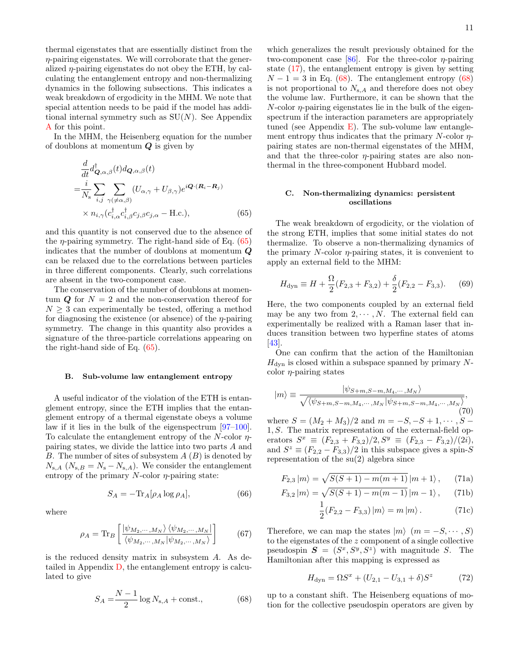thermal eigenstates that are essentially distinct from the  $\eta$ -pairing eigenstates. We will corroborate that the generalized  $\eta$ -pairing eigenstates do not obey the ETH, by calculating the entanglement entropy and non-thermalizing dynamics in the following subsections. This indicates a weak breakdown of ergodicity in the MHM. We note that special attention needs to be paid if the model has additional internal symmetry such as  $SU(N)$ . See Appendix [A](#page-17-0) for this point.

In the MHM, the Heisenberg equation for the number of doublons at momentum  $Q$  is given by

$$
\frac{d}{dt}d_{\mathbf{Q},\alpha,\beta}^{\dagger}(t)d_{\mathbf{Q},\alpha,\beta}(t)
$$
\n
$$
=\frac{i}{N_{\rm s}}\sum_{i,j}\sum_{\gamma(\neq\alpha,\beta)}(U_{\alpha,\gamma}+U_{\beta,\gamma})e^{i\mathbf{Q}\cdot(\mathbf{R}_{i}-\mathbf{R}_{j})}
$$
\n
$$
\times n_{i,\gamma}(c_{i,\alpha}^{\dagger}c_{i,\beta}^{\dagger}c_{j,\beta}c_{j,\alpha}-\text{H.c.}),
$$
\n(65)

and this quantity is not conserved due to the absence of the  $\eta$ -pairing symmetry. The right-hand side of Eq. [\(65\)](#page-10-0) indicates that the number of doublons at momentum  $Q$ can be relaxed due to the correlations between particles in three different components. Clearly, such correlations are absent in the two-component case.

The conservation of the number of doublons at momentum  $Q$  for  $N = 2$  and the non-conservation thereof for  $N \geq 3$  can experimentally be tested, offering a method for diagnosing the existence (or absence) of the  $\eta$ -pairing symmetry. The change in this quantity also provides a signature of the three-particle correlations appearing on the right-hand side of Eq. [\(65\)](#page-10-0).

#### B. Sub-volume law entanglement entropy

A useful indicator of the violation of the ETH is entanglement entropy, since the ETH implies that the entanglement entropy of a thermal eigenstate obeys a volume law if it lies in the bulk of the eigenspectrum [\[97–](#page-30-0)[100\]](#page-30-1). To calculate the entanglement entropy of the N-color  $\eta$ pairing states, we divide the lattice into two parts A and B. The number of sites of subsystem  $A(B)$  is denoted by  $N_{s,A}$  ( $N_{s,B} = N_s - N_{s,A}$ ). We consider the entanglement entropy of the primary  $N$ -color  $\eta$ -pairing state:

$$
S_A = -\text{Tr}_A[\rho_A \log \rho_A],\tag{66}
$$

where

$$
\rho_A = \text{Tr}_B \left[ \frac{|\psi_{M_2,\cdots,M_N}\rangle \langle \psi_{M_2,\cdots,M_N}|}{\langle \psi_{M_2,\cdots,M_N} | \psi_{M_2,\cdots,M_N} \rangle} \right] \tag{67}
$$

is the reduced density matrix in subsystem A. As detailed in Appendix [D,](#page-22-0) the entanglement entropy is calculated to give

$$
S_A = \frac{N-1}{2} \log N_{s,A} + \text{const.},\tag{68}
$$

which generalizes the result previously obtained for the two-component case [\[86\]](#page-29-10). For the three-color  $\eta$ -pairing state [\(17\)](#page-4-1), the entanglement entropy is given by setting  $N-1=3$  in Eq. [\(68\)](#page-10-1). The entanglement entropy (68) is not proportional to  $N_{s,A}$  and therefore does not obey the volume law. Furthermore, it can be shown that the  $N$ -color  $\eta$ -pairing eigenstates lie in the bulk of the eigenspectrum if the interaction parameters are appropriately tuned (see Appendix [E\)](#page-24-0). The sub-volume law entanglement entropy thus indicates that the primary  $N$ -color  $\eta$ pairing states are non-thermal eigenstates of the MHM, and that the three-color  $\eta$ -pairing states are also nonthermal in the three-component Hubbard model.

## <span id="page-10-3"></span>C. Non-thermalizing dynamics: persistent oscillations

<span id="page-10-0"></span>The weak breakdown of ergodicity, or the violation of the strong ETH, implies that some initial states do not thermalize. To observe a non-thermalizing dynamics of the primary  $N$ -color  $\eta$ -pairing states, it is convenient to apply an external field to the MHM:

$$
H_{\rm dyn} \equiv H + \frac{\Omega}{2} (F_{2,3} + F_{3,2}) + \frac{\delta}{2} (F_{2,2} - F_{3,3}).
$$
 (69)

Here, the two components coupled by an external field may be any two from  $2, \dots, N$ . The external field can experimentally be realized with a Raman laser that induces transition between two hyperfine states of atoms [\[43\]](#page-28-4).

One can confirm that the action of the Hamiltonian  $H_{\text{dyn}}$  is closed within a subspace spanned by primary Ncolor  $\eta$ -pairing states

<span id="page-10-2"></span>
$$
|m\rangle \equiv \frac{|\psi_{S+m,S-m,M_4,\cdots,M_N}\rangle}{\sqrt{\langle \psi_{S+m,S-m,M_4,\cdots,M_N} | \psi_{S+m,S-m,M_4,\cdots,M_N} \rangle}},
$$
(70)

where  $S = (M_2 + M_3)/2$  and  $m = -S, -S + 1, \dots, S -$ 1, S. The matrix representation of the external-field operators  $S^x \equiv (F_{2,3} + F_{3,2})/2, S^y \equiv (F_{2,3} - F_{3,2})/(2i),$ and  $S^z \equiv (F_{2,2} - F_{3,3})/2$  in this subspace gives a spin-S representation of the su(2) algebra since

$$
F_{2,3}|m\rangle = \sqrt{S(S+1) - m(m+1)} |m+1\rangle, \quad (71a)
$$

$$
F_{3,2}|m\rangle = \sqrt{S(S+1) - m(m-1)} |m-1\rangle, \quad (71b)
$$

$$
\frac{1}{2}(F_{2,2} - F_{3,3}) |m\rangle = m |m\rangle.
$$
 (71c)

Therefore, we can map the states  $|m\rangle$   $(m = -S, \cdots, S)$ to the eigenstates of the z component of a single collective pseudospin  $S = (S^x, S^y, S^z)$  with magnitude S. The Hamiltonian after this mapping is expressed as

$$
H_{\rm dyn} = \Omega S^x + (U_{2,1} - U_{3,1} + \delta) S^z \tag{72}
$$

<span id="page-10-1"></span>up to a constant shift. The Heisenberg equations of motion for the collective pseudospin operators are given by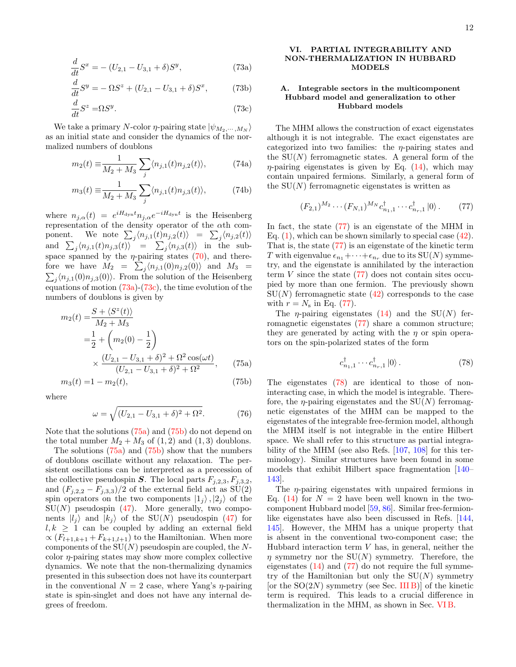$$
\frac{d}{dt}S^x = -(U_{2,1} - U_{3,1} + \delta)S^y,\tag{73a}
$$

$$
\frac{d}{dt}S^y = -\Omega S^z + (U_{2,1} - U_{3,1} + \delta)S^x,\tag{73b}
$$

$$
\frac{d}{dt}S^z = \Omega S^y. \tag{73c}
$$

We take a primary N-color  $\eta$ -pairing state  $|\psi_{M_2,\dots,M_N}\rangle$ as an initial state and consider the dynamics of the normalized numbers of doublons

$$
m_2(t) \equiv \frac{1}{M_2 + M_3} \sum_j \langle n_{j,1}(t) n_{j,2}(t) \rangle, \tag{74a}
$$

$$
m_3(t) \equiv \frac{1}{M_2 + M_3} \sum_j \langle n_{j,1}(t) n_{j,3}(t) \rangle, \tag{74b}
$$

where  $n_{j,\alpha}(t) = e^{iH_{\text{dyn}}t} n_{j,\alpha}e^{-iH_{\text{dyn}}t}$  is the Heisenberg representation of the density operator of the αth component. We note  $\sum_j \langle n_{j,1}(t) n_{j,2}(t) \rangle = \sum_j \langle n_{j,2}(t) \rangle$ and  $\sum_{j} \langle n_{j,1}(t)n_{j,3}(t) \rangle = \sum_{j} \langle n_{j,3}(t) \rangle$  in the subspace spanned by the  $\eta$ -pairing states [\(70\)](#page-10-2), and therefore we have  $M_2 = \sum_j \langle n_{j,1}(0) n_{j,2}(0) \rangle$  and  $M_3 =$  $\sum_j \langle n_{j,1}(0) n_{j,3}(0) \rangle$ . From the solution of the Heisenberg equations of motion [\(73a\)](#page-11-1)-[\(73c\)](#page-11-2), the time evolution of the numbers of doublons is given by

$$
m_2(t) = \frac{S + \langle S^z(t) \rangle}{M_2 + M_3}
$$
  
=  $\frac{1}{2} + \left( m_2(0) - \frac{1}{2} \right)$   
 $\times \frac{(U_{2,1} - U_{3,1} + \delta)^2 + \Omega^2 \cos(\omega t)}{(U_{2,1} - U_{3,1} + \delta)^2 + \Omega^2},$  (75a)

$$
m_3(t) = 1 - m_2(t),\tag{75b}
$$

where

$$
\omega = \sqrt{(U_{2,1} - U_{3,1} + \delta)^2 + \Omega^2}.
$$
 (76)

Note that the solutions [\(75a\)](#page-11-3) and [\(75b\)](#page-11-4) do not depend on the total number  $M_2 + M_3$  of  $(1, 2)$  and  $(1, 3)$  doublons.

The solutions [\(75a\)](#page-11-3) and [\(75b\)](#page-11-4) show that the numbers of doublons oscillate without any relaxation. The persistent oscillations can be interpreted as a precession of the collective pseudospin S. The local parts  $F_{j,2,3}, F_{j,3,2}$ , and  $(F_{j,2,2} - F_{j,3,3})/2$  of the external field act as SU(2) spin operators on the two components  $|1_j\rangle, |2_j\rangle$  of the  $SU(N)$  pseudospin [\(47\)](#page-7-2). More generally, two components  $|l_i\rangle$  and  $|k_i\rangle$  of the SU(N) pseudospin [\(47\)](#page-7-2) for  $l, k \geq 1$  can be coupled by adding an external field  $\propto (F_{l+1,k+1} + F_{k+1,l+1})$  to the Hamiltonian. When more components of the  $SU(N)$  pseudospin are coupled, the Ncolor  $\eta$ -pairing states may show more complex collective dynamics. We note that the non-thermalizing dynamics presented in this subsection does not have its counterpart in the conventional  $N = 2$  case, where Yang's  $\eta$ -pairing state is spin-singlet and does not have any internal degrees of freedom.

## <span id="page-11-1"></span><span id="page-11-0"></span>VI. PARTIAL INTEGRABILITY AND NON-THERMALIZATION IN HUBBARD MODELS

## A. Integrable sectors in the multicomponent Hubbard model and generalization to other Hubbard models

<span id="page-11-2"></span>The MHM allows the construction of exact eigenstates although it is not integrable. The exact eigenstates are categorized into two families: the  $\eta$ -pairing states and the  $SU(N)$  ferromagnetic states. A general form of the  $\eta$ -pairing eigenstates is given by Eq. [\(14\)](#page-4-0), which may contain unpaired fermions. Similarly, a general form of the  $SU(N)$  ferromagnetic eigenstates is written as

<span id="page-11-5"></span>
$$
(F_{2,1})^{M_2} \cdots (F_{N,1})^{M_N} c_{n_1,1}^{\dagger} \cdots c_{n_r,1}^{\dagger} |0\rangle.
$$
 (77)

In fact, the state [\(77\)](#page-11-5) is an eigenstate of the MHM in Eq.  $(1)$ , which can be shown similarly to special case  $(42)$ . That is, the state [\(77\)](#page-11-5) is an eigenstate of the kinetic term T with eigenvalue  $\epsilon_{n_1} + \cdots + \epsilon_{n_r}$  due to its  $\text{SU}(N)$  symmetry, and the eigenstate is annihilated by the interaction term  $V$  since the state  $(77)$  does not contain sites occupied by more than one fermion. The previously shown  $SU(N)$  ferromagnetic state  $(42)$  corresponds to the case with  $r = N_s$  in Eq. [\(77\)](#page-11-5).

The  $\eta$ -pairing eigenstates [\(14\)](#page-4-0) and the SU(N) ferromagnetic eigenstates [\(77\)](#page-11-5) share a common structure; they are generated by acting with the  $\eta$  or spin operators on the spin-polarized states of the form

<span id="page-11-6"></span>
$$
c_{n_1,1}^{\dagger} \cdots c_{n_r,1}^{\dagger} \left| 0 \right\rangle. \tag{78}
$$

<span id="page-11-4"></span><span id="page-11-3"></span>The eigenstates [\(78\)](#page-11-6) are identical to those of noninteracting case, in which the model is integrable. Therefore, the  $\eta$ -pairing eigenstates and the SU(N) ferromagnetic eigenstates of the MHM can be mapped to the eigenstates of the integrable free-fermion model, although the MHM itself is not integrable in the entire Hilbert space. We shall refer to this structure as partial integrability of the MHM (see also Refs. [\[107,](#page-30-4) [108\]](#page-30-5) for this terminology). Similar structures have been found in some models that exhibit Hilbert space fragmentation [\[140–](#page-31-6) [143\]](#page-31-7).

The η-pairing eigenstates with unpaired fermions in Eq. [\(14\)](#page-4-0) for  $N = 2$  have been well known in the twocomponent Hubbard model [\[59,](#page-29-1) [86\]](#page-29-10). Similar free-fermionlike eigenstates have also been discussed in Refs. [\[144,](#page-31-8) [145\]](#page-31-9). However, the MHM has a unique property that is absent in the conventional two-component case; the Hubbard interaction term  $V$  has, in general, neither the  $\eta$  symmetry nor the SU(N) symmetry. Therefore, the eigenstates  $(14)$  and  $(77)$  do not require the full symmetry of the Hamiltonian but only the  $SU(N)$  symmetry [or the  $SO(2N)$  symmetry (see Sec. [III B\)](#page-4-6)] of the kinetic term is required. This leads to a crucial difference in thermalization in the MHM, as shown in Sec. [VI B.](#page-13-0)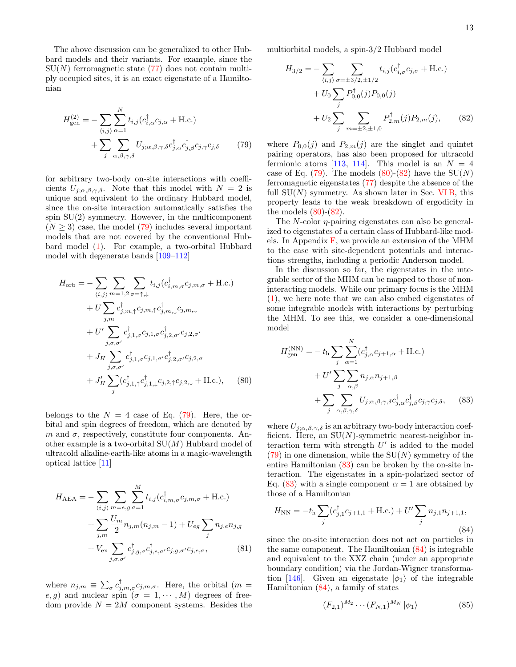The above discussion can be generalized to other Hubbard models and their variants. For example, since the  $SU(N)$  ferromagnetic state [\(77\)](#page-11-5) does not contain multiply occupied sites, it is an exact eigenstate of a Hamiltonian

$$
H_{\text{gen}}^{(2)} = -\sum_{\langle i,j \rangle} \sum_{\alpha=1}^{N} t_{i,j} (c_{i,\alpha}^{\dagger} c_{j,\alpha} + \text{H.c.}) + \sum_{j} \sum_{\alpha,\beta,\gamma,\delta} U_{j;\alpha,\beta,\gamma,\delta} c_{j,\alpha}^{\dagger} c_{j,\beta}^{\dagger} c_{j,\gamma} c_{j,\delta}
$$
(79)

for arbitrary two-body on-site interactions with coefficients  $U_{j;\alpha,\beta,\gamma,\delta}$ . Note that this model with  $N = 2$  is unique and equivalent to the ordinary Hubbard model, since the on-site interaction automatically satisfies the spin  $SU(2)$  symmetry. However, in the multicomponent  $(N \geq 3)$  case, the model [\(79\)](#page-12-0) includes several important models that are not covered by the conventional Hubbard model [\(1\)](#page-2-1). For example, a two-orbital Hubbard model with degenerate bands [\[109–](#page-30-6)[112\]](#page-30-23)

$$
H_{\text{orb}} = -\sum_{\langle i,j \rangle} \sum_{m=1,2} \sum_{\sigma=\uparrow,\downarrow} t_{i,j} (c_{i,m,\sigma}^{\dagger} c_{j,m,\sigma} + \text{H.c.}) + U \sum_{j,m} c_{j,m,\uparrow}^{\dagger} c_{j,m,\uparrow} c_{j,m,\downarrow} c_{j,m,\downarrow} + U' \sum_{j,\sigma,\sigma'} c_{j,1,\sigma}^{\dagger} c_{j,1,\sigma} c_{j,2,\sigma'} c_{j,2,\sigma'} + J_H \sum_{j,\sigma,\sigma'} c_{j,1,\sigma}^{\dagger} c_{j,1,\sigma'} c_{j,2,\sigma'}^{\dagger} c_{j,2,\sigma'}.
$$
  
+  $J'_H \sum_{j} (c_{j,1,\uparrow}^{\dagger} c_{j,1,\downarrow}^{\dagger} c_{j,2,\uparrow} c_{j,2,\downarrow} + \text{H.c.}),$  (80)

belongs to the  $N = 4$  case of Eq. [\(79\)](#page-12-0). Here, the orbital and spin degrees of freedom, which are denoted by m and  $\sigma$ , respectively, constitute four components. Another example is a two-orbital  $SU(M)$  Hubbard model of ultracold alkaline-earth-like atoms in a magic-wavelength optical lattice [\[11\]](#page-27-9)

$$
H_{\text{AEA}} = -\sum_{\langle i,j \rangle} \sum_{m=e,g} \sum_{\sigma=1}^{M} t_{i,j} (c_{i,m,\sigma}^{\dagger} c_{j,m,\sigma} + \text{H.c.})
$$
  
+ 
$$
\sum_{j,m} \frac{U_m}{2} n_{j,m} (n_{j,m} - 1) + U_{eg} \sum_{j} n_{j,e} n_{j,g}
$$
  
+ 
$$
V_{\text{ex}} \sum_{j,\sigma,\sigma'} c_{j,g,\sigma}^{\dagger} c_{j,e,\sigma'}^{\dagger} c_{j,g,\sigma'} c_{j,e,\sigma}, \qquad (81)
$$

where  $n_{j,m} \equiv \sum_{\sigma} c_{j,m,\sigma}^{\dagger} c_{j,m,\sigma}^{\dagger}$ . Here, the orbital  $(m =$ e, g) and nuclear spin  $(\sigma = 1, \cdots, M)$  degrees of freedom provide  $N = 2M$  component systems. Besides the multiorbital models, a spin-3/2 Hubbard model

<span id="page-12-2"></span>
$$
H_{3/2} = -\sum_{\langle i,j \rangle} \sum_{\sigma = \pm 3/2, \pm 1/2} t_{i,j} (c_{i,\sigma}^{\dagger} c_{j,\sigma} + \text{H.c.})
$$
  
+  $U_0 \sum_j P_{0,0}^{\dagger}(j) P_{0,0}(j)$   
+  $U_2 \sum_j \sum_{m = \pm 2, \pm 1,0} P_{2,m}^{\dagger}(j) P_{2,m}(j),$  (82)

<span id="page-12-0"></span>where  $P_{0,0}(j)$  and  $P_{2,m}(j)$  are the singlet and quintet pairing operators, has also been proposed for ultracold fermionic atoms [\[113,](#page-30-24) [114\]](#page-30-7). This model is an  $N = 4$ case of Eq. [\(79\)](#page-12-0). The models  $(80)-(82)$  $(80)-(82)$  have the SU(N) ferromagnetic eigenstates [\(77\)](#page-11-5) despite the absence of the full  $SU(N)$  symmetry. As shown later in Sec. VIB, this property leads to the weak breakdown of ergodicity in the models  $(80)$ - $(82)$ .

The  $N$ -color  $\eta$ -pairing eigenstates can also be generalized to eigenstates of a certain class of Hubbard-like models. In Appendix  $F$ , we provide an extension of the MHM to the case with site-dependent potentials and interactions strengths, including a periodic Anderson model.

In the discussion so far, the eigenstates in the integrable sector of the MHM can be mapped to those of noninteracting models. While our primary focus is the MHM [\(1\)](#page-2-1), we here note that we can also embed eigenstates of some integrable models with interactions by perturbing the MHM. To see this, we consider a one-dimensional model

<span id="page-12-3"></span><span id="page-12-1"></span>
$$
H_{\text{gen}}^{(\text{NN})} = -t_{\text{h}} \sum_{j} \sum_{\alpha=1}^{N} (c_{j,\alpha}^{\dagger} c_{j+1,\alpha} + \text{H.c.})
$$

$$
+ U' \sum_{j} \sum_{\alpha,\beta} n_{j,\alpha} n_{j+1,\beta}
$$

$$
+ \sum_{j} \sum_{\alpha,\beta,\gamma,\delta} U_{j;\alpha,\beta,\gamma,\delta} c_{j,\alpha}^{\dagger} c_{j,\beta}^{\dagger} c_{j,\gamma} c_{j,\delta}, \qquad (83)
$$

where  $U_{j;\alpha,\beta,\gamma,\delta}$  is an arbitrary two-body interaction coefficient. Here, an  $SU(N)$ -symmetric nearest-neighbor interaction term with strength  $U'$  is added to the model  $(79)$  in one dimension, while the  $SU(N)$  symmetry of the entire Hamiltonian [\(83\)](#page-12-3) can be broken by the on-site interaction. The eigenstates in a spin-polarized sector of Eq. [\(83\)](#page-12-3) with a single component  $\alpha = 1$  are obtained by those of a Hamiltonian

<span id="page-12-4"></span>
$$
H_{\rm NN} = -t_{\rm h} \sum_{j} (c_{j,1}^{\dagger} c_{j+1,1} + \text{H.c.}) + U' \sum_{j} n_{j,1} n_{j+1,1},
$$
\n(84)

<span id="page-12-6"></span>since the on-site interaction does not act on particles in the same component. The Hamiltonian [\(84\)](#page-12-4) is integrable and equivalent to the XXZ chain (under an appropriate boundary condition) via the Jordan-Wigner transforma-tion [\[146\]](#page-31-10). Given an eigenstate  $|\phi_1\rangle$  of the integrable Hamiltonian [\(84\)](#page-12-4), a family of states

<span id="page-12-5"></span>
$$
(F_{2,1})^{M_2} \cdots (F_{N,1})^{M_N} |\phi_1\rangle \tag{85}
$$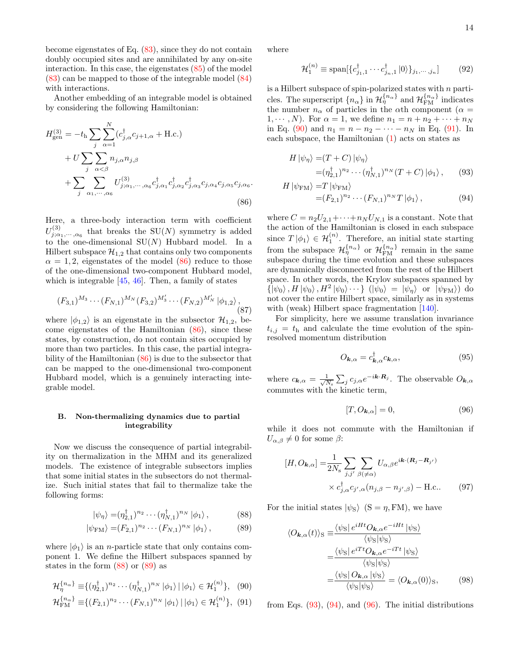become eigenstates of Eq. [\(83\)](#page-12-3), since they do not contain doubly occupied sites and are annihilated by any on-site interaction. In this case, the eigenstates [\(85\)](#page-12-5) of the model [\(83\)](#page-12-3) can be mapped to those of the integrable model [\(84\)](#page-12-4) with interactions.

Another embedding of an integrable model is obtained by considering the following Hamiltonian:

$$
H_{\text{gen}}^{(3)} = -t_{\text{h}} \sum_{j} \sum_{\alpha=1}^{N} (c_{j,\alpha}^{\dagger} c_{j+1,\alpha} + \text{H.c.})
$$
  
+  $U \sum_{j} \sum_{\alpha < \beta} n_{j,\alpha} n_{j,\beta}$   
+  $\sum_{j} \sum_{\alpha_1, \cdots, \alpha_6} U_{j;\alpha_1, \cdots, \alpha_6}^{(3)} c_{j,\alpha_1}^{\dagger} c_{j,\alpha_2}^{\dagger} c_{j,\alpha_3}^{\dagger} c_{j,\alpha_5} c_{j,\alpha_6}.$   
(86)

Here, a three-body interaction term with coefficient  $U^{(3)}_{j;\alpha_1,\cdots,\alpha_6}$  that breaks the SU(N) symmetry is added to the one-dimensional  $SU(N)$  Hubbard model. In a Hilbert subspace  $\mathcal{H}_{1,2}$  that contains only two components  $\alpha = 1, 2$ , eigenstates of the model [\(86\)](#page-13-1) reduce to those of the one-dimensional two-component Hubbard model, which is integrable [\[45,](#page-28-6) [46\]](#page-28-7). Then, a family of states

$$
(F_{3,1})^{M_3}\cdots (F_{N,1})^{M_N}(F_{3,2})^{M'_3}\cdots (F_{N,2})^{M'_N}\ket{\phi_{1,2}},
$$
\n(87)

where  $|\phi_{1,2}\rangle$  is an eigenstate in the subsector  $\mathcal{H}_{1,2}$ , become eigenstates of the Hamiltonian [\(86\)](#page-13-1), since these states, by construction, do not contain sites occupied by more than two particles. In this case, the partial integrability of the Hamiltonian [\(86\)](#page-13-1) is due to the subsector that can be mapped to the one-dimensional two-component Hubbard model, which is a genuinely interacting integrable model.

## <span id="page-13-0"></span>B. Non-thermalizing dynamics due to partial integrability

Now we discuss the consequence of partial integrability on thermalization in the MHM and its generalized models. The existence of integrable subsectors implies that some initial states in the subsectors do not thermalize. Such initial states that fail to thermalize take the following forms:

$$
|\psi_{\eta}\rangle = (\eta_{2,1}^{\dagger})^{n_2} \cdots (\eta_{N,1}^{\dagger})^{n_N} |\phi_1\rangle, \qquad (88)
$$

$$
|\psi_{\text{FM}}\rangle = (F_{2,1})^{n_2} \cdots (F_{N,1})^{n_N} |\phi_1\rangle, \qquad (89)
$$

where  $|\phi_1\rangle$  is an *n*-particle state that only contains component 1. We define the Hilbert subspaces spanned by states in the form  $(88)$  or  $(89)$  as

$$
\mathcal{H}_{\eta}^{\{n_{\alpha}\}} \equiv \{(\eta_{2,1}^{\dagger})^{n_2} \cdots (\eta_{N,1}^{\dagger})^{n_N} \,|\phi_1\rangle \,|\,\phi_1\rangle \in \mathcal{H}_1^{(n)}\},\tag{90}
$$

$$
\mathcal{H}_{\text{FM}}^{\{n_{\alpha}\}} \equiv \{ (F_{2,1})^{n_2} \cdots (F_{N,1})^{n_N} | \phi_1 \rangle | | \phi_1 \rangle \in \mathcal{H}_1^{(n)} \}, \tag{91}
$$

where

$$
\mathcal{H}_1^{(n)} \equiv \text{span}[\{c_{j_1,1}^{\dagger} \cdots c_{j_n,1}^{\dagger} | 0 \rangle\}_{j_1, \cdots, j_n}] \tag{92}
$$

is a Hilbert subspace of spin-polarized states with  $n$  particles. The superscript  $\{n_{\alpha}\}\$ in  $\mathcal{H}_{\eta}^{\{n_{\alpha}\}}$  and  $\mathcal{H}_{\text{FM}}^{\{n_{\alpha}\}}$  indicates the number  $n_{\alpha}$  of particles in the  $\alpha$ <sup>th</sup> component ( $\alpha$  =  $1, \cdots, N$ . For  $\alpha = 1$ , we define  $n_1 = n + n_2 + \cdots + n_N$ in Eq. [\(90\)](#page-13-4) and  $n_1 = n - n_2 - \cdots - n_N$  in Eq. [\(91\)](#page-13-5). In each subspace, the Hamiltonian [\(1\)](#page-2-1) acts on states as

$$
H |\psi_{\eta} \rangle = (T + C) |\psi_{\eta} \rangle
$$
  
=  $(\eta_{2,1}^{\dagger})^{n_2} \cdots (\eta_{N,1}^{\dagger})^{n_N} (T + C) |\phi_1 \rangle$ , (93)  

$$
H |\psi_{\text{EM}} \rangle = T |\psi_{\text{EM}} \rangle
$$

<span id="page-13-7"></span><span id="page-13-6"></span>
$$
|\psi_{\text{FM}}\rangle = I |\psi_{\text{FM}}\rangle
$$
  
=  $(F_{2,1})^{n_2} \cdots (F_{N,1})^{n_N} T |\phi_1\rangle,$  (94)

<span id="page-13-1"></span>where  $C = n_2 U_{2,1} + \cdots + n_N U_{N,1}$  is a constant. Note that the action of the Hamiltonian is closed in each subspace since  $T |\phi_1\rangle \in \mathcal{H}_1^{(n)}$ . Therefore, an initial state starting from the subspace  $\mathcal{H}_{\eta}^{\{n_{\alpha}\}}$  or  $\mathcal{H}_{\text{FM}}^{\{n_{\alpha}\}}$  remain in the same subspace during the time evolution and these subspaces are dynamically disconnected from the rest of the Hilbert space. In other words, the Krylov subspaces spanned by  $\{\ket{\psi_0}, H \ket{\psi_0}, H^2 \ket{\psi_0} \cdots \}$   $(\ket{\psi_0} = \ket{\psi_\eta}$  or  $\ket{\psi_{FM}}$  do not cover the entire Hilbert space, similarly as in systems with (weak) Hilbert space fragmentation  $|140|$ .

For simplicity, here we assume translation invariance  $t_{i,j} = t_{h}$  and calculate the time evolution of the spinresolved momentum distribution

<span id="page-13-11"></span>
$$
O_{\mathbf{k},\alpha} = c_{\mathbf{k},\alpha}^{\dagger} c_{\mathbf{k},\alpha},\tag{95}
$$

where  $c_{\mathbf{k},\alpha} = \frac{1}{\sqrt{l}}$  $\frac{1}{N_{\rm s}}\sum_j c_{j,\alpha}e^{-i\boldsymbol{k}\cdot\boldsymbol{R}_j}$ . The observable  $O_{\boldsymbol{k},\alpha}$ commutes with the kinetic term,

<span id="page-13-10"></span><span id="page-13-8"></span>
$$
[T, O_{\mathbf{k}, \alpha}] = 0,\t\t(96)
$$

while it does not commute with the Hamiltonian if  $U_{\alpha,\beta} \neq 0$  for some  $\beta$ :

$$
[H, O_{\mathbf{k}, \alpha}] = \frac{1}{2N_s} \sum_{j, j'} \sum_{\beta (\neq \alpha)} U_{\alpha, \beta} e^{i\mathbf{k} \cdot (\mathbf{R}_j - \mathbf{R}_{j'})}
$$

$$
\times c_{j, \alpha}^{\dagger} c_{j', \alpha} (n_{j, \beta} - n_{j', \beta}) - \text{H.c.}. \tag{97}
$$

<span id="page-13-3"></span><span id="page-13-2"></span>For the initial states  $|\psi_{S}\rangle$  (S =  $\eta$ , FM), we have

<span id="page-13-9"></span>
$$
\langle O_{\mathbf{k},\alpha}(t) \rangle_{\text{S}} \equiv \frac{\langle \psi_{\text{S}} | e^{iHt} O_{\mathbf{k},\alpha} e^{-iHt} | \psi_{\text{S}} \rangle}{\langle \psi_{\text{S}} | \psi_{\text{S}} \rangle}
$$

$$
= \frac{\langle \psi_{\text{S}} | e^{iTt} O_{\mathbf{k},\alpha} e^{-iTt} | \psi_{\text{S}} \rangle}{\langle \psi_{\text{S}} | \psi_{\text{S}} \rangle}
$$

$$
= \frac{\langle \psi_{\text{S}} | O_{\mathbf{k},\alpha} | \psi_{\text{S}} \rangle}{\langle \psi_{\text{S}} | \psi_{\text{S}} \rangle} = \langle O_{\mathbf{k},\alpha}(0) \rangle_{\text{S}}, \qquad (98)
$$

<span id="page-13-5"></span><span id="page-13-4"></span>from Eqs.  $(93)$ ,  $(94)$ , and  $(96)$ . The initial distributions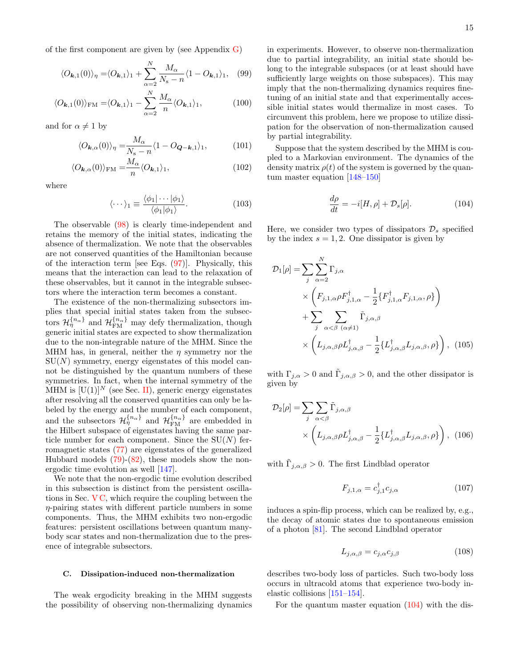15

of the first component are given by (see Appendix [G\)](#page-26-0)

$$
\langle O_{\mathbf{k},1}(0)\rangle_{\eta} = \langle O_{\mathbf{k},1}\rangle_{1} + \sum_{\alpha=2}^{N} \frac{M_{\alpha}}{N_{\rm s} - n} \langle 1 - O_{\mathbf{k},1}\rangle_{1}, \quad (99)
$$

$$
\langle O_{\mathbf{k},1}(0) \rangle_{\text{FM}} = \langle O_{\mathbf{k},1} \rangle_1 - \sum_{\alpha=2}^{N} \frac{M_{\alpha}}{n} \langle O_{\mathbf{k},1} \rangle_1, \tag{100}
$$

and for  $\alpha \neq 1$  by

$$
\langle O_{\mathbf{k},\alpha}(0)\rangle_{\eta} = \frac{M_{\alpha}}{N_{\rm s} - n} \langle 1 - O_{\mathbf{Q}-\mathbf{k},1} \rangle_{1},\tag{101}
$$

$$
\langle O_{\mathbf{k},\alpha}(0)\rangle_{\text{FM}} = \frac{M_{\alpha}}{n} \langle O_{\mathbf{k},1}\rangle_1, \tag{102}
$$

where

$$
\langle \cdots \rangle_1 \equiv \frac{\langle \phi_1 | \cdots | \phi_1 \rangle}{\langle \phi_1 | \phi_1 \rangle}.
$$
 (103)

The observable [\(98\)](#page-13-9) is clearly time-independent and retains the memory of the initial states, indicating the absence of thermalization. We note that the observables are not conserved quantities of the Hamiltonian because of the interaction term [see Eqs.  $(97)$ ]. Physically, this means that the interaction can lead to the relaxation of these observables, but it cannot in the integrable subsectors where the interaction term becomes a constant.

The existence of the non-thermalizing subsectors implies that special initial states taken from the subsectors  $\mathcal{H}_{\eta}^{\{n_{\alpha}\}}$  and  $\mathcal{H}_{\text{FM}}^{\{n_{\alpha}\}}$  may defy thermalization, though generic initial states are expected to show thermalization due to the non-integrable nature of the MHM. Since the MHM has, in general, neither the  $\eta$  symmetry nor the  $SU(N)$  symmetry, energy eigenstates of this model cannot be distinguished by the quantum numbers of these symmetries. In fact, when the internal symmetry of the MHM is  $[U(1)]^N$  (see Sec. [II\)](#page-2-0), generic energy eigenstates after resolving all the conserved quantities can only be labeled by the energy and the number of each component, and the subsectors  $\mathcal{H}_{\eta}^{\{n_{\alpha}\}}$  and  $\mathcal{H}_{\text{FM}}^{\{n_{\alpha}\}}$  are embedded in the Hilbert subspace of eigenstates having the same particle number for each component. Since the  $SU(N)$  ferromagnetic states [\(77\)](#page-11-5) are eigenstates of the generalized Hubbard models  $(79)-(82)$  $(79)-(82)$ , these models show the nonergodic time evolution as well [\[147\]](#page-31-11).

We note that the non-ergodic time evolution described in this subsection is distinct from the persistent oscillations in Sec.  $VC$ , which require the coupling between the η-pairing states with different particle numbers in some components. Thus, the MHM exhibits two non-ergodic features: persistent oscillations between quantum manybody scar states and non-thermalization due to the presence of integrable subsectors.

## <span id="page-14-3"></span>C. Dissipation-induced non-thermalization

The weak ergodicity breaking in the MHM suggests the possibility of observing non-thermalizing dynamics

<span id="page-14-7"></span><span id="page-14-4"></span>in experiments. However, to observe non-thermalization due to partial integrability, an initial state should belong to the integrable subspaces (or at least should have sufficiently large weights on those subspaces). This may imply that the non-thermalizing dynamics requires finetuning of an initial state and that experimentally accessible initial states would thermalize in most cases. To circumvent this problem, here we propose to utilize dissipation for the observation of non-thermalization caused by partial integrability.

<span id="page-14-6"></span><span id="page-14-5"></span>Suppose that the system described by the MHM is coupled to a Markovian environment. The dynamics of the density matrix  $\rho(t)$  of the system is governed by the quantum master equation [\[148](#page-31-12)[–150\]](#page-31-13)

<span id="page-14-0"></span>
$$
\frac{d\rho}{dt} = -i[H, \rho] + \mathcal{D}_s[\rho].\tag{104}
$$

Here, we consider two types of dissipators  $\mathcal{D}_s$  specified by the index  $s = 1, 2$ . One dissipator is given by

$$
\mathcal{D}_{1}[\rho] = \sum_{j} \sum_{\alpha=2}^{N} \Gamma_{j,\alpha} \times \left( F_{j,1,\alpha} \rho F_{j,1,\alpha}^{\dagger} - \frac{1}{2} \{ F_{j,1,\alpha}^{\dagger} F_{j,1,\alpha}, \rho \} \right) + \sum_{j} \sum_{\alpha < \beta} \widetilde{\Gamma}_{j,\alpha,\beta} \times \left( L_{j,\alpha,\beta} \rho L_{j,\alpha,\beta}^{\dagger} - \frac{1}{2} \{ L_{j,\alpha,\beta}^{\dagger} L_{j,\alpha,\beta}, \rho \} \right), \quad (105)
$$

with  $\Gamma_{j,\alpha} > 0$  and  $\tilde{\Gamma}_{j,\alpha,\beta} > 0$ , and the other dissipator is given by

$$
\mathcal{D}_2[\rho] = \sum_j \sum_{\alpha < \beta} \tilde{\Gamma}_{j,\alpha,\beta} \times \left( L_{j,\alpha,\beta} \rho L_{j,\alpha,\beta}^\dagger - \frac{1}{2} \{ L_{j,\alpha,\beta}^\dagger L_{j,\alpha,\beta}, \rho \} \right), \tag{106}
$$

with  $\tilde{\Gamma}_{j,\alpha,\beta} > 0$ . The first Lindblad operator

<span id="page-14-1"></span>
$$
F_{j,1,\alpha} = c_{j,1}^{\dagger} c_{j,\alpha} \tag{107}
$$

induces a spin-flip process, which can be realized by, e.g., the decay of atomic states due to spontaneous emission of a photon [\[81\]](#page-29-19). The second Lindblad operator

<span id="page-14-2"></span>
$$
L_{j,\alpha,\beta} = c_{j,\alpha} c_{j,\beta} \tag{108}
$$

describes two-body loss of particles. Such two-body loss occurs in ultracold atoms that experience two-body inelastic collisions [\[151](#page-31-14)[–154\]](#page-31-15).

For the quantum master equation [\(104\)](#page-14-0) with the dis-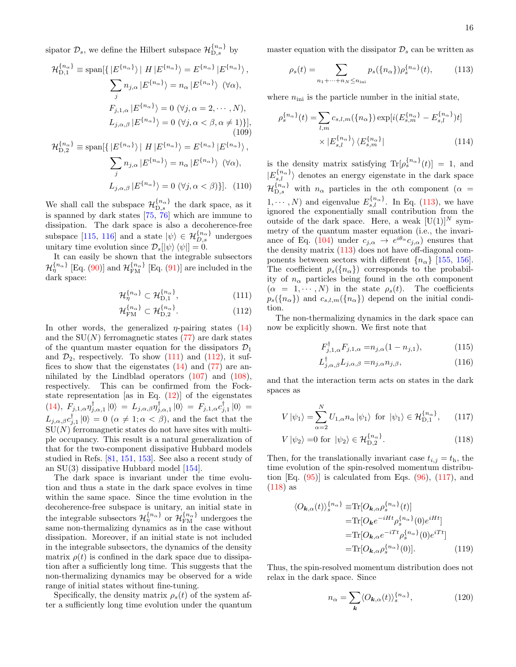sipator  $\mathcal{D}_s$ , we define the Hilbert subspace  $\mathcal{H}_{\mathrm{D},s}^{\{n_\alpha\}}$  by

$$
\mathcal{H}_{D,1}^{\{n_{\alpha}\}} \equiv \text{span}\{\{ |E^{\{n_{\alpha}\}}\rangle | H | E^{\{n_{\alpha}\}}\rangle = E^{\{n_{\alpha}\}} | E^{\{n_{\alpha}\}}\rangle, \sum_{j} n_{j,\alpha} |E^{\{n_{\alpha}\}}\rangle = n_{\alpha} |E^{\{n_{\alpha}\}}\rangle \quad (\forall \alpha), \nF_{j,1,\alpha} | E^{\{n_{\alpha}\}}\rangle = 0 \quad (\forall j, \alpha = 2, \cdots, N), \nL_{j,\alpha,\beta} | E^{\{n_{\alpha}\}}\rangle = 0 \quad (\forall j, \alpha < \beta, \alpha \neq 1)\}], \n\mathcal{H}_{D,2}^{\{n_{\alpha}\}} \equiv \text{span}\{\{ |E^{\{n_{\alpha}\}}\rangle | H | E^{\{n_{\alpha}\}}\rangle = E^{\{n_{\alpha}\}} | E^{\{n_{\alpha}\}}\rangle, \n\sum_{j} n_{j,\alpha} | E^{\{n_{\alpha}\}}\rangle = n_{\alpha} | E^{\{n_{\alpha}\}}\rangle \quad (\forall \alpha), \nL_{j,\alpha,\beta} | E^{\{n_{\alpha}\}}\rangle = 0 \quad (\forall j, \alpha < \beta)\}].
$$
\n(110)

We shall call the subspace  $\mathcal{H}_{\text{D},s}^{\{n_{\alpha}\}}$  the dark space, as it is spanned by dark states [\[75,](#page-29-20) [76\]](#page-29-21) which are immune to dissipation. The dark space is also a decoherence-free subspace [\[115,](#page-30-8) [116\]](#page-30-9) and a state  $|\psi\rangle \in \mathcal{H}_{D,s}^{\{n_{\alpha}\}}$  undergoes unitary time evolution since  $\mathcal{D}_s[\ket{\psi} \bra{\psi}] = 0.$ 

It can easily be shown that the integrable subsectors  $\mathcal{H}_{\eta}^{\{n_{\alpha}\}}$  [Eq. [\(90\)](#page-13-4)] and  $\mathcal{H}_{\text{FM}}^{\{n_{\alpha}\}}$  [Eq. [\(91\)](#page-13-5)] are included in the dark space:

$$
\mathcal{H}_{\eta}^{\{n_{\alpha}\}} \subset \mathcal{H}_{\text{D},1}^{\{n_{\alpha}\}},\tag{111}
$$

$$
\mathcal{H}_{\text{FM}}^{\{n_{\alpha}\}} \subset \mathcal{H}_{\text{D},2}^{\{n_{\alpha}\}}.
$$
 (112)

In other words, the generalized  $\eta$ -pairing states [\(14\)](#page-4-0) and the  $SU(N)$  ferromagnetic states [\(77\)](#page-11-5) are dark states of the quantum master equation for the dissipators  $\mathcal{D}_1$ and  $\mathcal{D}_2$ , respectively. To show  $(111)$  and  $(112)$ , it suffices to show that the eigenstates  $(14)$  and  $(77)$  are annihilated by the Lindblad operators  $(107)$  and  $(108)$ , respectively. This can be confirmed from the Fockstate representation [as in Eq.  $(12)$ ] of the eigenstates [\(14\)](#page-4-0),  $F_{j,1,\alpha} \eta_{j,\alpha,1}^{\dagger} |0\rangle = L_{j,\alpha,\beta} \eta_{j,\alpha,1}^{\dagger} |0\rangle = F_{j,1,\alpha} c_{j,1}^{\dagger} |0\rangle =$  $L_{j,\alpha,\beta}c_{j,1}^{\dagger}\left|0\right\rangle = 0 \ (\alpha \neq 1;\alpha \leq \beta),$  and the fact that the  $SU(N)$  ferromagnetic states do not have sites with multiple occupancy. This result is a natural generalization of that for the two-component dissipative Hubbard models studied in Refs. [\[81,](#page-29-19) [151,](#page-31-14) [153\]](#page-31-16). See also a recent study of an SU(3) dissipative Hubbard model [\[154\]](#page-31-15).

The dark space is invariant under the time evolution and thus a state in the dark space evolves in time within the same space. Since the time evolution in the decoherence-free subspace is unitary, an initial state in the integrable subsectors  $\mathcal{H}_{\eta}^{\{n_{\alpha}\}}$  or  $\mathcal{H}_{\text{FM}}^{\{n_{\alpha}\}}$  undergoes the same non-thermalizing dynamics as in the case without dissipation. Moreover, if an initial state is not included in the integrable subsectors, the dynamics of the density matrix  $\rho(t)$  is confined in the dark space due to dissipation after a sufficiently long time. This suggests that the non-thermalizing dynamics may be observed for a wide range of initial states without fine-tuning.

Specifically, the density matrix  $\rho_s(t)$  of the system after a sufficiently long time evolution under the quantum master equation with the dissipator  $\mathcal{D}_s$  can be written as

<span id="page-15-2"></span>
$$
\rho_s(t) = \sum_{n_1 + \dots + n_N \le n_{\rm ini}} p_s(\{n_\alpha\}) \rho_s^{\{n_\alpha\}}(t),
$$
\n(113)

where  $n_{\text{ini}}$  is the particle number in the initial state,

$$
\rho_s^{\{n_{\alpha}\}}(t) = \sum_{l,m} c_{s,l,m}(\{n_{\alpha}\}) \exp[i(E_{s,m}^{\{n_{\alpha}\}} - E_{s,l}^{\{n_{\alpha}\}})t] \times |E_{s,l}^{\{n_{\alpha}\}}\rangle \langle E_{s,m}^{\{n_{\alpha}\}}|
$$
\n(114)

is the density matrix satisfying  $\text{Tr}[\rho_s^{\{n_\alpha\}}(t)] = 1$ , and  $|E_{s,l}^{\{n_\alpha\}}\rangle$  denotes an energy eigenstate in the dark space  ${\cal H}_{D,s}^{\{n_\alpha\}}$  with  $n_\alpha$  particles in the  $\alpha$ th component ( $\alpha =$  $1, \dots, N$  and eigenvalue  $E_{s,l}^{\{n_{\alpha}\}}$ . In Eq. [\(113\)](#page-15-2), we have ignored the exponentially small contribution from the outside of the dark space. Here, a weak  $[U(1)]^N$  symmetry of the quantum master equation (i.e., the invari-ance of Eq. [\(104\)](#page-14-0) under  $c_{j,\alpha} \to e^{i\theta_{\alpha}} c_{j,\alpha}$  ensures that the density matrix [\(113\)](#page-15-2) does not have off-diagonal components between sectors with different  $\{n_{\alpha}\}\$  [\[155,](#page-31-17) [156\]](#page-31-18). The coefficient  $p_s({n_{\alpha}})$  corresponds to the probability of  $n_{\alpha}$  particles being found in the  $\alpha$ th component  $(\alpha = 1, \cdots, N)$  in the state  $\rho_s(t)$ . The coefficients  $p_s({n_{\alpha}})$  and  $c_{s,l,m}({n_{\alpha}})$  depend on the initial condition.

<span id="page-15-1"></span><span id="page-15-0"></span>The non-thermalizing dynamics in the dark space can now be explicitly shown. We first note that

$$
F_{j,1,\alpha}^{\dagger}F_{j,1,\alpha} = n_{j,\alpha}(1 - n_{j,1}),\tag{115}
$$

<span id="page-15-4"></span><span id="page-15-3"></span>
$$
L_{j,\alpha,\beta}^{\dagger}L_{j,\alpha,\beta} = n_{j,\alpha}n_{j,\beta},\tag{116}
$$

and that the interaction term acts on states in the dark spaces as

$$
V|\psi_1\rangle = \sum_{\alpha=2}^{N} U_{1,\alpha} n_{\alpha} |\psi_1\rangle \text{ for } |\psi_1\rangle \in \mathcal{H}_{D,1}^{\{n_{\alpha}\}},\qquad(117)
$$

$$
V |\psi_2\rangle = 0 \text{ for } |\psi_2\rangle \in \mathcal{H}_{D,2}^{\{n_{\alpha}\}}.
$$
 (118)

Then, for the translationally invariant case  $t_{i,j} = t_{h}$ , the time evolution of the spin-resolved momentum distribution  $[Eq. (95)]$  $[Eq. (95)]$  $[Eq. (95)]$  is calculated from Eqs.  $(96)$ ,  $(117)$ , and  $(118)$  as

$$
\langle O_{\mathbf{k},\alpha}(t) \rangle_{s}^{\{n_{\alpha}\}} \equiv \text{Tr}[O_{\mathbf{k},\alpha} \rho_{s}^{\{n_{\alpha}\}}(t)]
$$

$$
= \text{Tr}[O_{\mathbf{k}} e^{-iHt} \rho_{s}^{\{n_{\alpha}\}}(0) e^{iHt}]
$$

$$
= \text{Tr}[O_{\mathbf{k},\alpha} e^{-iTt} \rho_{s}^{\{n_{\alpha}\}}(0) e^{iTt}]
$$

$$
= \text{Tr}[O_{\mathbf{k},\alpha} \rho_{s}^{\{n_{\alpha}\}}(0)]. \tag{119}
$$

Thus, the spin-resolved momentum distribution does not relax in the dark space. Since

<span id="page-15-5"></span>
$$
n_{\alpha} = \sum_{\mathbf{k}} \langle O_{\mathbf{k}, \alpha}(t) \rangle_s^{\{n_{\alpha}\}}, \tag{120}
$$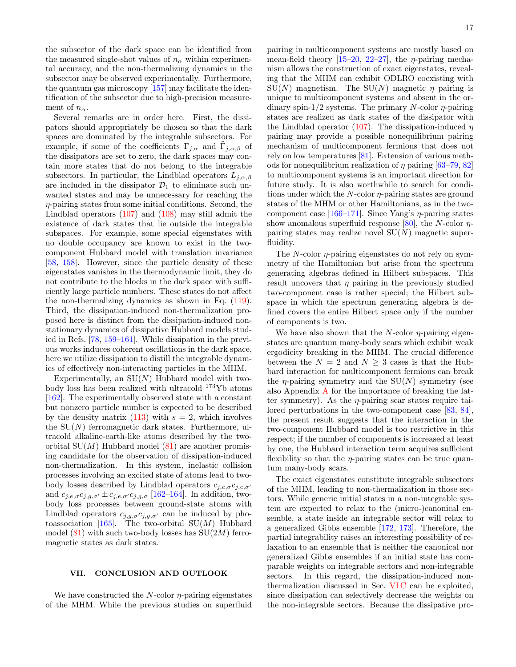the subsector of the dark space can be identified from the measured single-shot values of  $n_{\alpha}$  within experimental accuracy, and the non-thermalizing dynamics in the subsector may be observed experimentally. Furthermore, the quantum gas microscopy [\[157\]](#page-31-19) may facilitate the identification of the subsector due to high-precision measurement of  $n_{\alpha}$ .

Several remarks are in order here. First, the dissipators should appropriately be chosen so that the dark spaces are dominated by the integrable subsectors. For example, if some of the coefficients  $\Gamma_{j,\alpha}$  and  $\tilde{\Gamma}_{j,\alpha,\beta}$  of the dissipators are set to zero, the dark spaces may contain more states that do not belong to the integrable subsectors. In particular, the Lindblad operators  $L_{j,\alpha,\beta}$ are included in the dissipator  $\mathcal{D}_1$  to eliminate such unwanted states and may be unnecessary for reaching the  $\eta$ -pairing states from some initial conditions. Second, the Lindblad operators [\(107\)](#page-14-1) and [\(108\)](#page-14-2) may still admit the existence of dark states that lie outside the integrable subspaces. For example, some special eigenstates with no double occupancy are known to exist in the twocomponent Hubbard model with translation invariance [\[58,](#page-29-0) [158\]](#page-31-20). However, since the particle density of these eigenstates vanishes in the thermodynamic limit, they do not contribute to the blocks in the dark space with sufficiently large particle numbers. These states do not affect the non-thermalizing dynamics as shown in Eq. [\(119\)](#page-15-5). Third, the dissipation-induced non-thermalization proposed here is distinct from the dissipation-induced nonstationary dynamics of dissipative Hubbard models studied in Refs. [\[78,](#page-29-17) [159](#page-31-21)[–161\]](#page-31-22). While dissipation in the previous works induces coherent oscillations in the dark space, here we utilize dissipation to distill the integrable dynamics of effectively non-interacting particles in the MHM.

Experimentally, an  $SU(N)$  Hubbard model with twobody loss has been realized with ultracold <sup>173</sup>Yb atoms [\[162\]](#page-31-23). The experimentally observed state with a constant but nonzero particle number is expected to be described by the density matrix  $(113)$  with  $s = 2$ , which involves the  $SU(N)$  ferromagnetic dark states. Furthermore, ultracold alkaline-earth-like atoms described by the twoorbital  $SU(M)$  Hubbard model  $(81)$  are another promising candidate for the observation of dissipation-induced non-thermalization. In this system, inelastic collision processes involving an excited state of atoms lead to twobody losses described by Lindblad operators  $c_{j,e,\sigma}c_{j,e,\sigma}$ and  $c_{j,e,\sigma}c_{j,g,\sigma'} \pm c_{j,e,\sigma'}c_{j,g,\sigma}$  [\[162–](#page-31-23)[164\]](#page-31-24). In addition, twobody loss processes between ground-state atoms with Lindblad operators  $c_{j,g,\sigma}c_{j,g,\sigma'}$  can be induced by pho-toassociation [\[165\]](#page-31-25). The two-orbital  $SU(M)$  Hubbard model  $(81)$  with such two-body losses has  $SU(2M)$  ferromagnetic states as dark states.

#### <span id="page-16-0"></span>VII. CONCLUSION AND OUTLOOK

We have constructed the  $N$ -color  $\eta$ -pairing eigenstates of the MHM. While the previous studies on superfluid

pairing in multicomponent systems are mostly based on mean-field theory  $[15-20, 22-27]$  $[15-20, 22-27]$  $[15-20, 22-27]$  $[15-20, 22-27]$ , the  $\eta$ -pairing mechanism allows the construction of exact eigenstates, revealing that the MHM can exhibit ODLRO coexisting with  $SU(N)$  magnetism. The  $SU(N)$  magnetic  $\eta$  pairing is unique to multicomponent systems and absent in the ordinary spin- $1/2$  systems. The primary N-color  $\eta$ -pairing states are realized as dark states of the dissipator with the Lindblad operator [\(107\)](#page-14-1). The dissipation-induced  $n$ pairing may provide a possible nonequilibrium pairing mechanism of multicomponent fermions that does not rely on low temperatures [\[81\]](#page-29-19). Extension of various methods for nonequilibrium realization of  $\eta$  pairing [\[63](#page-29-5)[–79,](#page-29-22) [82\]](#page-29-6) to multicomponent systems is an important direction for future study. It is also worthwhile to search for conditions under which the  $N$ -color  $\eta$ -pairing states are ground states of the MHM or other Hamiltonians, as in the two-component case [\[166–](#page-31-26)[171\]](#page-31-27). Since Yang's  $\eta$ -pairing states show anomalous superfluid response [\[80\]](#page-29-23), the N-color  $\eta$ pairing states may realize novel  $SU(N)$  magnetic superfluidity.

The  $N$ -color  $\eta$ -pairing eigenstates do not rely on symmetry of the Hamiltonian but arise from the spectrum generating algebras defined in Hilbert subspaces. This result uncovers that  $\eta$  pairing in the previously studied two-component case is rather special; the Hilbert subspace in which the spectrum generating algebra is defined covers the entire Hilbert space only if the number of components is two.

We have also shown that the  $N$ -color  $\eta$ -pairing eigenstates are quantum many-body scars which exhibit weak ergodicity breaking in the MHM. The crucial difference between the  $N = 2$  and  $N \geq 3$  cases is that the Hubbard interaction for multicomponent fermions can break the *η*-pairing symmetry and the  $SU(N)$  symmetry (see also Appendix [A](#page-17-0) for the importance of breaking the latter symmetry). As the  $\eta$ -pairing scar states require tailored perturbations in the two-component case [\[83,](#page-29-7) [84\]](#page-29-8), the present result suggests that the interaction in the two-component Hubbard model is too restrictive in this respect; if the number of components is increased at least by one, the Hubbard interaction term acquires sufficient flexibility so that the  $\eta$ -pairing states can be true quantum many-body scars.

The exact eigenstates constitute integrable subsectors of the MHM, leading to non-thermalization in those sectors. While generic initial states in a non-integrable system are expected to relax to the (micro-)canonical ensemble, a state inside an integrable sector will relax to a generalized Gibbs ensemble [\[172,](#page-31-28) [173\]](#page-32-0). Therefore, the partial integrability raises an interesting possibility of relaxation to an ensemble that is neither the canonical nor generalized Gibbs ensembles if an initial state has comparable weights on integrable sectors and non-integrable sectors. In this regard, the dissipation-induced nonthermalization discussed in Sec. [VI C](#page-14-3) can be exploited, since dissipation can selectively decrease the weights on the non-integrable sectors. Because the dissipative pro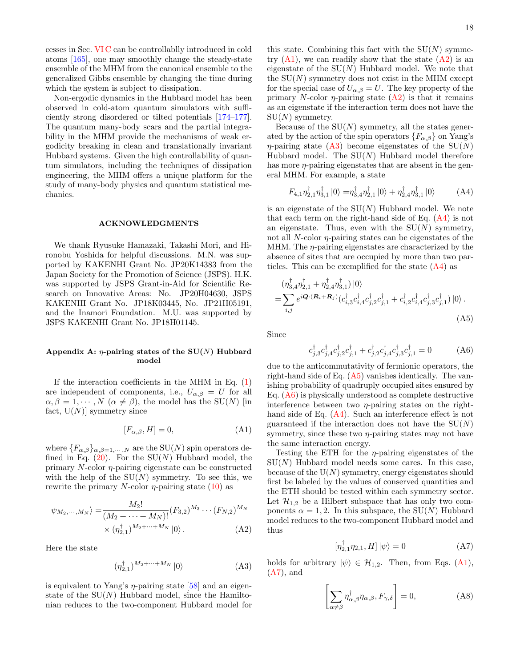cesses in Sec. [VI C](#page-14-3) can be controllablly introduced in cold atoms [\[165\]](#page-31-25), one may smoothly change the steady-state ensemble of the MHM from the canonical ensemble to the generalized Gibbs ensemble by changing the time during which the system is subject to dissipation.

Non-ergodic dynamics in the Hubbard model has been observed in cold-atom quantum simulators with sufficiently strong disordered or tilted potentials [\[174–](#page-32-1)[177\]](#page-32-2). The quantum many-body scars and the partial integrability in the MHM provide the mechanisms of weak ergodicity breaking in clean and translationally invariant Hubbard systems. Given the high controllability of quantum simulators, including the techniques of dissipation engineering, the MHM offers a unique platform for the study of many-body physics and quantum statistical mechanics.

#### ACKNOWLEDGMENTS

We thank Ryusuke Hamazaki, Takashi Mori, and Hironobu Yoshida for helpful discussions. M.N. was supported by KAKENHI Grant No. JP20K14383 from the Japan Society for the Promotion of Science (JSPS). H.K. was supported by JSPS Grant-in-Aid for Scientific Research on Innovative Areas: No. JP20H04630, JSPS KAKENHI Grant No. JP18K03445, No. JP21H05191, and the Inamori Foundation. M.U. was supported by JSPS KAKENHI Grant No. JP18H01145.

## <span id="page-17-0"></span>Appendix A:  $\eta$ -pairing states of the SU(N) Hubbard model

If the interaction coefficients in the MHM in Eq.  $(1)$ are independent of components, i.e.,  $U_{\alpha,\beta} = U$  for all  $\alpha, \beta = 1, \cdots, N \ (\alpha \neq \beta)$ , the model has the SU(N) [in fact,  $U(N)$  symmetry since

<span id="page-17-1"></span>
$$
[F_{\alpha,\beta},H] = 0,\tag{A1}
$$

where  $\{F_{\alpha,\beta}\}_{{\alpha,\beta=1,\cdots,N}}$  are the SU(N) spin operators defined in Eq.  $(20)$ . For the SU(N) Hubbard model, the primary  $N$ -color  $\eta$ -pairing eigenstate can be constructed with the help of the  $SU(N)$  symmetry. To see this, we rewrite the primary N-color  $\eta$ -pairing state [\(10\)](#page-3-5) as

$$
|\psi_{M_2,\cdots,M_N}\rangle = \frac{M_2!}{(M_2 + \cdots + M_N)!} (F_{3,2})^{M_3} \cdots (F_{N,2})^{M_N}
$$
  
 
$$
\times (\eta_{2,1}^{\dagger})^{M_2 + \cdots + M_N} |0\rangle.
$$
 (A2)

Here the state

<span id="page-17-3"></span>
$$
(\eta_{2,1}^{\dagger})^{M_2 + \dots + M_N} |0\rangle \tag{A3}
$$

is equivalent to Yang's  $\eta$ -pairing state [\[58\]](#page-29-0) and an eigenstate of the  $SU(N)$  Hubbard model, since the Hamiltonian reduces to the two-component Hubbard model for

this state. Combining this fact with the  $SU(N)$  symmetry  $(A1)$ , we can readily show that the state  $(A2)$  is an eigenstate of the  $SU(N)$  Hubbard model. We note that the  $SU(N)$  symmetry does not exist in the MHM except for the special case of  $U_{\alpha,\beta} = U$ . The key property of the primary N-color  $\eta$ -pairing state  $(A2)$  is that it remains as an eigenstate if the interaction term does not have the  $SU(N)$  symmetry.

Because of the  $SU(N)$  symmetry, all the states generated by the action of the spin operators  ${F_{\alpha,\beta}}$  on Yang's  $\eta$ -pairing state [\(A3\)](#page-17-3) become eigenstates of the SU(N) Hubbard model. The  $SU(N)$  Hubbard model therefore has more  $\eta$ -pairing eigenstates that are absent in the general MHM. For example, a state

<span id="page-17-4"></span>
$$
F_{4,1}\eta_{2,1}^{\dagger}\eta_{3,1}^{\dagger}\left|0\right\rangle = \eta_{3,4}^{\dagger}\eta_{2,1}^{\dagger}\left|0\right\rangle + \eta_{2,4}^{\dagger}\eta_{3,1}^{\dagger}\left|0\right\rangle \tag{A4}
$$

is an eigenstate of the  $SU(N)$  Hubbard model. We note that each term on the right-hand side of Eq. [\(A4\)](#page-17-4) is not an eigenstate. Thus, even with the  $SU(N)$  symmetry, not all  $N$ -color  $\eta$ -pairing states can be eigenstates of the MHM. The  $\eta$ -pairing eigenstates are characterized by the absence of sites that are occupied by more than two particles. This can be exemplified for the state  $(A4)$  as

$$
\begin{split} &\left(\eta_{3,4}^{\dagger}\eta_{2,1}^{\dagger} + \eta_{2,4}^{\dagger}\eta_{3,1}^{\dagger}\right)|0\rangle \\ = \sum_{i,j} e^{i\mathbf{Q}\cdot(\mathbf{R}_{i} + \mathbf{R}_{j})} (c_{i,3}^{\dagger}c_{i,4}^{\dagger}c_{j,2}^{\dagger}c_{j,1}^{\dagger} + c_{i,2}^{\dagger}c_{i,4}^{\dagger}c_{j,3}^{\dagger}c_{j,1}^{\dagger})|0\rangle \,. \end{split} \tag{A5}
$$

Since

<span id="page-17-6"></span><span id="page-17-5"></span>
$$
c_{j,3}^{\dagger}c_{j,4}^{\dagger}c_{j,2}^{\dagger}c_{j,1}^{\dagger} + c_{j,2}^{\dagger}c_{j,4}^{\dagger}c_{j,3}^{\dagger}c_{j,1}^{\dagger} = 0
$$
 (A6)

due to the anticommutativity of fermionic operators, the right-hand side of Eq. [\(A5\)](#page-17-5) vanishes identically. The vanishing probability of quadruply occupied sites ensured by Eq.  $(A6)$  is physically understood as complete destructive interference between two  $\eta$ -pairing states on the righthand side of Eq.  $(A4)$ . Such an interference effect is not guaranteed if the interaction does not have the  $SU(N)$ symmetry, since these two  $\eta$ -pairing states may not have the same interaction energy.

Testing the ETH for the  $\eta$ -pairing eigenstates of the  $SU(N)$  Hubbard model needs some cares. In this case, because of the  $U(N)$  symmetry, energy eigenstates should first be labeled by the values of conserved quantities and the ETH should be tested within each symmetry sector. Let  $\mathcal{H}_{1,2}$  be a Hilbert subspace that has only two components  $\alpha = 1, 2$ . In this subspace, the SU(N) Hubbard model reduces to the two-component Hubbard model and thus

<span id="page-17-7"></span>
$$
\left[\eta_{2,1}^{\dagger}\eta_{2,1},H\right]\left|\psi\right\rangle=0\tag{A7}
$$

<span id="page-17-2"></span>holds for arbitrary  $|\psi\rangle \in \mathcal{H}_{1,2}$ . Then, from Eqs. [\(A1\)](#page-17-1),  $(A7)$ , and

$$
\left[\sum_{\alpha \neq \beta} \eta_{\alpha,\beta}^{\dagger} \eta_{\alpha,\beta}, F_{\gamma,\delta}\right] = 0, \tag{A8}
$$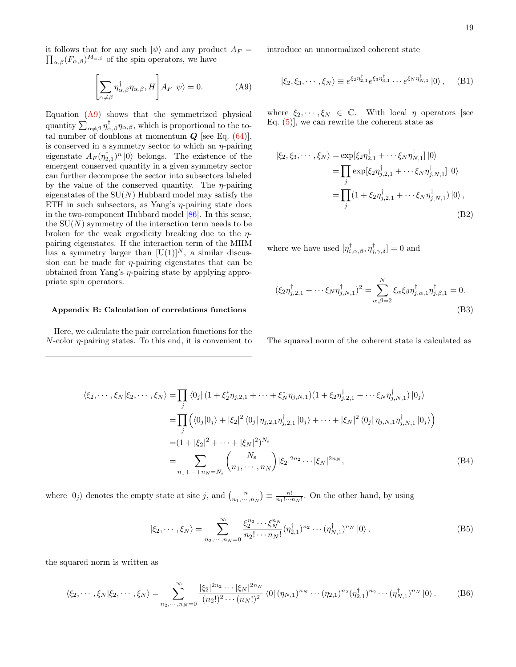it follows that for any such  $|\psi\rangle$  and any product  $A_F =$  $\prod_{\alpha,\beta}(F_{\alpha,\beta})^{M_{\alpha,\beta}}$  of the spin operators, we have

<span id="page-18-1"></span>
$$
\left[\sum_{\alpha \neq \beta} \eta_{\alpha,\beta}^{\dagger} \eta_{\alpha,\beta}, H\right] A_F |\psi\rangle = 0.
$$
 (A9)

Equation [\(A9\)](#page-18-1) shows that the symmetrized physical quantity  $\sum_{\alpha \neq \beta} \eta_{\alpha,\beta}^{\dagger} \eta_{\alpha,\beta}$ , which is proportional to the total number of doublons at momentum  $Q$  [see Eq. [\(64\)](#page-9-1)], is conserved in a symmetry sector to which an  $\eta$ -pairing eigenstate  $A_F(\eta_{2,1}^{\dagger})^n |0\rangle$  belongs. The existence of the emergent conserved quantity in a given symmetry sector can further decompose the sector into subsectors labeled by the value of the conserved quantity. The  $\eta$ -pairing eigenstates of the  $SU(N)$  Hubbard model may satisfy the ETH in such subsectors, as Yang's  $\eta$ -pairing state does in the two-component Hubbard model [\[86\]](#page-29-10). In this sense, the  $SU(N)$  symmetry of the interaction term needs to be broken for the weak ergodicity breaking due to the  $\eta$ pairing eigenstates. If the interaction term of the MHM has a symmetry larger than  $[U(1)]^N$ , a similar discussion can be made for  $\eta$ -pairing eigenstates that can be obtained from Yang's  $\eta$ -pairing state by applying appropriate spin operators.

#### <span id="page-18-0"></span>Appendix B: Calculation of correlations functions

Here, we calculate the pair correlation functions for the  $N$ -color  $\eta$ -pairing states. To this end, it is convenient to introduce an unnormalized coherent state

$$
|\xi_2, \xi_3, \cdots, \xi_N\rangle \equiv e^{\xi_2 \eta_{2,1}^{\dagger}} e^{\xi_3 \eta_{3,1}^{\dagger}} \cdots e^{\xi_N \eta_{N,1}^{\dagger}} |0\rangle, \quad (B1)
$$

where  $\xi_2, \dots, \xi_N \in \mathbb{C}$ . With local  $\eta$  operators [see Eq.  $(5)$ , we can rewrite the coherent state as

$$
|\xi_2, \xi_3, \cdots, \xi_N\rangle = \exp[\xi_2 \eta_{2,1}^{\dagger} + \cdots \xi_N \eta_{N,1}^{\dagger}] |0\rangle
$$
  
= 
$$
\prod_j \exp[\xi_2 \eta_{j,2,1}^{\dagger} + \cdots \xi_N \eta_{j,N,1}^{\dagger}] |0\rangle
$$
  
= 
$$
\prod_j (1 + \xi_2 \eta_{j,2,1}^{\dagger} + \cdots \xi_N \eta_{j,N,1}^{\dagger}) |0\rangle,
$$
 (B2)

where we have used  $[\eta_{i,\alpha,\beta}^{\dagger},\eta_{j,\gamma,\delta}^{\dagger}]=0$  and

$$
(\xi_2 \eta_{j,2,1}^{\dagger} + \cdots \xi_N \eta_{j,N,1}^{\dagger})^2 = \sum_{\alpha,\beta=2}^N \xi_\alpha \xi_\beta \eta_{j,\alpha,1}^{\dagger} \eta_{j,\beta,1}^{\dagger} = 0.
$$
\n(B3)

<span id="page-18-4"></span><span id="page-18-3"></span><span id="page-18-2"></span>The squared norm of the coherent state is calculated as

$$
\langle \xi_2, \cdots, \xi_N | \xi_2, \cdots, \xi_N \rangle = \prod_j \langle 0_j | (1 + \xi_2^* \eta_{j,2,1} + \cdots + \xi_N^* \eta_{j,N,1}) (1 + \xi_2 \eta_{j,2,1}^{\dagger} + \cdots \xi_N \eta_{j,N,1}^{\dagger}) | 0_j \rangle
$$
  
\n
$$
= \prod_j \left( \langle 0_j | 0_j \rangle + | \xi_2 |^2 \langle 0_j | \eta_{j,2,1} \eta_{j,2,1}^{\dagger} | 0_j \rangle + \cdots + | \xi_N |^2 \langle 0_j | \eta_{j,N,1} \eta_{j,N,1}^{\dagger} | 0_j \rangle \right)
$$
  
\n
$$
= (1 + |\xi_2|^2 + \cdots + |\xi_N|^2)^{N_s}
$$
  
\n
$$
= \sum_{n_1 + \cdots + n_N = N_s} {N_s \choose n_1, \cdots, n_N} |\xi_2|^{2n_2} \cdots |\xi_N|^{2n_N},
$$
 (B4)

where  $|0_j\rangle$  denotes the empty state at site j, and  $\binom{n}{n_1,\dots,n_N} \equiv \frac{n!}{n_1!\cdots n_N!}$ . On the other hand, by using

$$
|\xi_2, \cdots, \xi_N\rangle = \sum_{n_2, \cdots, n_N=0}^{\infty} \frac{\xi_2^{n_2} \cdots \xi_N^{n_N}}{n_2! \cdots n_N!} (\eta_{2,1}^{\dagger})^{n_2} \cdots (\eta_{N,1}^{\dagger})^{n_N} |0\rangle ,
$$
 (B5)

the squared norm is written as

$$
\langle \xi_2, \cdots, \xi_N | \xi_2, \cdots, \xi_N \rangle = \sum_{n_2, \cdots, n_N = 0}^{\infty} \frac{|\xi_2|^{2n_2} \cdots |\xi_N|^{2n_N}}{(n_2!)^2 \cdots (n_N!)^2} \langle 0 | (\eta_{N,1})^{n_N} \cdots (\eta_{2,1})^{n_2} (\eta_{2,1}^{\dagger})^{n_2} \cdots (\eta_{N,1}^{\dagger})^{n_N} | 0 \rangle. \tag{B6}
$$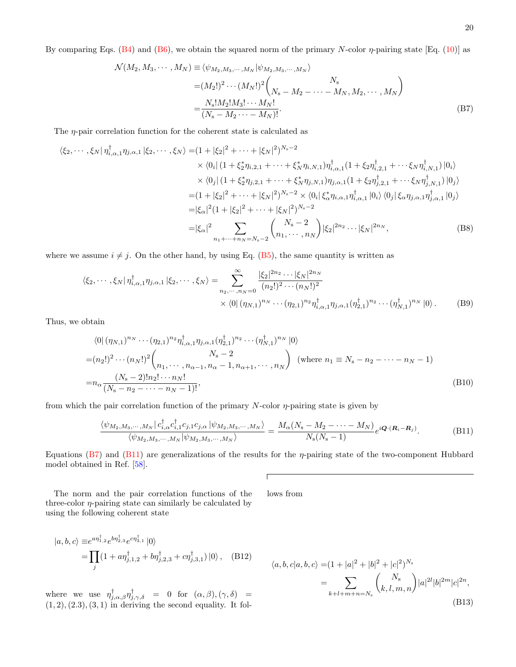<span id="page-19-0"></span>
$$
\mathcal{N}(M_2, M_3, \cdots, M_N) \equiv \langle \psi_{M_2, M_3, \cdots, M_N} | \psi_{M_2, M_3, \cdots, M_N} \rangle
$$
  
=  $(M_2!)^2 \cdots (M_N!)^2 {N_s \choose N_s - M_2 - \cdots - M_N, M_2, \cdots, M_N}$   
=  ${N_s! M_2! M_3! \cdots M_N! \over (N_s - M_2 \cdots - M_N)!}$ . (B7)

The *n*-pair correlation function for the coherent state is calculated as

$$
\langle \xi_2, \cdots, \xi_N | \eta_{i,\alpha,1}^{\dagger} \eta_{j,\alpha,1} | \xi_2, \cdots, \xi_N \rangle = (1 + |\xi_2|^2 + \cdots + |\xi_N|^2)^{N_s - 2}
$$
  
\n
$$
\times \langle 0_i | (1 + \xi_2^* \eta_{i,2,1} + \cdots + \xi_N^* \eta_{i,N,1}) \eta_{i,\alpha,1}^{\dagger} (1 + \xi_2 \eta_{i,2,1}^{\dagger} + \cdots \xi_N \eta_{i,N,1}^{\dagger}) | 0_i \rangle
$$
  
\n
$$
\times \langle 0_j | (1 + \xi_2^* \eta_{j,2,1} + \cdots + \xi_N^* \eta_{j,N,1}) \eta_{j,\alpha,1} (1 + \xi_2 \eta_{j,2,1}^{\dagger} + \cdots \xi_N \eta_{j,N,1}^{\dagger}) | 0_j \rangle
$$
  
\n
$$
= (1 + |\xi_2|^2 + \cdots + |\xi_N|^2)^{N_s - 2} \times \langle 0_i | \xi_\alpha^* \eta_{i,\alpha,1} \eta_{i,\alpha,1}^{\dagger} | 0_i \rangle \langle 0_j | \xi_\alpha \eta_{j,\alpha,1} \eta_{j,\alpha,1}^{\dagger} | 0_j \rangle
$$
  
\n
$$
= |\xi_\alpha|^2 (1 + |\xi_2|^2 + \cdots + |\xi_N|^2)^{N_s - 2}
$$
  
\n
$$
= |\xi_\alpha|^2 \sum_{n_1 + \cdots + n_N = N_s - 2} {N_s - 2 \choose n_1, \cdots, n_N} |\xi_2|^{2n_2} \cdots |\xi_N|^{2n_N},
$$
 (B8)

where we assume  $i \neq j$ . On the other hand, by using Eq. [\(B5\)](#page-18-4), the same quantity is written as

$$
\langle \xi_2, \cdots, \xi_N | \eta_{i,\alpha,1}^{\dagger} \eta_{j,\alpha,1} | \xi_2, \cdots, \xi_N \rangle = \sum_{n_2, \cdots, n_N = 0}^{\infty} \frac{|\xi_2|^{2n_2} \cdots |\xi_N|^{2n_N}}{(n_2!)^2 \cdots (n_N!)^2} \times \langle 0 | (\eta_{N,1})^{n_N} \cdots (\eta_{2,1})^{n_2} \eta_{i,\alpha,1}^{\dagger} \eta_{j,\alpha,1} (\eta_{2,1}^{\dagger})^{n_2} \cdots (\eta_{N,1}^{\dagger})^{n_N} | 0 \rangle. \tag{B9}
$$

Thus, we obtain

$$
\langle 0 | (\eta_{N,1})^{n_N} \cdots (\eta_{2,1})^{n_2} \eta_{i,\alpha,1}^\dagger \eta_{j,\alpha,1} (\eta_{2,1}^\dagger)^{n_2} \cdots (\eta_{N,1}^\dagger)^{n_N} | 0 \rangle
$$
  
=  $(n_2!)^2 \cdots (n_N!)^2 {N_s - 2 \choose n_1, \cdots, n_{\alpha-1}, n_\alpha - 1, n_{\alpha+1}, \cdots, n_N}$  (where  $n_1 \equiv N_s - n_2 - \cdots - n_N - 1$ )  
=  $n_\alpha \frac{(N_s - 2)! n_2! \cdots n_N!}{(N_s - n_2 - \cdots - n_N - 1)!}$ , (B10)

from which the pair correlation function of the primary  $N$ -color  $\eta$ -pairing state is given by

$$
\frac{\langle \psi_{M_2,M_3,\cdots,M_N} | c_{i,\alpha}^\dagger c_{i,1}^\dagger c_{j,1} c_{j,\alpha} | \psi_{M_2,M_3,\cdots,M_N} \rangle}{\langle \psi_{M_2,M_3,\cdots,M_N} | \psi_{M_2,M_3,\cdots,M_N} \rangle} = \frac{M_\alpha(N_{\rm s}-M_2-\cdots-M_N)}{N_{\rm s}(N_{\rm s}-1)} e^{i\mathbf{Q}\cdot(\mathbf{R}_i-\mathbf{R}_j)}.
$$
(B11)

lows from

Equations [\(B7\)](#page-19-0) and [\(B11\)](#page-19-1) are generalizations of the results for the  $\eta$ -pairing state of the two-component Hubbard model obtained in Ref. [\[58\]](#page-29-0).

<span id="page-19-1"></span> $\overline{1}$ 

The norm and the pair correlation functions of the three-color  $\eta$ -pairing state can similarly be calculated by using the following coherent state

 $|a, b, c\rangle \equiv e^{a \eta_{1,2}^{\dagger}} e^{b \eta_{2,3}^{\dagger}} e^{c \eta_{3,1}^{\dagger}} |0\rangle$  $=\prod$ j  $(1 + a\eta_{j,1,2}^{\dagger} + b\eta_{j,2,3}^{\dagger} + c\eta_{j,3,1}^{\dagger}) |0\rangle$ , (B12)

where we use  $\eta_{j,\alpha,\beta}^{\dagger} \eta_{j,\gamma,\delta}^{\dagger}$  = 0 for  $(\alpha,\beta),(\gamma,\delta)$  =  $(1, 2), (2.3), (3, 1)$  in deriving the second equality. It fol-

<span id="page-19-2"></span>
$$
\langle a, b, c | a, b, c \rangle = (1 + |a|^2 + |b|^2 + |c|^2)^{N_s}
$$
  
= 
$$
\sum_{k+l+m+n=N_s} {N_s \choose k, l, m, n} |a|^{2l} |b|^{2m} |c|^{2n},
$$
  
(B13)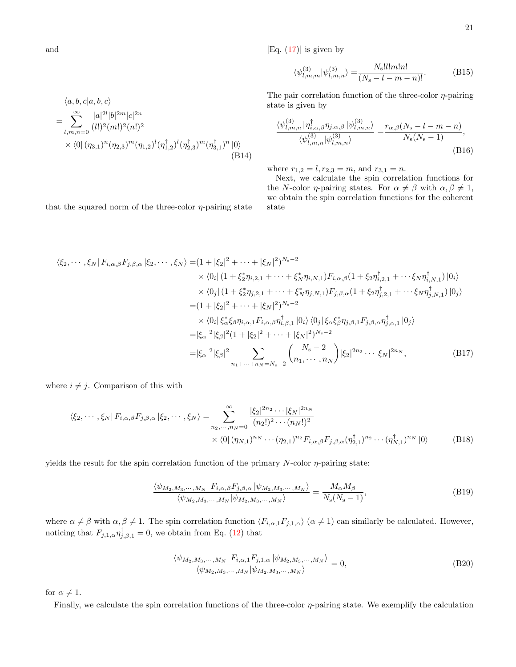[Eq.  $(17)$ ] is given by

<span id="page-20-0"></span>
$$
\langle \psi_{l,m,m}^{(3)} | \psi_{l,m,n}^{(3)} \rangle = \frac{N_s! l! m! n!}{(N_s - l - m - n)!}.
$$
 (B15)

The pair correlation function of the three-color  $\eta$ -pairing state is given by

$$
\frac{\langle \psi_{l,m,n}^{(3)} | \eta_{i,\alpha,\beta}^{\dagger} \eta_{j,\alpha,\beta} | \psi_{l,m,n}^{(3)} \rangle}{\langle \psi_{l,m,n}^{(3)} | \psi_{l,m,n}^{(3)} \rangle} = \frac{r_{\alpha,\beta}(N_{\rm s} - l - m - n)}{N_{\rm s}(N_{\rm s} - 1)},
$$
\n(B16)

where  $r_{1,2} = l, r_{2,3} = m$ , and  $r_{3,1} = n$ .

Next, we calculate the spin correlation functions for the N-color  $\eta$ -pairing states. For  $\alpha \neq \beta$  with  $\alpha, \beta \neq 1$ , we obtain the spin correlation functions for the coherent state

$$
\langle \xi_2, \cdots, \xi_N | F_{i,\alpha,\beta} F_{j,\beta,\alpha} | \xi_2, \cdots, \xi_N \rangle = (1 + |\xi_2|^2 + \cdots + |\xi_N|^2)^{N_s - 2}
$$
  
\n
$$
\times \langle 0_i | (1 + \xi_2^* \eta_{i,2,1} + \cdots + \xi_N^* \eta_{i,N,1}) F_{i,\alpha,\beta} (1 + \xi_2 \eta_{i,2,1}^{\dagger} + \cdots \xi_N \eta_{i,N,1}^{\dagger}) | 0_i \rangle
$$
  
\n
$$
\times \langle 0_j | (1 + \xi_2^* \eta_{j,2,1} + \cdots + \xi_N^* \eta_{j,N,1}) F_{j,\beta,\alpha} (1 + \xi_2 \eta_{j,2,1}^{\dagger} + \cdots \xi_N \eta_{j,N,1}^{\dagger}) | 0_j \rangle
$$
  
\n
$$
= (1 + |\xi_2|^2 + \cdots + |\xi_N|^2)^{N_s - 2}
$$
  
\n
$$
\times \langle 0_i | \xi_\alpha^* \xi_\beta \eta_{i,\alpha,1} F_{i,\alpha,\beta} \eta_{i,\beta,1}^{\dagger} | 0_i \rangle \langle 0_j | \xi_\alpha \xi_\beta^* \eta_{j,\beta,1} F_{j,\beta,\alpha} \eta_{j,\alpha,1}^{\dagger} | 0_j \rangle
$$
  
\n
$$
= |\xi_\alpha|^2 |\xi_\beta|^2 (1 + |\xi_2|^2 + \cdots + |\xi_N|^2)^{N_s - 2}
$$
  
\n
$$
= |\xi_\alpha|^2 |\xi_\beta|^2 \sum_{n_1 + \cdots + n_N = N_s - 2} {N_s - 2 \choose n_1, \cdots, n_N} |\xi_2|^{2n_2} \cdots |\xi_N|^{2n_N},
$$
 (B17)

(B14)

where  $i \neq j$ . Comparison of this with

$$
\langle \xi_2, \cdots, \xi_N | F_{i,\alpha,\beta} F_{j,\beta,\alpha} | \xi_2, \cdots, \xi_N \rangle = \sum_{n_2, \cdots, n_N = 0}^{\infty} \frac{|\xi_2|^{2n_2} \cdots |\xi_N|^{2n_N}}{(n_2!)^2 \cdots (n_N!)^2} \times \langle 0 | (\eta_{N,1})^{n_N} \cdots (\eta_{2,1})^{n_2} F_{i,\alpha,\beta} F_{j,\beta,\alpha} (\eta_{2,1}^{\dagger})^{n_2} \cdots (\eta_{N,1}^{\dagger})^{n_N} | 0 \rangle \tag{B18}
$$

yields the result for the spin correlation function of the primary  $N$ -color  $\eta$ -pairing state:

$$
\frac{\langle \psi_{M_2,M_3,\cdots,M_N} | F_{i,\alpha,\beta} F_{j,\beta,\alpha} | \psi_{M_2,M_3,\cdots,M_N} \rangle}{\langle \psi_{M_2,M_3,\cdots,M_N} | \psi_{M_2,M_3,\cdots,M_N} \rangle} = \frac{M_\alpha M_\beta}{N_s(N_s - 1)},
$$
\n(B19)

where  $\alpha \neq \beta$  with  $\alpha, \beta \neq 1$ . The spin correlation function  $\langle F_{i,\alpha,1}F_{j,1,\alpha}\rangle$   $(\alpha \neq 1)$  can similarly be calculated. However, noticing that  $F_{j,1,\alpha} \eta_{j,\beta,1}^{\dagger} = 0$ , we obtain from Eq. [\(12\)](#page-3-6) that

$$
\frac{\langle \psi_{M_2,M_3,\cdots,M_N} | F_{i,\alpha,1} F_{j,1,\alpha} | \psi_{M_2,M_3,\cdots,M_N} \rangle}{\langle \psi_{M_2,M_3,\cdots,M_N} | \psi_{M_2,M_3,\cdots,M_N} \rangle} = 0,
$$
\n(B20)

for  $\alpha \neq 1$ .

Finally, we calculate the spin correlation functions of the three-color  $\eta$ -pairing state. We exemplify the calculation

and

 $\langle a, b, c | a, b, c \rangle$ 

 $|a|^{2l}|b|^{2m}|c|^{2n}$  $(l!)^2(m!)^2(n!)^2$ 

 $= \sum_{n=1}^{\infty}$  $l,m,n=0$ 

that the squared norm of the three-color  $\eta$ -pairing state

 $\times \langle 0 | (\eta_{3,1})^n (\eta_{2,3})^m (\eta_{1,2})^l (\eta_{1,2}^\dagger)^l (\eta_{2,3}^\dagger)^m (\eta_{3,1}^\dagger)^n |0\rangle$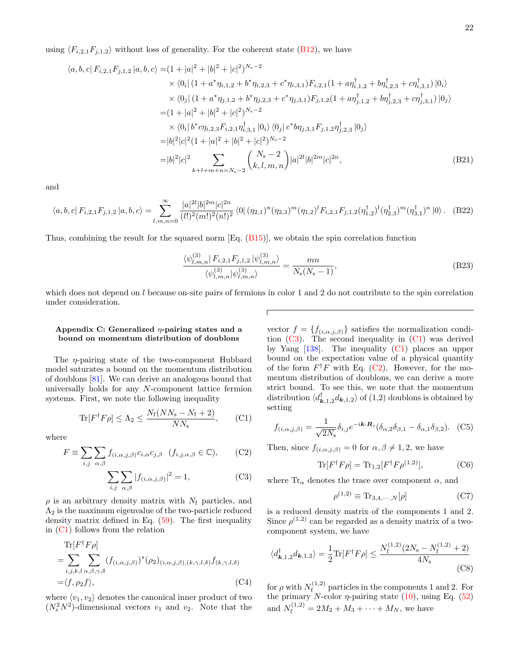using  $\langle F_{i,2,1}F_{j,1,2}\rangle$  without loss of generality. For the coherent state [\(B12\)](#page-19-2), we have

$$
\langle a, b, c | F_{i,2,1} F_{j,1,2} | a, b, c \rangle = (1 + |a|^2 + |b|^2 + |c|^2)^{N_s - 2}
$$
  
\n
$$
\times \langle 0_i | (1 + a^* \eta_{i,1,2} + b^* \eta_{i,2,3} + c^* \eta_{i,3,1}) F_{i,2,1} (1 + a \eta_{i,1,2}^{\dagger} + b \eta_{i,2,3}^{\dagger} + c \eta_{i,3,1}^{\dagger}) | 0_i \rangle
$$
  
\n
$$
\times \langle 0_j | (1 + a^* \eta_{j,1,2} + b^* \eta_{j,2,3} + c^* \eta_{j,3,1}) F_{j,1,2} (1 + a \eta_{j,1,2}^{\dagger} + b \eta_{j,2,3}^{\dagger} + c \eta_{j,3,1}^{\dagger}) | 0_j \rangle
$$
  
\n
$$
= (1 + |a|^2 + |b|^2 + |c|^2)^{N_s - 2}
$$
  
\n
$$
\times \langle 0_i | b^* c \eta_{i,2,3} F_{i,2,1} \eta_{i,3,1}^{\dagger} | 0_i \rangle \langle 0_j | c^* b \eta_{j,3,1} F_{j,1,2} \eta_{j,2,3}^{\dagger} | 0_j \rangle
$$
  
\n
$$
= |b|^2 |c|^2 (1 + |a|^2 + |b|^2 + |c|^2)^{N_s - 2}
$$
  
\n
$$
= |b|^2 |c|^2 \sum_{k+l+m+n=N_s - 2} {N_s - 2 \choose k, l, m, n} |a|^{2l} |b|^{2m} |c|^{2n},
$$
 (B21)

and

$$
\langle a, b, c | F_{i,2,1} F_{j,1,2} | a, b, c \rangle = \sum_{l,m,n=0}^{\infty} \frac{|a|^{2l} |b|^{2m} |c|^{2n}}{(l!)^2 (m!)^2 (n!)^2} \langle 0 | (\eta_{2,1})^n (\eta_{2,3})^m (\eta_{1,2})^l F_{i,2,1} F_{j,1,2} (\eta_{1,2}^\dagger)^l (\eta_{2,3}^\dagger)^m (\eta_{3,1}^\dagger)^n | 0 \rangle. \tag{B22}
$$

Thus, combining the result for the squared norm  $Eq. (B15)$  $Eq. (B15)$ , we obtain the spin correlation function

$$
\frac{\langle \psi_{l,m,n}^{(3)} | F_{i,2,1} F_{j,1,2} | \psi_{l,m,n}^{(3)} \rangle}{\langle \psi_{l,m,n}^{(3)} | \psi_{l,m,n}^{(3)} \rangle} = \frac{mn}{N_s(N_s - 1)},
$$
\n(B23)

which does not depend on  $l$  because on-site pairs of fermions in color 1 and 2 do not contribute to the spin correlation under consideration.

## <span id="page-21-0"></span>Appendix C: Generalized  $\eta$ -pairing states and a bound on momentum distribution of doublons

The η-pairing state of the two-component Hubbard model saturates a bound on the momentum distribution of doublons [\[81\]](#page-29-19). We can derive an analogous bound that universally holds for any N-component lattice fermion systems. First, we note the following inequality

$$
\text{Tr}[F^{\dagger}F\rho] \le \Lambda_2 \le \frac{N_{\text{f}}(NN_{\text{s}} - N_{\text{f}} + 2)}{NN_{\text{s}}},\qquad(C1)
$$

where

$$
F \equiv \sum_{i,j} \sum_{\alpha,\beta} f_{(i,\alpha,j,\beta)} c_{i,\alpha} c_{j,\beta} \quad (f_{i,j,\alpha,\beta} \in \mathbb{C}), \qquad (C2)
$$

$$
\sum_{i,j} \sum_{\alpha,\beta} |f_{(i,\alpha,j,\beta)}|^2 = 1,
$$
\n(C3)

 $\rho$  is an arbitrary density matrix with  $N_f$  particles, and  $\Lambda_2$  is the maximum eigenvalue of the two-particle reduced density matrix defined in Eq. [\(59\)](#page-8-2). The first inequality in [\(C1\)](#page-21-1) follows from the relation

$$
\text{Tr}[F^{\dagger}F\rho]
$$
\n
$$
= \sum_{i,j,k,l} \sum_{\alpha,\beta,\gamma,\delta} (f_{(i,\alpha,j,\beta)})^*(\rho_2)_{(i,\alpha,j,\beta),(k,\gamma,l,\delta)} f_{(k,\gamma,l,\delta)}
$$
\n
$$
= \langle f, \rho_2 f \rangle, \tag{C4}
$$

where  $\langle v_1, v_2 \rangle$  denotes the canonical inner product of two  $(N_s^2 N^2)$ -dimensional vectors  $v_1$  and  $v_2$ . Note that the

vector  $f = \{f_{(i,\alpha,j,\beta)}\}\$  satisfies the normalization condition  $(C3)$ . The second inequality in  $(C1)$  was derived by Yang  $[138]$ . The inequality  $(C1)$  places an upper bound on the expectation value of a physical quantity of the form  $F^{\dagger}F$  with Eq. [\(C2\)](#page-21-3). However, for the momentum distribution of doublons, we can derive a more strict bound. To see this, we note that the momentum distribution  $\langle d_{\mathbf{k},1,2}^{\dagger} d_{\mathbf{k},1,2} \rangle$  of  $(1,2)$  doublons is obtained by setting

<span id="page-21-1"></span>
$$
f_{(i,\alpha,j,\beta)} = \frac{1}{\sqrt{2N_s}} \delta_{i,j} e^{-i\mathbf{k} \cdot \mathbf{R}_j} (\delta_{\alpha,2} \delta_{\beta,1} - \delta_{\alpha,1} \delta_{\beta,2}).
$$
 (C5)

<span id="page-21-3"></span>Then, since  $f_{(i,\alpha,j,\beta)} = 0$  for  $\alpha, \beta \neq 1, 2$ , we have

$$
\text{Tr}[F^{\dagger}F\rho] = \text{Tr}_{1,2}[F^{\dagger}F\rho^{(1,2)}],\tag{C6}
$$

<span id="page-21-2"></span>where  $\text{Tr}_{\alpha}$  denotes the trace over component  $\alpha$ , and

<span id="page-21-4"></span>
$$
\rho^{(1,2)} \equiv \text{Tr}_{3,4,\cdots,N}[\rho] \tag{C7}
$$

is a reduced density matrix of the components 1 and 2. Since  $\rho^{(1,2)}$  can be regarded as a density matrix of a twocomponent system, we have

$$
\langle d_{\mathbf{k},1,2}^{\dagger} d_{\mathbf{k},1,2} \rangle = \frac{1}{2} \text{Tr} [F^{\dagger} F \rho] \le \frac{N_{\text{f}}^{(1,2)} (2N_{\text{s}} - N_{\text{f}}^{(1,2)} + 2)}{4N_{\text{s}}} \tag{C8}
$$

for  $\rho$  with  $N_{\rm f}^{(1,2)}$  $f_f^{(1,2)}$  particles in the components 1 and 2. For the primary N-color  $\eta$ -pairing state [\(10\)](#page-3-5), using Eq. [\(52\)](#page-8-3) and  $N_f^{(1,2)} = 2M_2 + M_3 + \cdots + M_N$ , we have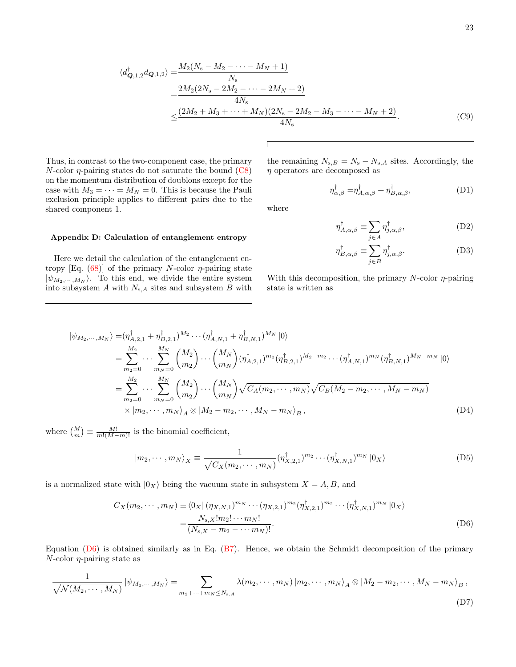$$
\langle d_{\mathbf{Q},1,2}^{\dagger} d_{\mathbf{Q},1,2} \rangle = \frac{M_2(N_{\rm s} - M_2 - \dots - M_N + 1)}{N_{\rm s}} \\
= \frac{2M_2(2N_{\rm s} - 2M_2 - \dots - 2M_N + 2)}{4N_{\rm s}} \\
\leq \frac{(2M_2 + M_3 + \dots + M_N)(2N_{\rm s} - 2M_2 - M_3 - \dots - M_N + 2)}{4N_{\rm s}}.\n\tag{C9}
$$

 $\eta$  operators are decomposed as

Thus, in contrast to the two-component case, the primary  $N$ -color  $\eta$ -pairing states do not saturate the bound [\(C8\)](#page-21-4) on the momentum distribution of doublons except for the case with  $M_3 = \cdots = M_N = 0$ . This is because the Pauli exclusion principle applies to different pairs due to the shared component 1.

<span id="page-22-0"></span>Appendix D: Calculation of entanglement entropy

Here we detail the calculation of the entanglement entropy [Eq.  $(68)$ ] of the primary N-color  $\eta$ -pairing state  $|\psi_{M_2,\cdots,M_N}\rangle$ . To this end, we divide the entire system into subsystem  $A$  with  $N_{s,A}$  sites and subsystem  $B$  with

#### $\eta_{A,\alpha,\beta}^{\dagger}\equiv\sum$ j∈A  $\eta_{j,\alpha,\beta}^{\dagger},$  (D2)

 $\eta_{\alpha,\beta}^{\dagger} = \eta_{A,\alpha,\beta}^{\dagger} + \eta_{B,\alpha,\beta}^{\dagger},$  (D1)

<span id="page-22-1"></span>
$$
\eta_{B,\alpha,\beta}^{\dagger} \equiv \sum_{j \in B} \eta_{j,\alpha,\beta}^{\dagger}.
$$
 (D3)

With this decomposition, the primary  $N$ -color  $\eta$ -pairing state is written as

the remaining  $N_{\rm s,B} = N_{\rm s} - N_{\rm s,A}$  sites. Accordingly, the

$$
\begin{split}\n|\psi_{M_2,\cdots,M_N}\rangle &= (\eta_{A,2,1}^\dagger + \eta_{B,2,1}^\dagger)^{M_2}\cdots(\eta_{A,N,1}^\dagger + \eta_{B,N,1}^\dagger)^{M_N} |0\rangle \\
&= \sum_{m_2=0}^{M_2} \cdots \sum_{m_N=0}^{M_N} \binom{M_2}{m_2} \cdots \binom{M_N}{m_N} (\eta_{A,2,1}^\dagger)^{m_2} (\eta_{B,2,1}^\dagger)^{M_2 - m_2} \cdots (\eta_{A,N,1}^\dagger)^{m_N} (\eta_{B,N,1}^\dagger)^{M_N - m_N} |0\rangle \\
&= \sum_{m_2=0}^{M_2} \cdots \sum_{m_N=0}^{M_N} \binom{M_2}{m_2} \cdots \binom{M_N}{m_N} \sqrt{C_A(m_2,\cdots,m_N)} \sqrt{C_B(M_2 - m_2,\cdots,M_N - m_N)} \\
&\times |m_2,\cdots,m_N\rangle_A \otimes |M_2 - m_2,\cdots,M_N - m_N\rangle_B,\n\end{split} \tag{D4}
$$

where  $\binom{M}{m} \equiv \frac{M!}{m!(M-m)!}$  is the binomial coefficient,

<span id="page-22-2"></span>
$$
|m_2, \cdots, m_N\rangle_X \equiv \frac{1}{\sqrt{C_X(m_2, \cdots, m_N)}} (\eta_{X,2,1}^\dagger)^{m_2} \cdots (\eta_{X,N,1}^\dagger)^{m_N} |0_X\rangle
$$
 (D5)

is a normalized state with  $|0_X\rangle$  being the vacuum state in subsystem  $X = A, B$ , and

$$
C_X(m_2, \cdots, m_N) \equiv \langle 0_X | (\eta_{X,N,1})^{m_N} \cdots (\eta_{X,2,1})^{m_2} (\eta_{X,2,1}^\dagger)^{m_2} \cdots (\eta_{X,N,1}^\dagger)^{m_N} | 0_X \rangle
$$
  
= 
$$
\frac{N_{s,X}! m_2! \cdots m_N!}{(N_{s,X} - m_2 - \cdots m_N)!}.
$$
 (D6)

Equation  $(D6)$  is obtained similarly as in Eq.  $(B7)$ . Hence, we obtain the Schmidt decomposition of the primary  $N$ -color  $\eta$ -pairing state as

$$
\frac{1}{\sqrt{\mathcal{N}(M_2,\cdots,M_N)}}\left|\psi_{M_2,\cdots,M_N}\right\rangle = \sum_{m_2+\cdots+m_N\leq N_{\mathrm{s},A}}\lambda(m_2,\cdots,m_N)\left|m_2,\cdots,m_N\right\rangle_A\otimes\left|M_2-m_2,\cdots,M_N-m_N\right\rangle_B,
$$
\n(D7)

where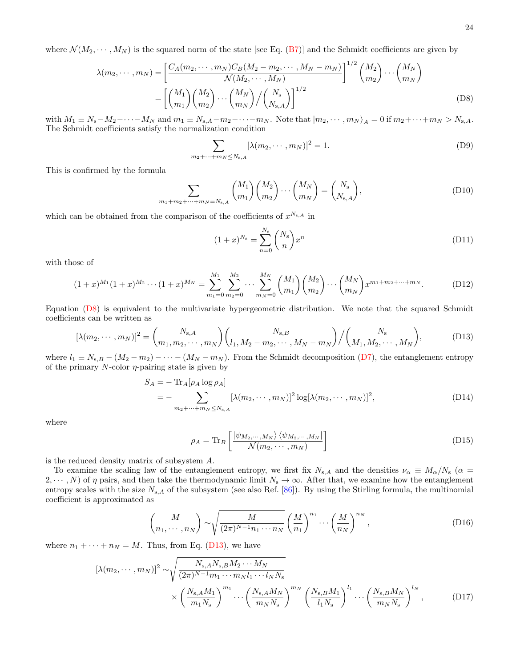where  $\mathcal{N}(M_2, \dots, M_N)$  is the squared norm of the state [see Eq. [\(B7\)](#page-19-0)] and the Schmidt coefficients are given by

$$
\lambda(m_2, \cdots, m_N) = \left[ \frac{C_A(m_2, \cdots, m_N)C_B(M_2 - m_2, \cdots, M_N - m_N)}{\mathcal{N}(M_2, \cdots, M_N)} \right]^{1/2} {M_2 \choose m_2} \cdots {M_N \choose m_N}
$$
  
= 
$$
\left[ {M_1 \choose m_1} {M_2 \choose m_2} \cdots {M_N \choose m_N} / {N_s \choose N_{s,A}} \right]^{1/2}
$$
(D8)

with  $M_1 \equiv N_s - M_2 - \cdots - M_N$  and  $m_1 \equiv N_{s,A} - m_2 - \cdots - m_N$ . Note that  $|m_2, \dots, m_N\rangle_A = 0$  if  $m_2 + \cdots + m_N > N_{s,A}$ . The Schmidt coefficients satisfy the normalization condition

<span id="page-23-0"></span>
$$
\sum_{m_2+\dots+m_N\leq N_{\rm s,A}} [\lambda(m_2,\dots,m_N)]^2 = 1.
$$
 (D9)

This is confirmed by the formula

$$
\sum_{m_1 + m_2 + \dots + m_N = N_{s,A}} \binom{M_1}{m_1} \binom{M_2}{m_2} \dots \binom{M_N}{m_N} = \binom{N_s}{N_{s,A}},
$$
(D10)

which can be obtained from the comparison of the coefficients of  $x^{N_{s,A}}$  in

<span id="page-23-1"></span>
$$
(1+x)^{N_{\rm s}} = \sum_{n=0}^{N_{\rm s}} \binom{N_{\rm s}}{n} x^n
$$
\n(D11)

with those of

$$
(1+x)^{M_1}(1+x)^{M_2}\cdots(1+x)^{M_N} = \sum_{m_1=0}^{M_1} \sum_{m_2=0}^{M_2} \cdots \sum_{m_N=0}^{M_N} {M_1 \choose m_1} {M_2 \choose m_2} \cdots {M_N \choose m_N} x^{m_1+m_2+\cdots+m_N}.
$$
 (D12)

Equation [\(D8\)](#page-23-0) is equivalent to the multivariate hypergeometric distribution. We note that the squared Schmidt coefficients can be written as

$$
[\lambda(m_2, \cdots, m_N)]^2 = {N_{s,A} \choose m_1, m_2, \cdots, m_N} {N_{s,B} \choose l_1, M_2 - m_2, \cdots, M_N - m_N} / {N_s \choose M_1, M_2, \cdots, M_N},
$$
(D13)

where  $l_1 \equiv N_{s,B} - (M_2 - m_2) - \cdots - (M_N - m_N)$ . From the Schmidt decomposition [\(D7\)](#page-22-2), the entanglement entropy of the primary  $N$ -color  $\eta$ -pairing state is given by

$$
S_A = -\operatorname{Tr}_A[\rho_A \log \rho_A]
$$
  
= - \sum\_{m\_2 + \dots + m\_N \le N\_{s,A}} [\lambda(m\_2, \dots, m\_N)]^2 \log[\lambda(m\_2, \dots, m\_N)]^2, \qquad (D14)

where

<span id="page-23-2"></span>
$$
\rho_A = \text{Tr}_B \left[ \frac{\ket{\psi_{M_2,\cdots,M_N}} \bra{\psi_{M_2,\cdots,M_N}}}{\mathcal{N}(m_2,\cdots,m_N)} \right]
$$
(D15)

is the reduced density matrix of subsystem A.

To examine the scaling law of the entanglement entropy, we first fix  $N_{s,A}$  and the densities  $\nu_\alpha \equiv M_\alpha/N_s$  ( $\alpha =$ 2,  $\cdots$ , N) of  $\eta$  pairs, and then take the thermodynamic limit  $N_s \to \infty$ . After that, we examine how the entanglement entropy scales with the size  $N_{s,A}$  of the subsystem (see also Ref. [\[86\]](#page-29-10)). By using the Stirling formula, the multinomial coefficient is approximated as

$$
\binom{M}{n_1, \cdots, n_N} \sim \sqrt{\frac{M}{(2\pi)^{N-1}n_1 \cdots n_N}} \left(\frac{M}{n_1}\right)^{n_1} \cdots \left(\frac{M}{n_N}\right)^{n_N},\tag{D16}
$$

where  $n_1 + \cdots + n_N = M$ . Thus, from Eq. [\(D13\)](#page-23-1), we have

$$
[\lambda(m_2, \cdots, m_N)]^2 \sim \sqrt{\frac{N_{\rm s, A} N_{\rm s, B} M_2 \cdots M_N}{(2\pi)^{N-1} m_1 \cdots m_N l_1 \cdots l_N N_{\rm s}}}
$$

$$
\times \left(\frac{N_{\rm s, A} M_1}{m_1 N_{\rm s}}\right)^{m_1} \cdots \left(\frac{N_{\rm s, A} M_N}{m_N N_{\rm s}}\right)^{m_N} \left(\frac{N_{\rm s, B} M_1}{l_1 N_{\rm s}}\right)^{l_1} \cdots \left(\frac{N_{\rm s, B} M_N}{m_N N_{\rm s}}\right)^{l_N},\tag{D17}
$$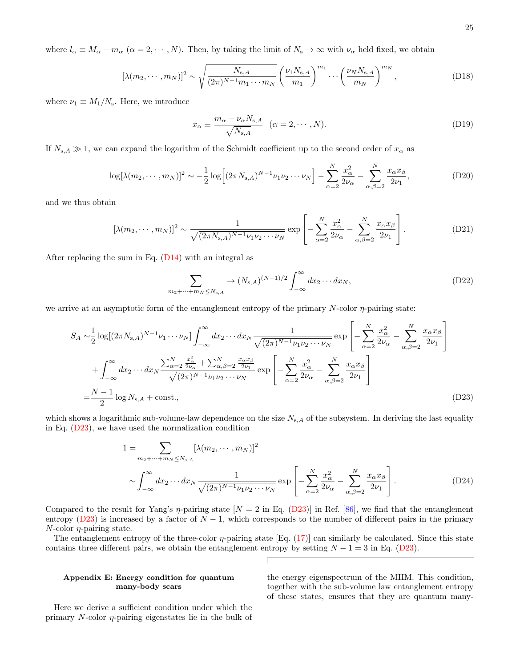where  $l_{\alpha} \equiv M_{\alpha} - m_{\alpha}$  ( $\alpha = 2, \cdots, N$ ). Then, by taking the limit of  $N_{\rm s} \to \infty$  with  $\nu_{\alpha}$  held fixed, we obtain

$$
[\lambda(m_2, \cdots, m_N)]^2 \sim \sqrt{\frac{N_{s,A}}{(2\pi)^{N-1}m_1 \cdots m_N}} \left(\frac{\nu_1 N_{s,A}}{m_1}\right)^{m_1} \cdots \left(\frac{\nu_N N_{s,A}}{m_N}\right)^{m_N},
$$
(D18)

where  $\nu_1 \equiv M_1/N_s$ . Here, we introduce

$$
x_{\alpha} \equiv \frac{m_{\alpha} - \nu_{\alpha} N_{s,A}}{\sqrt{N_{s,A}}} \quad (\alpha = 2, \cdots, N). \tag{D19}
$$

If  $N_{s,A} \gg 1$ , we can expand the logarithm of the Schmidt coefficient up to the second order of  $x_{\alpha}$  as

$$
\log[\lambda(m_2, \cdots, m_N)]^2 \sim -\frac{1}{2} \log \left[ (2\pi N_{s,A})^{N-1} \nu_1 \nu_2 \cdots \nu_N \right] - \sum_{\alpha=2}^N \frac{x_\alpha^2}{2\nu_\alpha} - \sum_{\alpha,\beta=2}^N \frac{x_\alpha x_\beta}{2\nu_1},\tag{D20}
$$

and we thus obtain

$$
[\lambda(m_2,\cdots,m_N)]^2 \sim \frac{1}{\sqrt{(2\pi N_{\rm s,A})^{N-1}\nu_1\nu_2\cdots\nu_N}} \exp\left[-\sum_{\alpha=2}^N \frac{x_\alpha^2}{2\nu_\alpha} - \sum_{\alpha,\beta=2}^N \frac{x_\alpha x_\beta}{2\nu_1}\right].
$$
 (D21)

After replacing the sum in Eq.  $(D14)$  with an integral as

$$
\sum_{m_2+\dots+m_N\leq N_{s,A}} \to (N_{s,A})^{(N-1)/2} \int_{-\infty}^{\infty} dx_2 \cdots dx_N,
$$
\n(D22)

we arrive at an asymptotic form of the entanglement entropy of the primary  $N$ -color  $\eta$ -pairing state:

$$
S_A \sim \frac{1}{2} \log[(2\pi N_{s,A})^{N-1} \nu_1 \cdots \nu_N] \int_{-\infty}^{\infty} dx_2 \cdots dx_N \frac{1}{\sqrt{(2\pi)^{N-1} \nu_1 \nu_2 \cdots \nu_N}} \exp\left[-\sum_{\alpha=2}^{N} \frac{x_{\alpha}^2}{2\nu_{\alpha}} - \sum_{\alpha,\beta=2}^{N} \frac{x_{\alpha}x_{\beta}}{2\nu_1}\right] + \int_{-\infty}^{\infty} dx_2 \cdots dx_N \frac{\sum_{\alpha=2}^{N} \frac{x_{\alpha}^2}{2\nu_{\alpha}} + \sum_{\alpha,\beta=2}^{N} \frac{x_{\alpha}x_{\beta}}{2\nu_1}}{\sqrt{(2\pi)^{N-1} \nu_1 \nu_2 \cdots \nu_N}} \exp\left[-\sum_{\alpha=2}^{N} \frac{x_{\alpha}^2}{2\nu_{\alpha}} - \sum_{\alpha,\beta=2}^{N} \frac{x_{\alpha}x_{\beta}}{2\nu_1}\right]
$$
  
=  $\frac{N-1}{2} \log N_{s,A} + \text{const.},$  (D23)

which shows a logarithmic sub-volume-law dependence on the size  $N_{s,A}$  of the subsystem. In deriving the last equality in Eq. [\(D23\)](#page-24-1), we have used the normalization condition

$$
1 = \sum_{m_2 + \dots + m_N \le N_{s,A}} [\lambda(m_2, \dots, m_N)]^2
$$
  
 
$$
\sim \int_{-\infty}^{\infty} dx_2 \dots dx_N \frac{1}{\sqrt{(2\pi)^{N-1} \nu_1 \nu_2 \dots \nu_N}} \exp\left[-\sum_{\alpha=2}^{N} \frac{x_{\alpha}^2}{2\nu_{\alpha}} - \sum_{\alpha,\beta=2}^{N} \frac{x_{\alpha}x_{\beta}}{2\nu_1}\right].
$$
 (D24)

Compared to the result for Yang's  $\eta$ -pairing state  $[N = 2 \text{ in Eq. (D23)}]$  $[N = 2 \text{ in Eq. (D23)}]$  $[N = 2 \text{ in Eq. (D23)}]$  in Ref. [\[86\]](#page-29-10), we find that the entanglement entropy [\(D23\)](#page-24-1) is increased by a factor of  $N-1$ , which corresponds to the number of different pairs in the primary  $N$ -color  $\eta$ -pairing state.

The entanglement entropy of the three-color  $\eta$ -pairing state [Eq. [\(17\)](#page-4-1)] can similarly be calculated. Since this state contains three different pairs, we obtain the entanglement entropy by setting  $N - 1 = 3$  in Eq. [\(D23\)](#page-24-1).

## <span id="page-24-0"></span>Appendix E: Energy condition for quantum many-body scars

Here we derive a sufficient condition under which the primary  $N$ -color  $\eta$ -pairing eigenstates lie in the bulk of <span id="page-24-1"></span>the energy eigenspectrum of the MHM. This condition, together with the sub-volume law entanglement entropy of these states, ensures that they are quantum many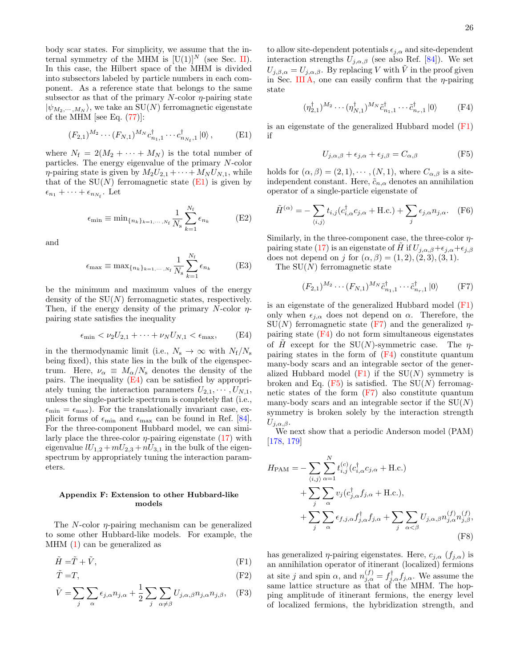body scar states. For simplicity, we assume that the internal symmetry of the MHM is  $[U(1)]^N$  (see Sec. [II\)](#page-2-0). In this case, the Hilbert space of the MHM is divided into subsectors labeled by particle numbers in each component. As a reference state that belongs to the same subsector as that of the primary  $N$ -color  $\eta$ -pairing state  $|\psi_{M_2,\dots,M_N}\rangle$ , we take an SU(N) ferromagnetic eigenstate of the MHM [see Eq.  $(77)$ ]:

<span id="page-25-1"></span>
$$
(F_{2,1})^{M_2} \cdots (F_{N,1})^{M_N} c_{n_1,1}^{\dagger} \cdots c_{n_{N_f},1}^{\dagger} |0\rangle, \qquad (E1)
$$

where  $N_f = 2(M_2 + \cdots + M_N)$  is the total number of particles. The energy eigenvalue of the primary N-color  $\eta$ -pairing state is given by  $M_2U_{2,1} + \cdots + M_NU_{N,1}$ , while that of the  $SU(N)$  ferromagnetic state  $(E1)$  is given by  $\epsilon_{n_1} + \cdots + \epsilon_{n_{N_f}}$ . Let

$$
\epsilon_{\min} \equiv \min_{\{n_k\}_{k=1,\cdots,N_f}} \frac{1}{N_s} \sum_{k=1}^{N_f} \epsilon_{n_k}
$$
(E2)

and

$$
\epsilon_{\max} \equiv \max_{\{n_k\}_{k=1,\cdots,N_f}} \frac{1}{N_s} \sum_{k=1}^{N_f} \epsilon_{n_k}
$$
 (E3)

be the minimum and maximum values of the energy density of the  $SU(N)$  ferromagnetic states, respectively. Then, if the energy density of the primary N-color  $\eta$ pairing state satisfies the inequality

$$
\epsilon_{\min} < \nu_2 U_{2,1} + \dots + \nu_N U_{N,1} < \epsilon_{\max}, \qquad (E4)
$$

in the thermodynamic limit (i.e.,  $N_s \rightarrow \infty$  with  $N_f/N_s$ being fixed), this state lies in the bulk of the eigenspectrum. Here,  $\nu_{\alpha} \equiv M_{\alpha}/N_{\rm s}$  denotes the density of the pairs. The inequality [\(E4\)](#page-25-2) can be satisfied by appropriately tuning the interaction parameters  $U_{2,1}, \cdots, U_{N,1}$ , unless the single-particle spectrum is completely flat (i.e.,  $\epsilon_{\text{min}} = \epsilon_{\text{max}}$ . For the translationally invariant case, explicit forms of  $\epsilon_{\min}$  and  $\epsilon_{\max}$  can be found in Ref. [\[84\]](#page-29-8). For the three-component Hubbard model, we can similarly place the three-color  $\eta$ -pairing eigenstate [\(17\)](#page-4-1) with eigenvalue  $lU_{1,2} + mU_{2,3} + nU_{3,1}$  in the bulk of the eigenspectrum by appropriately tuning the interaction parameters.

## <span id="page-25-0"></span>Appendix F: Extension to other Hubbard-like models

The N-color  $\eta$ -pairing mechanism can be generalized to some other Hubbard-like models. For example, the MHM [\(1\)](#page-2-1) can be generalized as

$$
\tilde{H} = \tilde{T} + \tilde{V},\tag{F1}
$$

$$
\tilde{T} = T,\tag{F2}
$$

$$
\tilde{V} = \sum_{j} \sum_{\alpha} \epsilon_{j,\alpha} n_{j,\alpha} + \frac{1}{2} \sum_{j} \sum_{\alpha \neq \beta} U_{j,\alpha,\beta} n_{j,\alpha} n_{j,\beta}, \quad \text{(F3)}
$$

to allow site-dependent potentials  $\epsilon_{j,\alpha}$  and site-dependent interaction strengths  $U_{j,\alpha,\beta}$  (see also Ref. [\[84\]](#page-29-8)). We set  $U_{j,\beta,\alpha} = U_{j,\alpha,\beta}$ . By replacing V with  $\tilde{V}$  in the proof given in Sec. [III A,](#page-3-8) one can easily confirm that the  $\eta$ -pairing state

<span id="page-25-5"></span>
$$
(\eta_{2,1}^{\dagger})^{M_2} \cdots (\eta_{N,1}^{\dagger})^{M_N} \tilde{c}_{n_1,1}^{\dagger} \cdots \tilde{c}_{n_r,1}^{\dagger} |0\rangle
$$
 (F4)

is an eigenstate of the generalized Hubbard model  $(F1)$ if

<span id="page-25-6"></span>
$$
U_{j,\alpha,\beta} + \epsilon_{j,\alpha} + \epsilon_{j,\beta} = C_{\alpha,\beta} \tag{F5}
$$

holds for  $(\alpha, \beta) = (2, 1), \cdots, (N, 1)$ , where  $C_{\alpha, \beta}$  is a siteindependent constant. Here,  $\tilde{c}_{n,\alpha}$  denotes an annihilation operator of a single-particle eigenstate of

$$
\tilde{H}^{(\alpha)} = -\sum_{\langle i,j \rangle} t_{i,j} (c_{i,\alpha}^{\dagger} c_{j,\alpha} + \text{H.c.}) + \sum_{j} \epsilon_{j,\alpha} n_{j,\alpha}. \quad \text{(F6)}
$$

Similarly, in the three-component case, the three-color  $\eta$ -pairing state [\(17\)](#page-4-1) is an eigenstate of H if  $U_{i,\alpha,\beta}+\epsilon_{i,\alpha}+\epsilon_{i,\beta}$ does not depend on j for  $(\alpha, \beta) = (1, 2), (2, 3), (3, 1).$ 

The  $SU(N)$  ferromagnetic state

<span id="page-25-4"></span>
$$
(F_{2,1})^{M_2} \cdots (F_{N,1})^{M_N} \tilde{c}_{n_1,1}^{\dagger} \cdots \tilde{c}_{n_r,1}^{\dagger} |0\rangle
$$
 (F7)

<span id="page-25-2"></span>is an eigenstate of the generalized Hubbard model [\(F1\)](#page-25-3) only when  $\epsilon_{j,\alpha}$  does not depend on  $\alpha$ . Therefore, the  $SU(N)$  ferromagnetic state [\(F7\)](#page-25-4) and the generalized  $\eta$ pairing state  $(F4)$  do not form simultaneous eigenstates of  $\hat{H}$  except for the SU(N)-symmetric case. The  $\eta$ pairing states in the form of  $(F4)$  constitute quantum many-body scars and an integrable sector of the generalized Hubbard model  $(F1)$  if the  $SU(N)$  symmetry is broken and Eq.  $(F5)$  is satisfied. The SU(N) ferromagnetic states of the form  $(F7)$  also constitute quantum many-body scars and an integrable sector if the  $SU(N)$ symmetry is broken solely by the interaction strength  $U_{j,\alpha,\beta}$ .

We next show that a periodic Anderson model (PAM) [\[178,](#page-32-3) [179\]](#page-32-4)

$$
H_{\text{PAM}} = -\sum_{\langle i,j \rangle} \sum_{\alpha=1}^{N} t_{i,j}^{(c)} (c_{i,\alpha}^{\dagger} c_{j,\alpha} + \text{H.c.})
$$
  
+ 
$$
\sum_{j} \sum_{\alpha} v_{j} (c_{j,\alpha}^{\dagger} f_{j,\alpha} + \text{H.c.}),
$$
  
+ 
$$
\sum_{j} \sum_{\alpha} \epsilon_{f,j,\alpha} f_{j,\alpha}^{\dagger} f_{j,\alpha} + \sum_{j} \sum_{\alpha < \beta} U_{j,\alpha,\beta} n_{j,\alpha}^{(f)} n_{j,\beta}^{(f)},
$$
(F8)

<span id="page-25-7"></span><span id="page-25-3"></span>has generalized  $\eta$ -pairing eigenstates. Here,  $c_{i,\alpha}$  ( $f_{i,\alpha}$ ) is an annihilation operator of itinerant (localized) fermions at site j and spin  $\alpha$ , and  $n_{j,\alpha}^{(f)} = f_{j,\alpha}^{\dagger} f_{j,\alpha}$ . We assume the same lattice structure as that of the MHM. The hopping amplitude of itinerant fermions, the energy level of localized fermions, the hybridization strength, and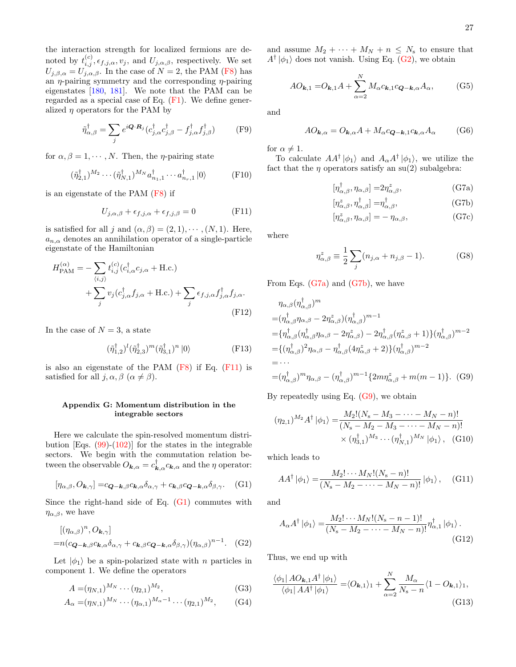the interaction strength for localized fermions are denoted by  $t_{i,j}^{(c)}, \epsilon_{f,j,\alpha}, v_j$ , and  $U_{j,\alpha,\beta}$ , respectively. We set  $U_{j,\beta,\alpha} = U_{j,\alpha,\beta}$ . In the case of  $N = 2$ , the PAM [\(F8\)](#page-25-7) has an  $\eta$ -pairing symmetry and the corresponding  $\eta$ -pairing eigenstates [\[180,](#page-32-5) [181\]](#page-32-6). We note that the PAM can be regarded as a special case of Eq. [\(F1\)](#page-25-3). We define generalized  $\eta$  operators for the PAM by

$$
\tilde{\eta}_{\alpha,\beta}^{\dagger} = \sum_{j} e^{i\mathbf{Q} \cdot \mathbf{R}_{j}} (c_{j,\alpha}^{\dagger} c_{j,\beta}^{\dagger} - f_{j,\alpha}^{\dagger} f_{j,\beta}^{\dagger})
$$
 (F9)

for  $\alpha, \beta = 1, \dots, N$ . Then, the *η*-pairing state

$$
(\tilde{\eta}_{2,1}^{\dagger})^{M_2} \cdots (\tilde{\eta}_{N,1}^{\dagger})^{M_N} a_{n_1,1}^{\dagger} \cdots a_{n_r,1}^{\dagger} |0\rangle \tag{F10}
$$

is an eigenstate of the PAM [\(F8\)](#page-25-7) if

<span id="page-26-1"></span>
$$
U_{j,\alpha,\beta} + \epsilon_{f,j,\alpha} + \epsilon_{f,j,\beta} = 0
$$
 (F11)

is satisfied for all j and  $(\alpha, \beta) = (2, 1), \cdots, (N, 1)$ . Here,  $a_{n,\alpha}$  denotes an annihilation operator of a single-particle eigenstate of the Hamiltonian

$$
H_{\text{PAM}}^{(\alpha)} = -\sum_{\langle i,j \rangle} t_{i,j}^{(c)} (c_{i,\alpha}^{\dagger} c_{j,\alpha} + \text{H.c.}) + \sum_{j} v_j (c_{j,\alpha}^{\dagger} f_{j,\alpha} + \text{H.c.}) + \sum_{j} \epsilon_{f,j,\alpha} f_{j,\alpha}^{\dagger} f_{j,\alpha}.
$$
\n(F12)

In the case of  $N=3$ , a state

$$
(\tilde{\eta}_{1,2}^{\dagger})^l (\tilde{\eta}_{2,3}^{\dagger})^m (\tilde{\eta}_{3,1}^{\dagger})^n |0\rangle
$$
 (F13)

is also an eigenstate of the PAM  $(F8)$  if Eq.  $(F11)$  is satisfied for all  $j, \alpha, \beta \ (\alpha \neq \beta)$ .

## <span id="page-26-0"></span>Appendix G: Momentum distribution in the integrable sectors

Here we calculate the spin-resolved momentum distribution [Eqs.  $(99)-(102)$  $(99)-(102)$ ] for the states in the integrable sectors. We begin with the commutation relation between the observable  $O_{\mathbf{k},\alpha} = c_{\mathbf{k},\alpha}^{\dagger} c_{\mathbf{k},\alpha}$  and the  $\eta$  operator:

$$
[\eta_{\alpha,\beta}, O_{\mathbf{k},\gamma}] = c_{\mathbf{Q}-\mathbf{k},\beta} c_{\mathbf{k},\alpha} \delta_{\alpha,\gamma} + c_{\mathbf{k},\beta} c_{\mathbf{Q}-\mathbf{k},\alpha} \delta_{\beta,\gamma}.
$$
 (G1)

Since the right-hand side of Eq. [\(G1\)](#page-26-2) commutes with  $\eta_{\alpha,\beta}$ , we have

$$
[(\eta_{\alpha,\beta})^n, O_{\mathbf{k},\gamma}]
$$
  
= $n(c_{\mathbf{Q}-\mathbf{k},\beta}c_{\mathbf{k},\alpha}\delta_{\alpha,\gamma} + c_{\mathbf{k},\beta}c_{\mathbf{Q}-\mathbf{k},\alpha}\delta_{\beta,\gamma})(\eta_{\alpha,\beta})^{n-1}$ . (G2)

Let  $|\phi_1\rangle$  be a spin-polarized state with *n* particles in component 1. We define the operators

$$
A = (\eta_{N,1})^{M_N} \cdots (\eta_{2,1})^{M_2}, \tag{G3}
$$

$$
A_{\alpha} = (\eta_{N,1})^{M_N} \cdots (\eta_{\alpha,1})^{M_{\alpha}-1} \cdots (\eta_{2,1})^{M_2}, \qquad (G4)
$$

and assume  $M_2 + \cdots + M_N + n \leq N_s$  to ensure that  $A^{\dagger}|\phi_1\rangle$  does not vanish. Using Eq. [\(G2\)](#page-26-3), we obtain

$$
AO_{k,1} = O_{k,1}A + \sum_{\alpha=2}^{N} M_{\alpha} c_{k,1} c_{Q-k,\alpha} A_{\alpha},
$$
 (G5)

and

$$
AO_{\mathbf{k},\alpha} = O_{\mathbf{k},\alpha}A + M_{\alpha}c_{\mathbf{Q}-\mathbf{k},1}c_{\mathbf{k},\alpha}A_{\alpha}
$$
 (G6)

for  $\alpha \neq 1$ .

To calculate  $AA^{\dagger}|\phi_1\rangle$  and  $A_{\alpha}A^{\dagger}|\phi_1\rangle$ , we utilize the fact that the  $\eta$  operators satisfy an su(2) subalgebra:

$$
[\eta^{\dagger}_{\alpha,\beta}, \eta_{\alpha,\beta}] = 2\eta^z_{\alpha,\beta},\tag{G7a}
$$

<span id="page-26-5"></span><span id="page-26-4"></span>
$$
[\eta^z_{\alpha,\beta},\eta^{\dagger}_{\alpha,\beta}] = \eta^{\dagger}_{\alpha,\beta},\tag{G7b}
$$

$$
[\eta^z_{\alpha,\beta}, \eta_{\alpha,\beta}] = -\eta_{\alpha,\beta},\tag{G7c}
$$

where

<span id="page-26-6"></span>
$$
\eta_{\alpha,\beta}^z \equiv \frac{1}{2} \sum_j (n_{j,\alpha} + n_{j,\beta} - 1). \tag{G8}
$$

From Eqs. [\(G7a\)](#page-26-4) and [\(G7b\)](#page-26-5), we have

$$
\eta_{\alpha,\beta}(\eta_{\alpha,\beta}^{\dagger})^{m}
$$
\n
$$
= (\eta_{\alpha,\beta}^{\dagger}\eta_{\alpha,\beta} - 2\eta_{\alpha,\beta}^{\dagger})(\eta_{\alpha,\beta}^{\dagger})^{m-1}
$$
\n
$$
= {\eta_{\alpha,\beta}^{\dagger}}(\eta_{\alpha,\beta}^{\dagger}\eta_{\alpha,\beta} - 2\eta_{\alpha,\beta}^{\dagger}) - 2\eta_{\alpha,\beta}^{\dagger}(\eta_{\alpha,\beta}^{z} + 1) {\eta_{\alpha,\beta}^{\dagger}}^{m-2}
$$
\n
$$
= {(\eta_{\alpha,\beta}^{\dagger})}^{2}\eta_{\alpha,\beta} - \eta_{\alpha,\beta}^{\dagger} (4\eta_{\alpha,\beta}^{z} + 2) {\eta_{\alpha,\beta}^{\dagger}}^{m-2}
$$
\n
$$
= \cdots
$$
\n
$$
= (\eta_{\alpha,\beta}^{\dagger})^{m} \eta_{\alpha,\beta} - (\eta_{\alpha,\beta}^{\dagger})^{m-1} {2m\eta_{\alpha,\beta}^{z} + m(m-1)}. (G9)
$$

By repeatedly using Eq. [\(G9\)](#page-26-6), we obtain

$$
(\eta_{2,1})^{M_2} A^{\dagger} |\phi_1\rangle = \frac{M_2! (N_s - M_3 - \dots - M_N - n)!}{(N_s - M_2 - M_3 - \dots - M_N - n)!} \times (\eta_{3,1}^{\dagger})^{M_3} \cdots (\eta_{N,1}^{\dagger})^{M_N} |\phi_1\rangle, \quad (G10)
$$

<span id="page-26-2"></span>which leads to

$$
AA^{\dagger} |\phi_1\rangle = \frac{M_2! \cdots M_N! (N_{\rm s} - n)!}{(N_{\rm s} - M_2 - \cdots - M_N - n)!} |\phi_1\rangle , \quad \text{(G11)}
$$

and

$$
A_{\alpha}A^{\dagger}|\phi_{1}\rangle = \frac{M_{2}!\cdots M_{N}!(N_{\rm s}-n-1)!}{(N_{\rm s}-M_{2}-\cdots-M_{N}-n)!}\eta_{\alpha,1}^{\dagger}|\phi_{1}\rangle.
$$
\n(G12)

<span id="page-26-3"></span>Thus, we end up with

<span id="page-26-7"></span>
$$
\frac{\langle \phi_1 | A O_{\mathbf{k},1} A^\dagger | \phi_1 \rangle}{\langle \phi_1 | A A^\dagger | \phi_1 \rangle} = \langle O_{\mathbf{k},1} \rangle_1 + \sum_{\alpha=2}^N \frac{M_\alpha}{N_s - n} \langle 1 - O_{\mathbf{k},1} \rangle_1,
$$
\n(G13)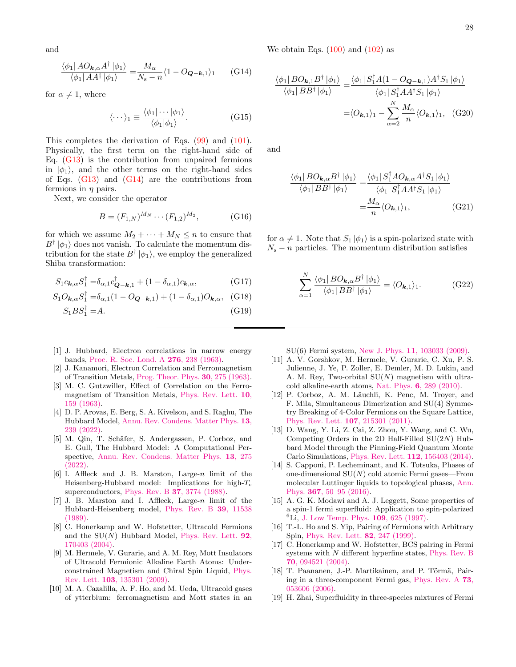and

$$
\frac{\langle \phi_1 | A O_{\mathbf{k},\alpha} A^\dagger | \phi_1 \rangle}{\langle \phi_1 | A A^\dagger | \phi_1 \rangle} = \frac{M_\alpha}{N_\mathrm{s} - n} \langle 1 - O_{\mathbf{Q} - \mathbf{k},1} \rangle_1 \qquad \text{(G14)}
$$

for  $\alpha \neq 1$ , where

$$
\langle \cdots \rangle_1 \equiv \frac{\langle \phi_1 | \cdots | \phi_1 \rangle}{\langle \phi_1 | \phi_1 \rangle}.
$$
 (G15)

This completes the derivation of Eqs. [\(99\)](#page-14-4) and [\(101\)](#page-14-6). Physically, the first term on the right-hand side of Eq.  $(G13)$  is the contribution from unpaired fermions in  $|\phi_1\rangle$ , and the other terms on the right-hand sides of Eqs.  $(G13)$  and  $(G14)$  are the contributions from fermions in  $\eta$  pairs.

Next, we consider the operator

$$
B = (F_{1,N})^{M_N} \cdots (F_{1,2})^{M_2}, \qquad (G16)
$$

for which we assume  $M_2 + \cdots + M_N \leq n$  to ensure that  $B^{\dagger}|\phi_1\rangle$  does not vanish. To calculate the momentum distribution for the state  $B^{\dagger} | \phi_1 \rangle$ , we employ the generalized Shiba transformation:

$$
S_1 c_{\mathbf{k},\alpha} S_1^{\dagger} = \delta_{\alpha,1} c_{\mathbf{Q}-\mathbf{k},1}^{\dagger} + (1 - \delta_{\alpha,1}) c_{\mathbf{k},\alpha}, \tag{G17}
$$

$$
S_1 O_{\mathbf{k},\alpha} S_1^{\dagger} = \delta_{\alpha,1} (1 - O_{\mathbf{Q} - \mathbf{k},1}) + (1 - \delta_{\alpha,1}) O_{\mathbf{k},\alpha}, \quad \text{(G18)}
$$

$$
S_1 B S_1^\dagger = A. \tag{G19}
$$

- <span id="page-27-0"></span>[1] J. Hubbard, Electron correlations in narrow energy bands, [Proc. R. Soc. Lond. A](https://doi.org/http://doi.org/10.1098/rspa.1963.0204) 276, 238 (1963).
- [2] J. Kanamori, Electron Correlation and Ferromagnetism of Transition Metals, [Prog. Theor. Phys.](https://doi.org/10.1143/PTP.30.275) 30, 275 (1963).
- <span id="page-27-1"></span>[3] M. C. Gutzwiller, Effect of Correlation on the Ferromagnetism of Transition Metals, [Phys. Rev. Lett.](https://doi.org/10.1103/PhysRevLett.10.159) 10, [159 \(1963\).](https://doi.org/10.1103/PhysRevLett.10.159)
- <span id="page-27-2"></span>[4] D. P. Arovas, E. Berg, S. A. Kivelson, and S. Raghu, The Hubbard Model, [Annu. Rev. Condens. Matter Phys.](https://doi.org/10.1146/annurev-conmatphys-031620-102024) 13, [239 \(2022\).](https://doi.org/10.1146/annurev-conmatphys-031620-102024)
- <span id="page-27-3"></span>[5] M. Qin, T. Schäfer, S. Andergassen, P. Corboz, and E. Gull, The Hubbard Model: A Computational Perspective, [Annu. Rev. Condens. Matter Phys.](https://doi.org/10.1146/annurev-conmatphys-090921-033948) 13, 275 [\(2022\).](https://doi.org/10.1146/annurev-conmatphys-090921-033948)
- <span id="page-27-4"></span>[6] I. Affleck and J. B. Marston, Large-n limit of the Heisenberg-Hubbard model: Implications for high- $T_c$ superconductors, Phys. Rev. B 37[, 3774 \(1988\).](https://doi.org/10.1103/PhysRevB.37.3774)
- <span id="page-27-5"></span>[7] J. B. Marston and I. Affleck, Large-n limit of the Hubbard-Heisenberg model, [Phys. Rev. B](https://doi.org/10.1103/PhysRevB.39.11538) 39, 11538 [\(1989\).](https://doi.org/10.1103/PhysRevB.39.11538)
- <span id="page-27-6"></span>[8] C. Honerkamp and W. Hofstetter, Ultracold Fermions and the  $SU(N)$  Hubbard Model, [Phys. Rev. Lett.](https://doi.org/10.1103/PhysRevLett.92.170403) **92**, [170403 \(2004\).](https://doi.org/10.1103/PhysRevLett.92.170403)
- [9] M. Hermele, V. Gurarie, and A. M. Rey, Mott Insulators of Ultracold Fermionic Alkaline Earth Atoms: Underconstrained Magnetism and Chiral Spin Liquid, [Phys.](https://doi.org/10.1103/PhysRevLett.103.135301) Rev. Lett. 103[, 135301 \(2009\).](https://doi.org/10.1103/PhysRevLett.103.135301)
- [10] M. A. Cazalilla, A. F. Ho, and M. Ueda, Ultracold gases of ytterbium: ferromagnetism and Mott states in an

<span id="page-27-11"></span>We obtain Eqs.  $(100)$  and  $(102)$  as

$$
\frac{\langle \phi_1 | BO_{\mathbf{k},1} B^\dagger | \phi_1 \rangle}{\langle \phi_1 | BB^\dagger | \phi_1 \rangle} = \frac{\langle \phi_1 | S_1^\dagger A (1 - O_{\mathbf{Q} - \mathbf{k},1}) A^\dagger S_1 | \phi_1 \rangle}{\langle \phi_1 | S_1^\dagger A A^\dagger S_1 | \phi_1 \rangle}
$$

$$
= \langle O_{\mathbf{k},1} \rangle_1 - \sum_{\alpha=2}^N \frac{M_\alpha}{n} \langle O_{\mathbf{k},1} \rangle_1, \quad \text{(G20)}
$$

and

$$
\frac{\langle \phi_1 | BO_{\mathbf{k},\alpha} B^\dagger | \phi_1 \rangle}{\langle \phi_1 | BB^\dagger | \phi_1 \rangle} = \frac{\langle \phi_1 | S_1^\dagger AO_{\mathbf{k},\alpha} A^\dagger S_1 | \phi_1 \rangle}{\langle \phi_1 | S_1^\dagger AA^\dagger S_1 | \phi_1 \rangle}
$$

$$
= \frac{M_\alpha}{n} \langle O_{\mathbf{k},1} \rangle_1, \tag{G21}
$$

for  $\alpha \neq 1$ . Note that  $S_1 | \phi_1 \rangle$  is a spin-polarized state with  $N_s - n$  particles. The momentum distribution satisfies

$$
\sum_{\alpha=1}^{N} \frac{\langle \phi_1 | BO_{\mathbf{k},\alpha} B^{\dagger} | \phi_1 \rangle}{\langle \phi_1 | BB^{\dagger} | \phi_1 \rangle} = \langle O_{\mathbf{k},1} \rangle_1.
$$
 (G22)

SU(6) Fermi system, New J. Phys. 11[, 103033 \(2009\).](https://doi.org/10.1088/1367-2630/11/10/103033)

- <span id="page-27-9"></span>[11] A. V. Gorshkov, M. Hermele, V. Gurarie, C. Xu, P. S. Julienne, J. Ye, P. Zoller, E. Demler, M. D. Lukin, and A. M. Rey, Two-orbital  $SU(N)$  magnetism with ultracold alkaline-earth atoms, Nat. Phys. 6[, 289 \(2010\).](https://doi.org/https://doi.org/10.1038/nphys1535)
- [12] P. Corboz, A. M. Läuchli, K. Penc, M. Troyer, and F. Mila, Simultaneous Dimerization and SU(4) Symmetry Breaking of 4-Color Fermions on the Square Lattice, [Phys. Rev. Lett.](https://doi.org/10.1103/PhysRevLett.107.215301) 107, 215301 (2011).
- [13] D. Wang, Y. Li, Z. Cai, Z. Zhou, Y. Wang, and C. Wu, Competing Orders in the 2D Half-Filled  $SU(2N)$  Hubbard Model through the Pinning-Field Quantum Monte Carlo Simulations, [Phys. Rev. Lett.](https://doi.org/10.1103/PhysRevLett.112.156403) 112, 156403 (2014).
- <span id="page-27-7"></span>[14] S. Capponi, P. Lecheminant, and K. Totsuka, Phases of one-dimensional SU(N) cold atomic Fermi gases—From molecular Luttinger liquids to topological phases, [Ann.](https://doi.org/10.1016/j.aop.2016.01.011) Phys. 367[, 50–95 \(2016\).](https://doi.org/10.1016/j.aop.2016.01.011)
- <span id="page-27-8"></span>[15] A. G. K. Modawi and A. J. Leggett, Some properties of a spin-1 fermi superfluid: Application to spin-polarized  ${}^{6}$ Li, [J. Low Temp. Phys.](https://doi.org/10.1007/BF02396913) 109, 625 (1997).
- [16] T.-L. Ho and S. Yip, Pairing of Fermions with Arbitrary Spin, [Phys. Rev. Lett.](https://doi.org/10.1103/PhysRevLett.82.247) 82, 247 (1999).
- <span id="page-27-10"></span>[17] C. Honerkamp and W. Hofstetter, BCS pairing in Fermi systems with N different hyperfine states, [Phys. Rev. B](https://doi.org/10.1103/PhysRevB.70.094521) 70[, 094521 \(2004\).](https://doi.org/10.1103/PhysRevB.70.094521)
- [18] T. Paananen, J.-P. Martikainen, and P. Törmä, Pairing in a three-component Fermi gas, [Phys. Rev. A](https://doi.org/10.1103/PhysRevA.73.053606) 73, [053606 \(2006\).](https://doi.org/10.1103/PhysRevA.73.053606)
- [19] H. Zhai, Superfluidity in three-species mixtures of Fermi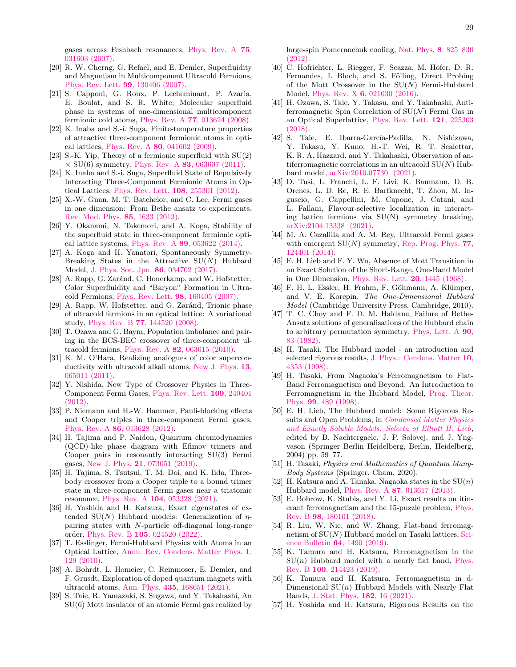gases across Feshbach resonances, [Phys. Rev. A](https://doi.org/10.1103/PhysRevA.75.031603) 75, [031603 \(2007\).](https://doi.org/10.1103/PhysRevA.75.031603)

- <span id="page-28-15"></span>[20] R. W. Cherng, G. Refael, and E. Demler, Superfluidity and Magnetism in Multicomponent Ultracold Fermions, [Phys. Rev. Lett.](https://doi.org/10.1103/PhysRevLett.99.130406) 99, 130406 (2007).
- [21] S. Capponi, G. Roux, P. Lecheminant, P. Azaria, E. Boulat, and S. R. White, Molecular superfluid phase in systems of one-dimensional multicomponent fermionic cold atoms, Phys. Rev. A 77[, 013624 \(2008\).](https://doi.org/10.1103/PhysRevA.77.013624)
- <span id="page-28-16"></span>[22] K. Inaba and S.-i. Suga, Finite-temperature properties of attractive three-component fermionic atoms in optical lattices, Phys. Rev. A 80[, 041602 \(2009\).](https://doi.org/10.1103/PhysRevA.80.041602)
- [23] S.-K. Yip, Theory of a fermionic superfluid with SU(2)  $\times$  SU(6) symmetry, Phys. Rev. A 83[, 063607 \(2011\).](https://doi.org/10.1103/PhysRevA.83.063607)
- [24] K. Inaba and S.-i. Suga, Superfluid State of Repulsively Interacting Three-Component Fermionic Atoms in Optical Lattices, [Phys. Rev. Lett.](https://doi.org/10.1103/PhysRevLett.108.255301) 108, 255301 (2012).
- [25] X.-W. Guan, M. T. Batchelor, and C. Lee, Fermi gases in one dimension: From Bethe ansatz to experiments, [Rev. Mod. Phys.](https://doi.org/10.1103/RevModPhys.85.1633) 85, 1633 (2013).
- [26] Y. Okanami, N. Takemori, and A. Koga, Stability of the superfluid state in three-component fermionic optical lattice systems, Phys. Rev. A 89[, 053622 \(2014\).](https://doi.org/10.1103/PhysRevA.89.053622)
- <span id="page-28-17"></span>[27] A. Koga and H. Yanatori, Spontaneously Symmetry-Breaking States in the Attractive  $SU(N)$  Hubbard Model, [J. Phys. Soc. Jpn.](https://doi.org/10.7566/JPSJ.86.034702) 86, 034702 (2017).
- [28] A. Rapp, G. Zaránd, C. Honerkamp, and W. Hofstetter, Color Superfluidity and "Baryon" Formation in Ultracold Fermions, [Phys. Rev. Lett.](https://doi.org/10.1103/PhysRevLett.98.160405) 98, 160405 (2007).
- [29] A. Rapp, W. Hofstetter, and G. Zaránd, Trionic phase of ultracold fermions in an optical lattice: A variational study, Phys. Rev. B 77[, 144520 \(2008\).](https://doi.org/10.1103/PhysRevB.77.144520)
- [30] T. Ozawa and G. Baym, Population imbalance and pairing in the BCS-BEC crossover of three-component ultracold fermions, Phys. Rev. A 82[, 063615 \(2010\).](https://doi.org/10.1103/PhysRevA.82.063615)
- [31] K. M. O'Hara, Realizing analogues of color superconductivity with ultracold alkali atoms, [New J. Phys.](https://doi.org/10.1088/1367-2630/13/6/065011) 13, [065011 \(2011\).](https://doi.org/10.1088/1367-2630/13/6/065011)
- [32] Y. Nishida, New Type of Crossover Physics in Three-Component Fermi Gases, [Phys. Rev. Lett.](https://doi.org/10.1103/PhysRevLett.109.240401) 109, 240401 [\(2012\).](https://doi.org/10.1103/PhysRevLett.109.240401)
- [33] P. Niemann and H.-W. Hammer, Pauli-blocking effects and Cooper triples in three-component Fermi gases, Phys. Rev. A 86[, 013628 \(2012\).](https://doi.org/10.1103/PhysRevA.86.013628)
- [34] H. Tajima and P. Naidon, Quantum chromodynamics (QCD)-like phase diagram with Efimov trimers and Cooper pairs in resonantly interacting SU(3) Fermi gases, New J. Phys. 21[, 073051 \(2019\).](https://doi.org/10.1088/1367-2630/ab306b)
- [35] H. Tajima, S. Tsutsui, T. M. Doi, and K. Iida, Threebody crossover from a Cooper triple to a bound trimer state in three-component Fermi gases near a triatomic resonance, Phys. Rev. A 104[, 053328 \(2021\).](https://doi.org/10.1103/PhysRevA.104.053328)
- <span id="page-28-0"></span>[36] H. Yoshida and H. Katsura, Exact eigenstates of extended SU(N) Hubbard models: Generalization of  $\eta$ pairing states with N-particle off-diagonal long-range order, Phys. Rev. B 105[, 024520 \(2022\).](https://doi.org/10.1103/PhysRevB.105.024520)
- <span id="page-28-1"></span>[37] T. Esslinger, Fermi-Hubbard Physics with Atoms in an Optical Lattice, [Annu. Rev. Condens. Matter Phys.](https://doi.org/10.1146/annurev-conmatphys-070909-104059) 1, [129 \(2010\).](https://doi.org/10.1146/annurev-conmatphys-070909-104059)
- <span id="page-28-2"></span>[38] A. Bohrdt, L. Homeier, C. Reinmoser, E. Demler, and F. Grusdt, Exploration of doped quantum magnets with ultracold atoms, Ann. Phys. 435[, 168651 \(2021\).](https://doi.org/https://doi.org/10.1016/j.aop.2021.168651)
- <span id="page-28-3"></span>[39] S. Taie, R. Yamazaki, S. Sugawa, and Y. Takahashi, An SU(6) Mott insulator of an atomic Fermi gas realized by

large-spin Pomeranchuk cooling, [Nat. Phys.](https://doi.org/10.1038/nphys2430) 8, 825–830 [\(2012\).](https://doi.org/10.1038/nphys2430)

- [40] C. Hofrichter, L. Riegger, F. Scazza, M. Höfer, D. R. Fernandes, I. Bloch, and S. Fölling, Direct Probing of the Mott Crossover in the  $SU(N)$  Fermi-Hubbard Model, Phys. Rev. X 6[, 021030 \(2016\).](https://doi.org/10.1103/PhysRevX.6.021030)
- [41] H. Ozawa, S. Taie, Y. Takasu, and Y. Takahashi, Antiferromagnetic Spin Correlation of  $SU(N)$  Fermi Gas in an Optical Superlattice, [Phys. Rev. Lett.](https://doi.org/10.1103/PhysRevLett.121.225303) 121, 225303 [\(2018\).](https://doi.org/10.1103/PhysRevLett.121.225303)
- [42] S. Taie, E. Ibarra-García-Padilla, N. Nishizawa, Y. Takasu, Y. Kuno, H.-T. Wei, R. T. Scalettar, K. R. A. Hazzard, and Y. Takahashi, Observation of antiferromagnetic correlations in an ultracold  $SU(N)$  Hubbard model, [arXiv:2010.07730 \(2021\).](https://arxiv.org/abs/2010.07730)
- <span id="page-28-4"></span>[43] D. Tusi, L. Franchi, L. F. Livi, K. Baumann, D. B. Orenes, L. D. Re, R. E. Barfknecht, T. Zhou, M. Inguscio, G. Cappellini, M. Capone, J. Catani, and L. Fallani, Flavour-selective localization in interacting lattice fermions via SU(N) symmetry breaking, [arXiv:2104.13338 \(2021\).](https://arxiv.org/abs/2104.13338)
- <span id="page-28-5"></span>[44] M. A. Cazalilla and A. M. Rey, Ultracold Fermi gases with emergent  $SU(N)$  symmetry, [Rep. Prog. Phys.](https://doi.org/10.1088/0034-4885/77/12/124401) 77, [124401 \(2014\).](https://doi.org/10.1088/0034-4885/77/12/124401)
- <span id="page-28-6"></span>[45] E. H. Lieb and F. Y. Wu, Absence of Mott Transition in an Exact Solution of the Short-Range, One-Band Model in One Dimension, [Phys. Rev. Lett.](https://doi.org/10.1103/PhysRevLett.20.1445) 20, 1445 (1968).
- <span id="page-28-7"></span>[46] F. H. L. Essler, H. Frahm, F. Göhmann, A. Klümper, and V. E. Korepin, The One-Dimensional Hubbard Model (Cambridge University Press, Cambridge, 2010).
- <span id="page-28-8"></span>[47] T. C. Choy and F. D. M. Haldane, Failure of Bethe-Ansatz solutions of generalisations of the Hubbard chain to arbitrary permutation symmetry, [Phys. Lett. A](https://doi.org/https://doi.org/10.1016/0375-9601(82)90057-3) 90, [83 \(1982\).](https://doi.org/https://doi.org/10.1016/0375-9601(82)90057-3)
- <span id="page-28-9"></span>[48] H. Tasaki, The Hubbard model - an introduction and selected rigorous results, [J. Phys.: Condens. Matter](https://doi.org/10.1088/0953-8984/10/20/004) 10, [4353 \(1998\).](https://doi.org/10.1088/0953-8984/10/20/004)
- [49] H. Tasaki, From Nagaoka's Ferromagnetism to Flat-Band Ferromagnetism and Beyond: An Introduction to Ferromagnetism in the Hubbard Model, [Prog. Theor.](https://doi.org/10.1143/PTP.99.489) Phys. 99[, 489 \(1998\).](https://doi.org/10.1143/PTP.99.489)
- [50] E. H. Lieb, The Hubbard model: Some Rigorous Results and Open Problems, in [Condensed Matter Physics](https://doi.org/10.1007/978-3-662-06390-3_4) [and Exactly Soluble Models: Selecta of Elliott H. Lieb](https://doi.org/10.1007/978-3-662-06390-3_4), edited by B. Nachtergaele, J. P. Solovej, and J. Yngvason (Springer Berlin Heidelberg, Berlin, Heidelberg, 2004) pp. 59–77.
- <span id="page-28-10"></span>[51] H. Tasaki, Physics and Mathematics of Quantum Many-Body Systems (Springer, Cham, 2020).
- <span id="page-28-11"></span>[52] H. Katsura and A. Tanaka, Nagaoka states in the  $SU(n)$ Hubbard model, Phys. Rev. A 87[, 013617 \(2013\).](https://doi.org/10.1103/PhysRevA.87.013617)
- [53] E. Bobrow, K. Stubis, and Y. Li, Exact results on itinerant ferromagnetism and the 15-puzzle problem, [Phys.](https://doi.org/10.1103/PhysRevB.98.180101) Rev. B 98[, 180101 \(2018\).](https://doi.org/10.1103/PhysRevB.98.180101)
- [54] R. Liu, W. Nie, and W. Zhang, Flat-band ferromagnetism of  $SU(N)$  Hubbard model on Tasaki lattices, [Sci](https://doi.org/https://doi.org/10.1016/j.scib.2019.08.013)ence Bulletin 64[, 1490 \(2019\).](https://doi.org/https://doi.org/10.1016/j.scib.2019.08.013)
- <span id="page-28-13"></span>[55] K. Tamura and H. Katsura, Ferromagnetism in the  $SU(n)$  Hubbard model with a nearly flat band, [Phys.](https://doi.org/10.1103/PhysRevB.100.214423) Rev. B 100[, 214423 \(2019\).](https://doi.org/10.1103/PhysRevB.100.214423)
- <span id="page-28-14"></span>[56] K. Tamura and H. Katsura, Ferromagnetism in d-Dimensional  $SU(n)$  Hubbard Models with Nearly Flat Bands, [J. Stat. Phys.](https://doi.org/10.1007/s10955-020-02687-w) 182, 16 (2021).
- <span id="page-28-12"></span>[57] H. Yoshida and H. Katsura, Rigorous Results on the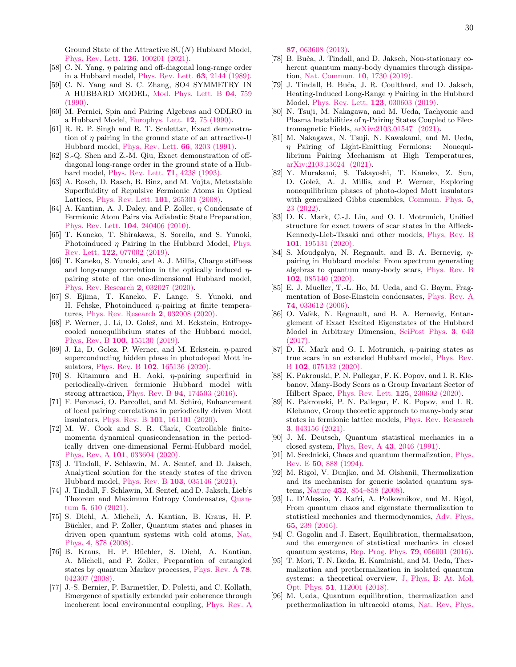Ground State of the Attractive  $SU(N)$  Hubbard Model, [Phys. Rev. Lett.](https://doi.org/10.1103/PhysRevLett.126.100201) 126, 100201 (2021).

- <span id="page-29-0"></span>[58] C. N. Yang,  $\eta$  pairing and off-diagonal long-range order in a Hubbard model, [Phys. Rev. Lett.](https://doi.org/10.1103/PhysRevLett.63.2144) 63, 2144 (1989).
- <span id="page-29-1"></span>[59] C. N. Yang and S. C. Zhang, SO4 SYMMETRY IN A HUBBARD MODEL, [Mod. Phys. Lett. B](https://doi.org/10.1142/S0217984990000933) 04, 759 [\(1990\).](https://doi.org/10.1142/S0217984990000933)
- <span id="page-29-2"></span>[60] M. Pernici, Spin and Pairing Algebras and ODLRO in a Hubbard Model, [Europhys. Lett.](https://doi.org/10.1209/0295-5075/12/1/014)  $12$ ,  $75$  (1990).
- <span id="page-29-3"></span>[61] R. R. P. Singh and R. T. Scalettar, Exact demonstration of  $\eta$  pairing in the ground state of an attractive-U Hubbard model, [Phys. Rev. Lett.](https://doi.org/10.1103/PhysRevLett.66.3203) 66, 3203 (1991).
- <span id="page-29-4"></span>[62] S.-Q. Shen and Z.-M. Qiu, Exact demonstration of offdiagonal long-range order in the ground state of a Hubbard model, [Phys. Rev. Lett.](https://doi.org/10.1103/PhysRevLett.71.4238) 71, 4238 (1993).
- <span id="page-29-5"></span>[63] A. Rosch, D. Rasch, B. Binz, and M. Vojta, Metastable Superfluidity of Repulsive Fermionic Atoms in Optical Lattices, [Phys. Rev. Lett.](https://doi.org/10.1103/PhysRevLett.101.265301) 101, 265301 (2008).
- [64] A. Kantian, A. J. Daley, and P. Zoller,  $\eta$  Condensate of Fermionic Atom Pairs via Adiabatic State Preparation, [Phys. Rev. Lett.](https://doi.org/10.1103/PhysRevLett.104.240406) 104, 240406 (2010).
- [65] T. Kaneko, T. Shirakawa, S. Sorella, and S. Yunoki, Photoinduced  $\eta$  Pairing in the Hubbard Model, [Phys.](https://doi.org/10.1103/PhysRevLett.122.077002) Rev. Lett. 122[, 077002 \(2019\).](https://doi.org/10.1103/PhysRevLett.122.077002)
- [66] T. Kaneko, S. Yunoki, and A. J. Millis, Charge stiffness and long-range correlation in the optically induced  $\eta$ pairing state of the one-dimensional Hubbard model, [Phys. Rev. Research](https://doi.org/10.1103/PhysRevResearch.2.032027) 2, 032027 (2020).
- [67] S. Ejima, T. Kaneko, F. Lange, S. Yunoki, and H. Fehske, Photoinduced  $\eta$ -pairing at finite temperatures, [Phys. Rev. Research](https://doi.org/10.1103/PhysRevResearch.2.032008) 2, 032008 (2020).
- [68] P. Werner, J. Li, D. Golež, and M. Eckstein, Entropycooled nonequilibrium states of the Hubbard model, Phys. Rev. B 100[, 155130 \(2019\).](https://doi.org/10.1103/PhysRevB.100.155130)
- [69] J. Li, D. Golez, P. Werner, and M. Eckstein, η-paired superconducting hidden phase in photodoped Mott insulators, Phys. Rev. B 102[, 165136 \(2020\).](https://doi.org/10.1103/PhysRevB.102.165136)
- [70] S. Kitamura and H. Aoki,  $\eta$ -pairing superfluid in periodically-driven fermionic Hubbard model with strong attraction, Phys. Rev. B 94[, 174503 \(2016\).](https://doi.org/10.1103/PhysRevB.94.174503)
- [71] F. Peronaci, O. Parcollet, and M. Schiró, Enhancement of local pairing correlations in periodically driven Mott insulators, Phys. Rev. B 101[, 161101 \(2020\).](https://doi.org/10.1103/PhysRevB.101.161101)
- [72] M. W. Cook and S. R. Clark, Controllable finitemomenta dynamical quasicondensation in the periodically driven one-dimensional Fermi-Hubbard model, Phys. Rev. A 101[, 033604 \(2020\).](https://doi.org/10.1103/PhysRevA.101.033604)
- [73] J. Tindall, F. Schlawin, M. A. Sentef, and D. Jaksch, Analytical solution for the steady states of the driven Hubbard model, Phys. Rev. B 103[, 035146 \(2021\).](https://doi.org/10.1103/PhysRevB.103.035146)
- [74] J. Tindall, F. Schlawin, M. Sentef, and D. Jaksch, Lieb's Theorem and Maximum Entropy Condensates, [Quan](https://doi.org/10.22331/q-2021-12-23-610)tum 5[, 610 \(2021\).](https://doi.org/10.22331/q-2021-12-23-610)
- <span id="page-29-20"></span>[75] S. Diehl, A. Micheli, A. Kantian, B. Kraus, H. P. Büchler, and P. Zoller, Quantum states and phases in driven open quantum systems with cold atoms, [Nat.](https://doi.org/10.1038/nphys1073) Phys. 4[, 878 \(2008\).](https://doi.org/10.1038/nphys1073)
- <span id="page-29-21"></span>[76] B. Kraus, H. P. Büchler, S. Diehl, A. Kantian, A. Micheli, and P. Zoller, Preparation of entangled states by quantum Markov processes, [Phys. Rev. A](https://doi.org/10.1103/PhysRevA.78.042307) 78, [042307 \(2008\).](https://doi.org/10.1103/PhysRevA.78.042307)
- [77] J.-S. Bernier, P. Barmettler, D. Poletti, and C. Kollath, Emergence of spatially extended pair coherence through incoherent local environmental coupling, [Phys. Rev. A](https://doi.org/10.1103/PhysRevA.87.063608)

87[, 063608 \(2013\).](https://doi.org/10.1103/PhysRevA.87.063608)

- <span id="page-29-17"></span>[78] B. Buča, J. Tindall, and D. Jaksch, Non-stationary coherent quantum many-body dynamics through dissipation, [Nat. Commun.](https://doi.org/10.1038/s41467-019-09757-y) 10, 1730 (2019).
- <span id="page-29-22"></span>[79] J. Tindall, B. Buča, J. R. Coulthard, and D. Jaksch, Heating-Induced Long-Range  $\eta$  Pairing in the Hubbard Model, [Phys. Rev. Lett.](https://doi.org/10.1103/PhysRevLett.123.030603) 123, 030603 (2019).
- <span id="page-29-23"></span>[80] N. Tsuji, M. Nakagawa, and M. Ueda, Tachyonic and Plasma Instabilities of η-Pairing States Coupled to Electromagnetic Fields, [arXiv:2103.01547 \(2021\).](https://arxiv.org/abs/2103.01547)
- <span id="page-29-19"></span>[81] M. Nakagawa, N. Tsuji, N. Kawakami, and M. Ueda,  $\eta$  Pairing of Light-Emitting Fermions: Nonequilibrium Pairing Mechanism at High Temperatures, [arXiv:2103.13624 \(2021\).](https://arxiv.org/abs/2103.13624)
- <span id="page-29-6"></span>[82] Y. Murakami, S. Takayoshi, T. Kaneko, Z. Sun, D. Golež, A. J. Millis, and P. Werner, Exploring nonequilibrium phases of photo-doped Mott insulators with generalized Gibbs ensembles, [Commun. Phys.](https://doi.org/10.1038/s42005-021-00799-7) 5, [23 \(2022\).](https://doi.org/10.1038/s42005-021-00799-7)
- <span id="page-29-7"></span>[83] D. K. Mark, C.-J. Lin, and O. I. Motrunich, Unified structure for exact towers of scar states in the Affleck-Kennedy-Lieb-Tasaki and other models, [Phys. Rev. B](https://doi.org/10.1103/PhysRevB.101.195131) 101[, 195131 \(2020\).](https://doi.org/10.1103/PhysRevB.101.195131)
- <span id="page-29-8"></span>[84] S. Moudgalya, N. Regnault, and B. A. Bernevig,  $\eta$ pairing in Hubbard models: From spectrum generating algebras to quantum many-body scars, [Phys. Rev. B](https://doi.org/10.1103/PhysRevB.102.085140) 102[, 085140 \(2020\).](https://doi.org/10.1103/PhysRevB.102.085140)
- <span id="page-29-9"></span>[85] E. J. Mueller, T.-L. Ho, M. Ueda, and G. Baym, Fragmentation of Bose-Einstein condensates, [Phys. Rev. A](https://doi.org/10.1103/PhysRevA.74.033612) 74[, 033612 \(2006\).](https://doi.org/10.1103/PhysRevA.74.033612)
- <span id="page-29-10"></span>[86] O. Vafek, N. Regnault, and B. A. Bernevig, Entanglement of Exact Excited Eigenstates of the Hubbard Model in Arbitrary Dimension, [SciPost Phys.](https://doi.org/10.21468/SciPostPhys.3.6.043) 3, 043 [\(2017\).](https://doi.org/10.21468/SciPostPhys.3.6.043)
- <span id="page-29-16"></span>[87] D. K. Mark and O. I. Motrunich,  $\eta$ -pairing states as true scars in an extended Hubbard model, [Phys. Rev.](https://doi.org/10.1103/PhysRevB.102.075132) B 102[, 075132 \(2020\).](https://doi.org/10.1103/PhysRevB.102.075132)
- <span id="page-29-18"></span>[88] K. Pakrouski, P. N. Pallegar, F. K. Popov, and I. R. Klebanov, Many-Body Scars as a Group Invariant Sector of Hilbert Space, [Phys. Rev. Lett.](https://doi.org/10.1103/PhysRevLett.125.230602) 125, 230602 (2020).
- <span id="page-29-11"></span>[89] K. Pakrouski, P. N. Pallegar, F. K. Popov, and I. R. Klebanov, Group theoretic approach to many-body scar states in fermionic lattice models, [Phys. Rev. Research](https://doi.org/10.1103/PhysRevResearch.3.043156) 3[, 043156 \(2021\).](https://doi.org/10.1103/PhysRevResearch.3.043156)
- <span id="page-29-12"></span>[90] J. M. Deutsch, Quantum statistical mechanics in a closed system, [Phys. Rev. A](https://doi.org/10.1103/PhysRevA.43.2046) 43, 2046 (1991).
- [91] M. Srednicki, Chaos and quantum thermalization, [Phys.](https://doi.org/10.1103/PhysRevE.50.888) Rev. E 50[, 888 \(1994\).](https://doi.org/10.1103/PhysRevE.50.888)
- <span id="page-29-13"></span>[92] M. Rigol, V. Dunjko, and M. Olshanii, Thermalization and its mechanism for generic isolated quantum systems, Nature 452[, 854–858 \(2008\).](https://doi.org/10.1038/nature06838)
- <span id="page-29-14"></span>[93] L. D'Alessio, Y. Kafri, A. Polkovnikov, and M. Rigol, From quantum chaos and eigenstate thermalization to statistical mechanics and thermodynamics, [Adv. Phys.](https://doi.org/10.1080/00018732.2016.1198134) 65[, 239 \(2016\).](https://doi.org/10.1080/00018732.2016.1198134)
- [94] C. Gogolin and J. Eisert, Equilibration, thermalisation, and the emergence of statistical mechanics in closed quantum systems, [Rep. Prog. Phys.](https://doi.org/10.1088/0034-4885/79/5/056001) 79, 056001 (2016).
- [95] T. Mori, T. N. Ikeda, E. Kaminishi, and M. Ueda, Thermalization and prethermalization in isolated quantum systems: a theoretical overview, [J. Phys. B: At. Mol.](https://doi.org/10.1088/1361-6455/aabcdf) Opt. Phys. 51[, 112001 \(2018\).](https://doi.org/10.1088/1361-6455/aabcdf)
- <span id="page-29-15"></span>[96] M. Ueda, Quantum equilibration, thermalization and prethermalization in ultracold atoms, [Nat. Rev. Phys.](https://doi.org/10.1038/s42254-020-0237-x)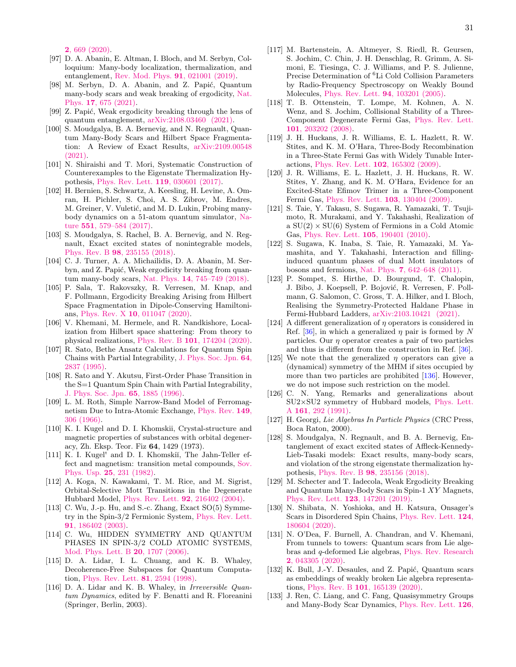2[, 669 \(2020\).](https://doi.org/10.1038/s42254-020-0237-x)

- <span id="page-30-0"></span>[97] D. A. Abanin, E. Altman, I. Bloch, and M. Serbyn, Colloquium: Many-body localization, thermalization, and entanglement, [Rev. Mod. Phys.](https://doi.org/10.1103/RevModPhys.91.021001) 91, 021001 (2019).
- <span id="page-30-2"></span>[98] M. Serbyn, D. A. Abanin, and Z. Papić, Quantum many-body scars and weak breaking of ergodicity, [Nat.](https://doi.org/10.1038/s41567-021-01230-2) Phys. 17[, 675 \(2021\).](https://doi.org/10.1038/s41567-021-01230-2)
- [99] Z. Papić, Weak ergodicity breaking through the lens of quantum entanglement, [arXiv:2108.03460 \(2021\).](https://arxiv.org/abs/2108.03460)
- <span id="page-30-1"></span>[100] S. Moudgalya, B. A. Bernevig, and N. Regnault, Quantum Many-Body Scars and Hilbert Space Fragmentation: A Review of Exact Results, [arXiv:2109.00548](https://arxiv.org/abs/2109.00548) [\(2021\).](https://arxiv.org/abs/2109.00548)
- [101] N. Shiraishi and T. Mori, Systematic Construction of Counterexamples to the Eigenstate Thermalization Hypothesis, [Phys. Rev. Lett.](https://doi.org/10.1103/PhysRevLett.119.030601) 119, 030601 (2017).
- [102] H. Bernien, S. Schwartz, A. Keesling, H. Levine, A. Omran, H. Pichler, S. Choi, A. S. Zibrov, M. Endres, M. Greiner, V. Vuletić, and M. D. Lukin, Probing manybody dynamics on a 51-atom quantum simulator, [Na](https://doi.org/10.1038/nature24622)ture 551[, 579–584 \(2017\).](https://doi.org/10.1038/nature24622)
- <span id="page-30-19"></span>[103] S. Moudgalya, S. Rachel, B. A. Bernevig, and N. Regnault, Exact excited states of nonintegrable models, Phys. Rev. B 98[, 235155 \(2018\).](https://doi.org/10.1103/PhysRevB.98.235155)
- [104] C. J. Turner, A. A. Michailidis, D. A. Abanin, M. Serbyn, and Z. Papić, Weak ergodicity breaking from quantum many-body scars, Nat. Phys. 14[, 745–749 \(2018\).](https://doi.org/10.1038/s41567-018-0137-5)
- [105] P. Sala, T. Rakovszky, R. Verresen, M. Knap, and F. Pollmann, Ergodicity Breaking Arising from Hilbert Space Fragmentation in Dipole-Conserving Hamiltonians, Phys. Rev. X 10[, 011047 \(2020\).](https://doi.org/10.1103/PhysRevX.10.011047)
- <span id="page-30-3"></span>[106] V. Khemani, M. Hermele, and R. Nandkishore, Localization from Hilbert space shattering: From theory to physical realizations, Phys. Rev. B 101[, 174204 \(2020\).](https://doi.org/10.1103/PhysRevB.101.174204)
- <span id="page-30-4"></span>[107] R. Sato, Bethe Ansatz Calculations for Quantum Spin Chains with Partial Integrability, [J. Phys. Soc. Jpn.](https://doi.org/10.1143/JPSJ.64.2837) 64, [2837 \(1995\).](https://doi.org/10.1143/JPSJ.64.2837)
- <span id="page-30-5"></span>[108] R. Sato and Y. Akutsu, First-Order Phase Transition in the S=1 Quantum Spin Chain with Partial Integrability, [J. Phys. Soc. Jpn.](https://doi.org/10.1143/JPSJ.65.1885) 65, 1885 (1996).
- <span id="page-30-6"></span>[109] L. M. Roth, Simple Narrow-Band Model of Ferromagnetism Due to Intra-Atomic Exchange, [Phys. Rev.](https://doi.org/10.1103/PhysRev.149.306) 149, [306 \(1966\).](https://doi.org/10.1103/PhysRev.149.306)
- [110] K. I. Kugel and D. I. Khomskii, Crystal-structure and magnetic properties of substances with orbital degeneracy, Zh. Eksp. Teor. Fiz 64, 1429 (1973).
- [111] K. I. Kugel' and D. I. Khomskiı̆, The Jahn-Teller effect and magnetism: transition metal compounds, [Sov.](https://doi.org/10.1070/pu1982v025n04abeh004537) Phys. Usp. 25[, 231 \(1982\).](https://doi.org/10.1070/pu1982v025n04abeh004537)
- <span id="page-30-23"></span>[112] A. Koga, N. Kawakami, T. M. Rice, and M. Sigrist, Orbital-Selective Mott Transitions in the Degenerate Hubbard Model, [Phys. Rev. Lett.](https://doi.org/10.1103/PhysRevLett.92.216402) 92, 216402 (2004).
- <span id="page-30-24"></span>[113] C. Wu, J.-p. Hu, and S.-c. Zhang, Exact SO(5) Symmetry in the Spin-3/2 Fermionic System, [Phys. Rev. Lett.](https://doi.org/10.1103/PhysRevLett.91.186402) 91[, 186402 \(2003\).](https://doi.org/10.1103/PhysRevLett.91.186402)
- <span id="page-30-7"></span>[114] C. Wu, HIDDEN SYMMETRY AND QUANTUM PHASES IN SPIN-3/2 COLD ATOMIC SYSTEMS, [Mod. Phys. Lett. B](https://doi.org/10.1142/S0217984906012213) 20, 1707 (2006).
- <span id="page-30-8"></span>[115] D. A. Lidar, I. L. Chuang, and K. B. Whaley, Decoherence-Free Subspaces for Quantum Computation, [Phys. Rev. Lett.](https://doi.org/10.1103/PhysRevLett.81.2594) 81, 2594 (1998).
- <span id="page-30-9"></span>[116] D. A. Lidar and K. B. Whaley, in Irreversible Quantum Dynamics, edited by F. Benatti and R. Floreanini (Springer, Berlin, 2003).
- <span id="page-30-10"></span>[117] M. Bartenstein, A. Altmeyer, S. Riedl, R. Geursen, S. Jochim, C. Chin, J. H. Denschlag, R. Grimm, A. Simoni, E. Tiesinga, C. J. Williams, and P. S. Julienne, Precise Determination of <sup>6</sup>Li Cold Collision Parameters by Radio-Frequency Spectroscopy on Weakly Bound Molecules, [Phys. Rev. Lett.](https://doi.org/10.1103/PhysRevLett.94.103201) 94, 103201 (2005).
- [118] T. B. Ottenstein, T. Lompe, M. Kohnen, A. N. Wenz, and S. Jochim, Collisional Stability of a Three-Component Degenerate Fermi Gas, [Phys. Rev. Lett.](https://doi.org/10.1103/PhysRevLett.101.203202) 101[, 203202 \(2008\).](https://doi.org/10.1103/PhysRevLett.101.203202)
- [119] J. H. Huckans, J. R. Williams, E. L. Hazlett, R. W. Stites, and K. M. O'Hara, Three-Body Recombination in a Three-State Fermi Gas with Widely Tunable Interactions, [Phys. Rev. Lett.](https://doi.org/10.1103/PhysRevLett.102.165302) 102, 165302 (2009).
- <span id="page-30-11"></span>[120] J. R. Williams, E. L. Hazlett, J. H. Huckans, R. W. Stites, Y. Zhang, and K. M. O'Hara, Evidence for an Excited-State Efimov Trimer in a Three-Component Fermi Gas, [Phys. Rev. Lett.](https://doi.org/10.1103/PhysRevLett.103.130404) 103, 130404 (2009).
- <span id="page-30-12"></span>[121] S. Taie, Y. Takasu, S. Sugawa, R. Yamazaki, T. Tsujimoto, R. Murakami, and Y. Takahashi, Realization of a  $SU(2) \times SU(6)$  System of Fermions in a Cold Atomic Gas, [Phys. Rev. Lett.](https://doi.org/10.1103/PhysRevLett.105.190401) 105, 190401 (2010).
- <span id="page-30-13"></span>[122] S. Sugawa, K. Inaba, S. Taie, R. Yamazaki, M. Yamashita, and Y. Takahashi, Interaction and fillinginduced quantum phases of dual Mott insulators of bosons and fermions, Nat. Phys. 7[, 642–648 \(2011\).](https://doi.org/10.1038/nphys2028)
- <span id="page-30-14"></span>[123] P. Sompet, S. Hirthe, D. Bourgund, T. Chalopin, J. Bibo, J. Koepsell, P. Bojović, R. Verresen, F. Pollmann, G. Salomon, C. Gross, T. A. Hilker, and I. Bloch, Realising the Symmetry-Protected Haldane Phase in Fermi-Hubbard Ladders, [arXiv:2103.10421 \(2021\).](https://arxiv.org/abs/2103.10421)
- <span id="page-30-15"></span>[124] A different generalization of  $\eta$  operators is considered in Ref. [\[36\]](#page-28-0), in which a generalized  $\eta$  pair is formed by N particles. Our  $\eta$  operator creates a pair of two particles and thus is different from the construction in Ref. [\[36\]](#page-28-0).
- <span id="page-30-16"></span>[125] We note that the generalized  $\eta$  operators can give a (dynamical) symmetry of the MHM if sites occupied by more than two particles are prohibited [\[136\]](#page-31-2). However, we do not impose such restriction on the model.
- <span id="page-30-17"></span>[126] C. N. Yang, Remarks and generalizations about SU2×SU2 symmetry of Hubbard models, [Phys. Lett.](https://doi.org/https://doi.org/10.1016/0375-9601(91)90020-9) A 161[, 292 \(1991\).](https://doi.org/https://doi.org/10.1016/0375-9601(91)90020-9)
- <span id="page-30-18"></span>[127] H. Georgi, Lie Algebras In Particle Physics (CRC Press, Boca Raton, 2000).
- <span id="page-30-20"></span>[128] S. Moudgalya, N. Regnault, and B. A. Bernevig, Entanglement of exact excited states of Affleck-Kennedy-Lieb-Tasaki models: Exact results, many-body scars, and violation of the strong eigenstate thermalization hypothesis, Phys. Rev. B 98[, 235156 \(2018\).](https://doi.org/10.1103/PhysRevB.98.235156)
- <span id="page-30-22"></span>[129] M. Schecter and T. Iadecola, Weak Ergodicity Breaking and Quantum Many-Body Scars in Spin-1 XY Magnets, [Phys. Rev. Lett.](https://doi.org/10.1103/PhysRevLett.123.147201) 123, 147201 (2019).
- [130] N. Shibata, N. Yoshioka, and H. Katsura, Onsager's Scars in Disordered Spin Chains, [Phys. Rev. Lett.](https://doi.org/10.1103/PhysRevLett.124.180604) 124, [180604 \(2020\).](https://doi.org/10.1103/PhysRevLett.124.180604)
- [131] N. O'Dea, F. Burnell, A. Chandran, and V. Khemani, From tunnels to towers: Quantum scars from Lie algebras and q-deformed Lie algebras, [Phys. Rev. Research](https://doi.org/10.1103/PhysRevResearch.2.043305) 2[, 043305 \(2020\).](https://doi.org/10.1103/PhysRevResearch.2.043305)
- [132] K. Bull, J.-Y. Desaules, and Z. Papić, Quantum scars as embeddings of weakly broken Lie algebra representations, Phys. Rev. B 101[, 165139 \(2020\).](https://doi.org/10.1103/PhysRevB.101.165139)
- <span id="page-30-21"></span>[133] J. Ren, C. Liang, and C. Fang, Quasisymmetry Groups and Many-Body Scar Dynamics, [Phys. Rev. Lett.](https://doi.org/10.1103/PhysRevLett.126.120604) 126,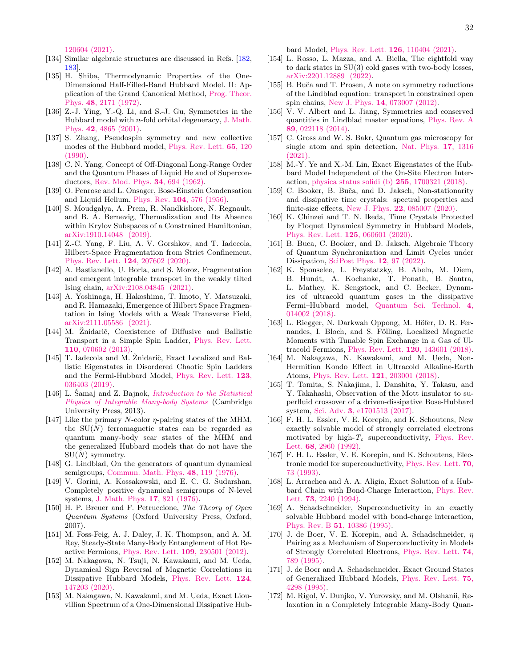[120604 \(2021\).](https://doi.org/10.1103/PhysRevLett.126.120604)

- <span id="page-31-0"></span>[134] Similar algebraic structures are discussed in Refs. [\[182,](#page-32-7) [183\]](#page-32-8).
- <span id="page-31-1"></span>[135] H. Shiba, Thermodynamic Properties of the One-Dimensional Half-Filled-Band Hubbard Model. II: Application of the Grand Canonical Method, [Prog. Theor.](https://doi.org/10.1143/PTP.48.2171) Phys. 48[, 2171 \(1972\).](https://doi.org/10.1143/PTP.48.2171)
- <span id="page-31-2"></span>[136] Z.-J. Ying, Y.-Q. Li, and S.-J. Gu, Symmetries in the Hubbard model with  $n$ -fold orbital degeneracy, [J. Math.](https://doi.org/10.1063/1.1402956) Phys. 42[, 4865 \(2001\).](https://doi.org/10.1063/1.1402956)
- <span id="page-31-3"></span>[137] S. Zhang, Pseudospin symmetry and new collective modes of the Hubbard model, [Phys. Rev. Lett.](https://doi.org/10.1103/PhysRevLett.65.120) 65, 120 [\(1990\).](https://doi.org/10.1103/PhysRevLett.65.120)
- <span id="page-31-4"></span>[138] C. N. Yang, Concept of Off-Diagonal Long-Range Order and the Quantum Phases of Liquid He and of Superconductors, [Rev. Mod. Phys.](https://doi.org/10.1103/RevModPhys.34.694) 34, 694 (1962).
- <span id="page-31-5"></span>[139] O. Penrose and L. Onsager, Bose-Einstein Condensation and Liquid Helium, Phys. Rev. 104[, 576 \(1956\).](https://doi.org/10.1103/PhysRev.104.576)
- <span id="page-31-6"></span>[140] S. Moudgalya, A. Prem, R. Nandkishore, N. Regnault, and B. A. Bernevig, Thermalization and Its Absence within Krylov Subspaces of a Constrained Hamiltonian, [arXiv:1910.14048 \(2019\).](https://arxiv.org/abs/1910.14048)
- [141] Z.-C. Yang, F. Liu, A. V. Gorshkov, and T. Iadecola, Hilbert-Space Fragmentation from Strict Confinement, [Phys. Rev. Lett.](https://doi.org/10.1103/PhysRevLett.124.207602) 124, 207602 (2020).
- [142] A. Bastianello, U. Borla, and S. Moroz, Fragmentation and emergent integrable transport in the weakly tilted Ising chain, [arXiv:2108.04845 \(2021\).](https://arxiv.org/abs/2108.04845)
- <span id="page-31-7"></span>[143] A. Yoshinaga, H. Hakoshima, T. Imoto, Y. Matsuzaki, and R. Hamazaki, Emergence of Hilbert Space Fragmentation in Ising Models with a Weak Transverse Field, [arXiv:2111.05586 \(2021\).](https://arxiv.org/abs/2111.05586)
- <span id="page-31-8"></span>[144] M. Znidarič, Coexistence of Diffusive and Ballistic Transport in a Simple Spin Ladder, [Phys. Rev. Lett.](https://doi.org/10.1103/PhysRevLett.110.070602) 110[, 070602 \(2013\).](https://doi.org/10.1103/PhysRevLett.110.070602)
- <span id="page-31-9"></span>[145] T. Iadecola and M. Žnidarič, Exact Localized and Ballistic Eigenstates in Disordered Chaotic Spin Ladders and the Fermi-Hubbard Model, [Phys. Rev. Lett.](https://doi.org/10.1103/PhysRevLett.123.036403) 123, [036403 \(2019\).](https://doi.org/10.1103/PhysRevLett.123.036403)
- <span id="page-31-10"></span>[146] L. Šamaj and Z. Bajnok, *[Introduction to the Statistical](https://doi.org/10.1017/CBO9781139343480)* [Physics of Integrable Many-body Systems](https://doi.org/10.1017/CBO9781139343480) (Cambridge University Press, 2013).
- <span id="page-31-11"></span>[147] Like the primary N-color  $\eta$ -pairing states of the MHM, the  $SU(N)$  ferromagnetic states can be regarded as quantum many-body scar states of the MHM and the generalized Hubbard models that do not have the  $SU(N)$  symmetry.
- <span id="page-31-12"></span>[148] G. Lindblad, On the generators of quantum dynamical semigroups, [Commun. Math. Phys.](https://doi.org/10.1007/BF01608499) 48, 119 (1976).
- [149] V. Gorini, A. Kossakowski, and E. C. G. Sudarshan, Completely positive dynamical semigroups of N-level systems, [J. Math. Phys.](https://doi.org/10.1063/1.522979) 17, 821 (1976).
- <span id="page-31-13"></span>[150] H. P. Breuer and F. Petruccione, The Theory of Open Quantum Systems (Oxford University Press, Oxford, 2007).
- <span id="page-31-14"></span>[151] M. Foss-Feig, A. J. Daley, J. K. Thompson, and A. M. Rey, Steady-State Many-Body Entanglement of Hot Reactive Fermions, [Phys. Rev. Lett.](https://doi.org/10.1103/PhysRevLett.109.230501) 109, 230501 (2012).
- [152] M. Nakagawa, N. Tsuji, N. Kawakami, and M. Ueda, Dynamical Sign Reversal of Magnetic Correlations in Dissipative Hubbard Models, [Phys. Rev. Lett.](https://doi.org/10.1103/PhysRevLett.124.147203) 124, [147203 \(2020\).](https://doi.org/10.1103/PhysRevLett.124.147203)
- <span id="page-31-16"></span>[153] M. Nakagawa, N. Kawakami, and M. Ueda, Exact Liouvillian Spectrum of a One-Dimensional Dissipative Hub-

bard Model, [Phys. Rev. Lett.](https://doi.org/10.1103/PhysRevLett.126.110404) 126, 110404 (2021).

- <span id="page-31-15"></span>[154] L. Rosso, L. Mazza, and A. Biella, The eightfold way to dark states in SU(3) cold gases with two-body losses, [arXiv:2201.12889 \(2022\).](https://arxiv.org/abs/2201.12889)
- <span id="page-31-17"></span>[155] B. Buča and T. Prosen, A note on symmetry reductions of the Lindblad equation: transport in constrained open spin chains, New J. Phys. 14[, 073007 \(2012\).](https://doi.org/10.1088/1367-2630/14/7/073007)
- <span id="page-31-18"></span>[156] V. V. Albert and L. Jiang, Symmetries and conserved quantities in Lindblad master equations, [Phys. Rev. A](https://doi.org/10.1103/PhysRevA.89.022118) 89[, 022118 \(2014\).](https://doi.org/10.1103/PhysRevA.89.022118)
- <span id="page-31-19"></span>[157] C. Gross and W. S. Bakr, Quantum gas microscopy for single atom and spin detection, [Nat. Phys.](https://doi.org/https://doi.org/10.1038/s41567-021-01370-5) 17, 1316  $(2021)$ .
- <span id="page-31-20"></span>[158] M.-Y. Ye and X.-M. Lin, Exact Eigenstates of the Hubbard Model Independent of the On-Site Electron Interaction, [physica status solidi \(b\)](https://doi.org/https://doi.org/10.1002/pssb.201700321) 255, 1700321 (2018).
- <span id="page-31-21"></span>[159] C. Booker, B. Buča, and D. Jaksch, Non-stationarity and dissipative time crystals: spectral properties and finite-size effects, New J. Phys. 22[, 085007 \(2020\).](https://doi.org/10.1088/1367-2630/ababc4)
- [160] K. Chinzei and T. N. Ikeda, Time Crystals Protected by Floquet Dynamical Symmetry in Hubbard Models, [Phys. Rev. Lett.](https://doi.org/10.1103/PhysRevLett.125.060601) 125, 060601 (2020).
- <span id="page-31-22"></span>[161] B. Buca, C. Booker, and D. Jaksch, Algebraic Theory of Quantum Synchronization and Limit Cycles under Dissipation, [SciPost Phys.](https://doi.org/10.21468/SciPostPhys.12.3.097) 12, 97 (2022).
- <span id="page-31-23"></span>[162] K. Sponselee, L. Freystatzky, B. Abeln, M. Diem, B. Hundt, A. Kochanke, T. Ponath, B. Santra, L. Mathey, K. Sengstock, and C. Becker, Dynamics of ultracold quantum gases in the dissipative Fermi–Hubbard model, [Quantum Sci. Technol.](https://doi.org/10.1088/2058-9565/aadccd) 4, [014002 \(2018\).](https://doi.org/10.1088/2058-9565/aadccd)
- [163] L. Riegger, N. Darkwah Oppong, M. Höfer, D. R. Fernandes, I. Bloch, and S. Fölling, Localized Magnetic Moments with Tunable Spin Exchange in a Gas of Ultracold Fermions, [Phys. Rev. Lett.](https://doi.org/10.1103/PhysRevLett.120.143601) 120, 143601 (2018).
- <span id="page-31-24"></span>[164] M. Nakagawa, N. Kawakami, and M. Ueda, Non-Hermitian Kondo Effect in Ultracold Alkaline-Earth Atoms, [Phys. Rev. Lett.](https://doi.org/10.1103/PhysRevLett.121.203001) 121, 203001 (2018).
- <span id="page-31-25"></span>[165] T. Tomita, S. Nakajima, I. Danshita, Y. Takasu, and Y. Takahashi, Observation of the Mott insulator to superfluid crossover of a driven-dissipative Bose-Hubbard system, Sci. Adv. 3[, e1701513 \(2017\).](https://doi.org/10.1126/sciadv.1701513)
- <span id="page-31-26"></span>[166] F. H. L. Essler, V. E. Korepin, and K. Schoutens, New exactly solvable model of strongly correlated electrons motivated by high- $T_c$  superconductivity, [Phys. Rev.](https://doi.org/10.1103/PhysRevLett.68.2960) Lett. 68[, 2960 \(1992\).](https://doi.org/10.1103/PhysRevLett.68.2960)
- [167] F. H. L. Essler, V. E. Korepin, and K. Schoutens, Electronic model for superconductivity, [Phys. Rev. Lett.](https://doi.org/10.1103/PhysRevLett.70.73) 70, [73 \(1993\).](https://doi.org/10.1103/PhysRevLett.70.73)
- [168] L. Arrachea and A. A. Aligia, Exact Solution of a Hubbard Chain with Bond-Charge Interaction, [Phys. Rev.](https://doi.org/10.1103/PhysRevLett.73.2240) Lett. 73[, 2240 \(1994\).](https://doi.org/10.1103/PhysRevLett.73.2240)
- [169] A. Schadschneider, Superconductivity in an exactly solvable Hubbard model with bond-charge interaction, Phys. Rev. B 51[, 10386 \(1995\).](https://doi.org/10.1103/PhysRevB.51.10386)
- [170] J. de Boer, V. E. Korepin, and A. Schadschneider,  $\eta$ Pairing as a Mechanism of Superconductivity in Models of Strongly Correlated Electrons, [Phys. Rev. Lett.](https://doi.org/10.1103/PhysRevLett.74.789) 74, [789 \(1995\).](https://doi.org/10.1103/PhysRevLett.74.789)
- <span id="page-31-27"></span>[171] J. de Boer and A. Schadschneider, Exact Ground States of Generalized Hubbard Models, [Phys. Rev. Lett.](https://doi.org/10.1103/PhysRevLett.75.4298) 75, [4298 \(1995\).](https://doi.org/10.1103/PhysRevLett.75.4298)
- <span id="page-31-28"></span>[172] M. Rigol, V. Dunjko, V. Yurovsky, and M. Olshanii, Relaxation in a Completely Integrable Many-Body Quan-